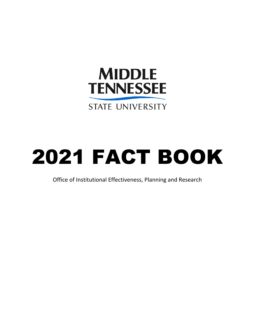

# 2021 FACT BOOK

Office of Institutional Effectiveness, Planning and Research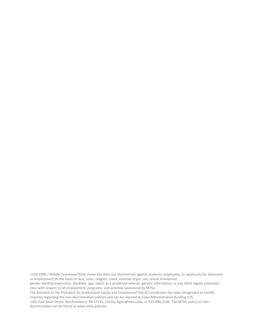1220-9390 / Middle Tennessee State University does not discriminate against students, employees, or applicants for admission or employment on the basis of race, color, religion, creed, national origin, sex, sexual orientation,

gender identity/expression, disability, age, status as a protected veteran, genetic information, or any other legally protected class with respect to all employment, programs, and activities sponsored by MTSU.

The Assistant to the President for Institutional Equity and Compliance/Title IX Coordinator has been designated to handle inquiries regarding the non-discrimination policies and can be reached at Cope Administration Building 116,

1301 East Main Street, Murfreesboro, TN 37132[; Christy.Sigler@mtsu.edu;](mailto:Christy.Sigler@mtsu.edu) or 615-898-2185. The MTSU policy on nondiscrimination can be found at www.mtsu.edu/iec.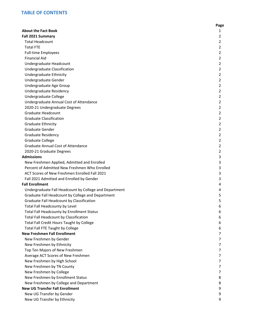#### **TABLE OF CONTENTS**

|                                                        | Page |
|--------------------------------------------------------|------|
| <b>About the Fact Book</b>                             | 1    |
| Fall 2021 Summary                                      | 2    |
| <b>Total Headcount</b>                                 | 2    |
| <b>Total FTE</b>                                       | 2    |
| <b>Full-time Employees</b>                             | 2    |
| <b>Financial Aid</b>                                   | 2    |
| Undergraduate Headcount                                | 2    |
| Undergraduate Classification                           | 2    |
| Undergraduate Ethnicity                                | 2    |
| Undergraduate Gender                                   | 2    |
| Undergraduate Age Group                                | 2    |
| Undergraduate Residency                                | 2    |
| Undergraduate College                                  | 2    |
| Undergraduate Annual Cost of Attendance                | 2    |
| 2020-21 Undergraduate Degrees                          | 2    |
| Graduate Headcount                                     | 2    |
| <b>Graduate Classification</b>                         | 2    |
| Graduate Ethnicity                                     | 2    |
| Graduate Gender                                        | 2    |
| <b>Graduate Residency</b>                              | 2    |
| <b>Graduate College</b>                                | 2    |
| <b>Graduate Annual Cost of Attendance</b>              | 2    |
| 2020-21 Graduate Degrees                               | 2    |
| <b>Admissions</b>                                      | 3    |
| New Freshmen Applied, Admitted and Enrolled            | 3    |
| Percent of Admitted New Freshmen Who Enrolled          | 3    |
| ACT Scores of New Freshmen Enrolled Fall 2021          | 3    |
| Fall 2021 Admitted and Enrolled by Gender              | 3    |
| <b>Fall Enrollment</b>                                 | 4    |
| Undergraduate Fall Headcount by College and Department | 4    |
| Graduate Fall Headcount by College and Department      | 5    |
| Graduate Fall Headcount by Classification              | 5    |
| Total Fall Headcounty by Level                         | 6    |
| Total Fall Headcounty by Enrollment Status             | 6    |
| Total Fall Headcount by Classification                 | 6    |
| Total Fall Credit Hours Taught by College              | 6    |
| Total Fall FTE Taught by College                       | 6    |
| <b>New Freshmen Fall Enrollment</b>                    | 7    |
| New Freshmen by Gender                                 | 7    |
| New Freshmen by Ethnicity                              | 7    |
| Top Ten Majors of New Freshmen                         | 7    |
| Average ACT Scores of New Freshmen                     | 7    |
| New Freshmen by High School                            | 7    |
| New Freshmen by TN County                              | 7    |
| New Freshmen by College                                | 7    |
| New Freshmen by Enrollment Status                      | 8    |
| New Freshmen by College and Department                 | 8    |
| <b>New UG Transfer Fall Enrollment</b>                 | 9    |
| New UG Transfer by Gender                              | 9    |
| New UG Transfer by Ethnicity                           | 9    |
|                                                        |      |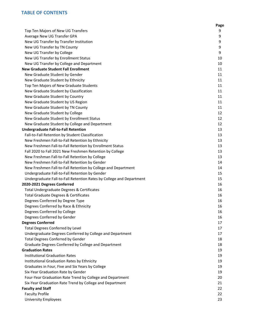#### **TABLE OF CONTENTS**

|                                                                      | Page |
|----------------------------------------------------------------------|------|
| Top Ten Majors of New UG Transfers                                   | 9    |
| Average New UG Transfer GPA                                          | 9    |
| New UG Transfer by Transfer Institution                              | 9    |
| New UG Transfer by TN County                                         | 9    |
| New UG Transfer by College                                           | 9    |
| New UG Transfer by Enrollment Status                                 | 10   |
| New UG Transfer by College and Department                            | 10   |
| <b>New Graduate Student Fall Enrollment</b>                          | 11   |
| New Graduate Student by Gender                                       | 11   |
| New Graduate Student by Ethnicity                                    | 11   |
| Top Ten Majors of New Graduate Students                              | 11   |
| New Graduate Student by Classification                               | 11   |
| New Graduate Student by Country                                      | 11   |
| New Graduate Student by US Region                                    | 11   |
| New Graduate Student by TN County                                    | 11   |
| New Graduate Student by College                                      | 12   |
| New Graduate Student by Enrollment Status                            | 12   |
| New Graduate Student by College and Department                       | 12   |
| <b>Undergraduate Fall-to-Fall Retention</b>                          | 13   |
| Fall-to-Fall Retention by Student Classification                     | 13   |
| New Freshmen Fall-to-Fall Retention by Ethnicity                     | 13   |
| New Freshmen Fall-to-Fall Retention by Enrollment Status             | 13   |
| Fall 2020 to Fall 2021 New Freshmen Retention by College             | 13   |
| New Freshman Fall-to-Fall Retention by College                       | 13   |
| New Freshmen Fall-to-Fall Retention by Gender                        | 14   |
| New Freshmen Fall-to-Fall Retention by College and Department        | 14   |
| Undergraduate Fall-to-Fall Retention by Gender                       | 15   |
| Undergraduate Fall-to-Fall Retention Rates by College and Department | 15   |
| 2020-2021 Degrees Conferred                                          | 16   |
| Total Undergraduate Degrees & Certificates                           | 16   |
| <b>Total Graduate Degrees &amp; Certificates</b>                     | 16   |
| Degrees Conferred by Degree Type                                     | 16   |
| Degrees Conferred by Race & Ethnicity                                | 16   |
| Degrees Conferred by College                                         | 16   |
| Degrees Conferred by Gender                                          | 16   |
| <b>Degrees Conferred</b>                                             | 17   |
| <b>Total Degrees Conferred by Level</b>                              | 17   |
| Undergraduate Degrees Conferred by College and Department            | 17   |
| <b>Total Degrees Conferred by Gender</b>                             | 18   |
| Graduate Degrees Conferred by College and Department                 | 18   |
| <b>Graduation Rates</b>                                              | 19   |
| <b>Institutional Graduation Rates</b>                                | 19   |
| Institutional Graduation Rates by Ethnicity                          | 19   |
| Graduates in Four, Five and Six Years by College                     | 19   |
| Six-Year Graduation Rate by Gender                                   | 19   |
| Four-Year Graduation Rate Trend by College and Department            | 20   |
| Six-Year Graduation Rate Trend by College and Department             | 21   |
| <b>Faculty and Staff</b>                                             | 22   |
| <b>Faculty Profile</b>                                               | 22   |
| <b>University Employees</b>                                          | 23   |
|                                                                      |      |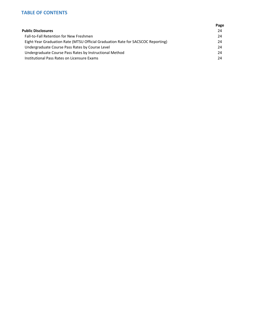#### **TABLE OF CONTENTS**

|                                                                                  | Page |
|----------------------------------------------------------------------------------|------|
| <b>Public Disclosures</b>                                                        | 24   |
| <b>Fall-to-Fall Retention for New Freshmen</b>                                   | 24   |
| Eight-Year Graduation Rate (MTSU Official Graduation Rate for SACSCOC Reporting) | 24   |
| Undergraduate Course Pass Rates by Course Level                                  | 24   |
| Undergraduate Course Pass Rates by Instructional Method                          | 24   |
| Institutional Pass Rates on Licensure Exams                                      | 24   |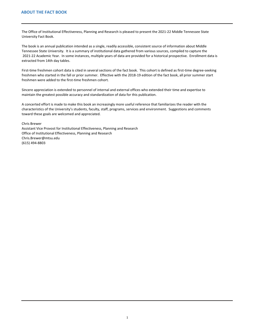<span id="page-5-0"></span>The Office of Institutional Effectiveness, Planning and Research is pleased to present the 2021-22 Middle Tennessee State University Fact Book.

The book is an annual publication intended as a single, readily accessible, consistent source of information about Middle Tennessee State University. It is a summary of institutional data gathered from various sources, compiled to capture the 2021-22 Academic Year. In some instances, multiple years of data are provided for a historical prospective. Enrollment data is extracted from 14th day tables.

First-time freshmen cohort data is cited in several sections of the fact book. This cohort is defined as first-time degree-seeking freshmen who started in the fall or prior summer. Effective with the 2018-19 edition of the fact book, all prior summer start freshmen were added to the first-time freshmen cohort.

Sincere appreciation is extended to personnel of internal and external offices who extended their time and expertise to maintain the greatest possible accuracy and standardization of data for this publication.

A concerted effort is made to make this book an increasingly more useful reference that familiarizes the reader with the characteristics of the University's students, faculty, staff, programs, services and environment. Suggestions and comments toward these goals are welcomed and appreciated.

Chris Brewer Assistant Vice Provost for Institutional Effectiveness, Planning and Research Office of Institutional Effectiveness, Planning and Research Chris.Brewer@mtsu.edu (615) 494-8803

1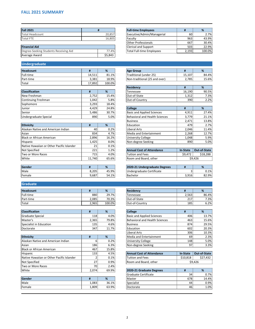## <span id="page-6-0"></span>**FALL 2021 SUMMARY**

| <b>Fall 2021</b> |        | <b>Full-time Employees</b> |                 | %     |
|------------------|--------|----------------------------|-----------------|-------|
| Total Headcount  | 20,857 | Executive/Admin/Managerial | 60 <sub>0</sub> | 2.7%  |
| <b>Total FTE</b> | 16,805 | Faculty                    | 963             | 43.9% |
|                  |        | <b>Other Professionals</b> | 667             | 30.4% |
|                  |        |                            |                 |       |

| <b>Financial Aid</b>                  |         |
|---------------------------------------|---------|
| Degree-Seeking Students Receiving Aid | 77.49   |
| Average Award                         | \$5,843 |

# **Undergraduate**

| Headcount    |        | %      | <b>Age Group</b>              |        | %     |
|--------------|--------|--------|-------------------------------|--------|-------|
| Full-time    | 14,511 | 81.1%  | Traditional (under 25)        | 15,107 | 84.4% |
| Part-time    | 3,381  | 18.9%  | Non-traditional (25 and over) | 2,785  | 15.6% |
| <b>Total</b> | 17,892 | 100.0% |                               |        |       |

| <b>Classification</b> |       | %     | Tennessee                         | 16,190 | 90.5% |
|-----------------------|-------|-------|-----------------------------------|--------|-------|
| New Freshman          | 2,752 | 15.4% | Out-of-State                      | 1,312  | 7.3%  |
| Continuing Freshman   | 1,042 | 5.8%  | Out-of-Country                    | 390l   | 2.2%  |
| Sophomore             | 3,293 | 18.4% |                                   |        |       |
| Junior                | 4,429 | 24.8% | <b>College</b>                    |        | %     |
| <b>Senior</b>         | 5,486 | 30.7% | <b>Basic and Applied Sciences</b> | 4,911  | 27.4% |
| Undergraduate Special | 890   | 5.0%  | Behavioral and Health Sciences    | 3,779  | 21.1% |

| Ħ   | % | Education                                                                                         |                 | 2.7%                                  |
|-----|---|---------------------------------------------------------------------------------------------------|-----------------|---------------------------------------|
| 40  |   | Liberal Arts                                                                                      |                 | 11.4%                                 |
|     |   | Media and Entertainment                                                                           |                 | 12.7%                                 |
|     |   | <b>University College</b>                                                                         |                 | 5.9%                                  |
|     |   | Non-degree Seeking                                                                                |                 | 5.0%                                  |
| 21  |   |                                                                                                   |                 |                                       |
| 221 |   | <b>Annual Cost of Attendance</b>                                                                  | <b>In-State</b> | <b>Out-of-State</b>                   |
| 715 |   | <b>Tuition and Fees</b>                                                                           | \$9,472         | \$18,288                              |
|     |   | Room and Board, other                                                                             |                 | \$9,426                               |
|     |   | 0.2%<br>4.7%<br>834<br>16.2%<br>2,896<br>8.0%<br>1,425<br>0.1%<br>1.2%<br>4.0%<br>11,740<br>65.6% |                 | 479<br>2,046<br>2,268<br>1,048<br>890 |

| Gender |       | %     | 2020-21 Undergraduate Degrees |       | $\Omega$<br>70 |
|--------|-------|-------|-------------------------------|-------|----------------|
| Male   | 8,205 | 45.9% | Undergraduate Certificate     |       | 0.1%           |
| Female | 9,687 | 54.1% | <b>Bachelor</b>               | 3,916 | 82.9%          |

## **Graduate**

| Headcount    |       | %      | <b>Residency</b> |       | %     |
|--------------|-------|--------|------------------|-------|-------|
| Full-time    | 880   | 29.7%  | <b>Tennessee</b> | 2,563 | 86.4% |
| Part-time    | 2,085 | 70.3%  | Out-of-State     | 217   | 7.3%  |
| <b>Total</b> | 2,965 | 100.0% | lOut-of-Country  | 185   | 6.2%  |

| <b>Classification</b>    |       | %     | <b>College</b>                 |     | %     |
|--------------------------|-------|-------|--------------------------------|-----|-------|
| <b>IGraduate Special</b> | 118   | 4.0%  | Basic and Applied Sciences     | 406 | 13.7% |
| Master's                 | 2,365 | 79.8% | Behavioral and Health Sciences | 463 | 15.6% |
| Specialist in Education  | 135   | 4.6%  | <b>Business</b>                | 874 | 29.5% |
| <i><b>IDoctorate</b></i> | 347   | 11.7% | <b>Education</b>               | 602 | 20.3% |

| Ethnicity                                 |       | %     | Media and Entertainment          | 69              | 2.3%                |
|-------------------------------------------|-------|-------|----------------------------------|-----------------|---------------------|
| Alaskan Native and American Indian        |       | 0.2%  | <b>University College</b>        | 148             | 5.0%                |
| Asian                                     | 186   | 6.3%  | Non-degree Seeking               | 97              | 3.3%                |
| Black or African American                 | 467   | 15.8% |                                  |                 |                     |
| Hispanic                                  | 133   | 4.5%  | <b>Annual Cost of Attendance</b> | <b>In-State</b> | <b>Out-of-State</b> |
| Native Hawaiian or Other Pacific Islander |       | 0.1%  | Tuition and Fees                 | \$10,818        | \$27,432            |
| Not Specified                             | 27    | 0.9%  | Room and Board, other            |                 | \$9,426             |
| Two or More Races                         | 70    | 2.4%  |                                  |                 |                     |
| White                                     | 2,074 | 69.9% | 2020-21 Graduate Degrees         |                 | %                   |

| Gender |       | $\mathbf{a}$<br>70. | Master     | 678 | 14.4% |
|--------|-------|---------------------|------------|-----|-------|
| Male   | 1,083 | 36.1%               | Specialist | 44  | 0.9%  |
| Female | 1,809 | 63.9%               | Doctorate  | 46  | 1.0%  |

|        | <b>Full-time Employees</b>       |       | %      |
|--------|----------------------------------|-------|--------|
| 20,857 | Executive/Admin/Managerial       | 60    | 2.7%   |
| 6,805  | Faculty                          | 963   | 43.9%  |
|        | <b>Other Professionals</b>       | 667   | 30.4%  |
|        | <b>Clerical and Support</b>      | 503   | 22.9%  |
| 77.4%  | <b>Total Full-time Employees</b> | 2,193 | 100.0% |

| <b>Age Group</b>              |        |        |
|-------------------------------|--------|--------|
| Traditional (under 25)        | 15.107 | 84.4%  |
| Non-traditional (25 and over) | 2,785  | 15.6%. |

| <b>Residency</b> | Ħ      | %     |
|------------------|--------|-------|
| <b>Tennessee</b> | 16,190 | 90.5% |
| Out-of-State     | 1.312  | 7.3%  |
| Out-of-Country   | 390    | C 29% |

| Junior                             | 4,429 | 24.8% | <b>College</b>                    | #     | %     |
|------------------------------------|-------|-------|-----------------------------------|-------|-------|
| Senior                             | 5,486 | 30.7% | <b>Basic and Applied Sciences</b> | 4,911 | 27.4% |
| Undergraduate Special              | 890   | 5.0%  | Behavioral and Health Sciences    | 3,779 | 21.1% |
|                                    |       |       | <b>Business</b>                   | 2,471 | 13.8% |
| <b>Ethnicity</b>                   | Ħ     | %     | Education                         | 479   | 2.7%  |
| Alaskan Native and American Indian | 40    | 0.2%  | Liberal Arts                      | 2,046 | 11.4% |
| Asian                              | 834   | 4.7%  | Media and Entertainment           | 2,268 | 12.7% |
| <b>Black or African American</b>   | 2,896 | 16.2% | University College                | 1,048 | 5.9%  |
| <b>Hispanic</b>                    | 1.425 | 8.0%  | Non-degree Seeking                | 890   | 5.0%  |

| <b>Annual Cost of Attendance</b> |         | In-State   Out-of-State |  |
|----------------------------------|---------|-------------------------|--|
| Tuition and Fees                 | \$9,472 | \$18,288                |  |
| Room and Board, other            | \$9,426 |                         |  |

| 2020-21 Undergraduate Degrees |       | ℅       |
|-------------------------------|-------|---------|
| Undergraduate Certificate     |       | $0.1\%$ |
| Bachelor                      | 3,916 | 82.9%   |

| Headcount |         | %      | Residency        |       | %     |
|-----------|---------|--------|------------------|-------|-------|
| Full-time | 8801    | 29.7%  | <b>Tennessee</b> | 2,563 | 86.4% |
| Part-time | ا 2,085 | 70.3%  | Out-of-State     | 217   | 7.3%  |
| Total     | 2,965   | 100.0% | Out-of-Country   | 185   | 6.2%  |

| <b>College</b>                        | #   | ℅     |
|---------------------------------------|-----|-------|
| <b>Basic and Applied Sciences</b>     | 406 | 13.7% |
| <b>Behavioral and Health Sciences</b> | 463 | 15.6% |
| <b>Business</b>                       | 874 | 29.5% |
| Education                             | 602 | 20.3% |
| Liberal Arts                          | 306 | 10.3% |
| Media and Entertainment               | 69  | 2.3%  |
| <b>University College</b>             | 148 | 5.0%  |
| Non-degree Seeking                    | 97  | 3.3%  |

| <b>Annual Cost of Attendance</b> |          | In-State   Out-of-State |  |
|----------------------------------|----------|-------------------------|--|
| Tuition and Fees                 | \$10,818 | \$27,432                |  |
| Room and Board, other            | \$9,426  |                         |  |

| 2020-21 Graduate Degrees |     | ℅     |
|--------------------------|-----|-------|
| Graduate Certificate     | 34  | 0.7%  |
| Master                   | 678 | 14.4% |
| Specialist               | 44  | 0.9%  |
| Doctorate                | 46  | 1.0%  |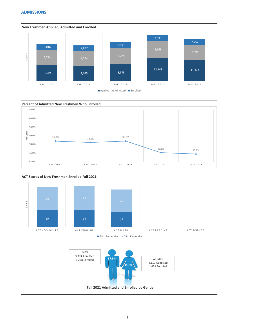### <span id="page-7-0"></span>**ADMISSIONS**





**New Freshmen Applied, Admitted and Enrolled**









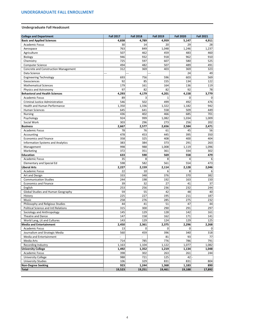## <span id="page-8-0"></span>**Undergraduate Fall Headcount**

| <b>College and Department</b>               | <b>Fall 2017</b> | <b>Fall 2018</b> | <b>Fall 2019</b> | <b>Fall 2020</b> | <b>Fall 2021</b> |
|---------------------------------------------|------------------|------------------|------------------|------------------|------------------|
| <b>Basic and Applied Sciences</b>           | 4,838            | 4,789            | 4,959            | 5,147            | 4,911            |
| <b>Academic Focus</b>                       | 30 <sup>1</sup>  | 14               | 20               | 29               | 28               |
| Aerospace                                   | 763              | 849              | 1,048            | 1,246            | 1,237            |
| Agriculture                                 | 507              | 462              | 459              | 483              | 460              |
| Biology                                     | 946              | 932              | 918              | 962              | 910              |
| Chemistry                                   | 725              | 597              | 607              | 580              | 525              |
| <b>Computer Science</b>                     | 494              | 482              | 507              | 489              | 491              |
| <b>Concrete and Construction Management</b> | 312              | 369              | 403              | 369              | 323              |
| Data Science                                | $--$             |                  |                  | 24               | 49               |
| <b>Engineering Technology</b>               | 693              | 756              | 596              | 603              | 569              |
| Geosciences                                 | 92               | 85               | 155              | 134              | 122              |
| <b>Mathematical Sciences</b>                | 179              | 161              | 164              | 136              | 119              |
| Physics and Astronomy                       | 97               | 82               | 82               | 92               | 78               |
| <b>Behavioral and Health Sciences</b>       | 4,293            | 4,179            | 4,201            | 4,158            | 3,779            |
| <b>Academic Focus</b>                       | 89               | 3                |                  | $\mathbf{0}$     | $\Omega$         |
| <b>Criminal Justice Administration</b>      | 546              | 502              | 499              | 492              | 476              |
| <b>Health and Human Performance</b>         | 1,350            | 1,336            | 1,322            | 1,182            | 942              |
| <b>Human Sciences</b>                       | 645              | 641              | 558              | 509              | 449              |
| <b>Nursing</b>                              | 436              | 402              | 466              | 685              | 701              |
| Psychology                                  | 924              | 999              | 1,082            | 1,034            | 1,009            |
| Social Work                                 | 303              | 296              | 273              | 256              | 202              |
| <b>Business</b>                             | 2,667            | 2,577            | 2,656            | 2,584            | 2,471            |
| <b>Academic Focus</b>                       | 78               | 76               | 61               | 45               | 56               |
| Accounting                                  | 478              | 453              | 445              | 395              | 350              |
| <b>Economics and Finance</b>                | 358              | 325              | 408              | 400              | 404              |
| <b>Information Systems and Analytics</b>    | 383              | 384              | 373              | 291              | 263              |
| Management                                  | 998              | 988              | 1,008            | 1,119            | 1,096            |
| Marketing                                   | 372              | 351              | 361              | 334              | 302              |
| Education                                   | 633              | 590              | 569              | 558              | 479              |
| <b>Academic Focus</b>                       | 35               | 8                | 8                | 4                | 6                |
| <b>Elementary and Special Ed</b>            | 598              | 582              | 561              | 554              | 473              |
| <b>Liberal Arts</b>                         | 2,227            | 2,159            | 2,114            | 2,128            | 2,046            |
| <b>Academic Focus</b>                       | 22               | 10               | 6                | 8                | 6                |
| Art and Design                              | 333              | 348              | 376              | 370              | 382              |
| <b>Communication Studies</b>                | 244              | 198              | 192              | 163              | 150              |
| <b>Economics and Finance</b>                | 39               | 32               | 27               | 41               | 37               |
| English                                     | 253              | 256              | 236              | 232              | 244              |
| <b>Global Studies and Human Geography</b>   | 59               | 55               | 42               | 48               | 40               |
| History                                     | 225              | 227              | 195              | 211              | 187              |
| Music                                       | 258              | 276              | 285              | 275              | 232              |
| Philosophy and Religious Studies            | 44               | 41               | 51               | 47               | 44               |
| <b>Political Science and Intl Relations</b> | 315              | 300              | 290              | 291              | 297              |
| Sociology and Anthropology                  | 145              | 129              | 128              | 142              | 161              |
| Theatre and Dance                           | 147              | 158              | 162              | 171              | 141              |
| World Lang, Lit and Cultures                | 143              | 129              | 124              | 129              | 125              |
| <b>Media and Entertainment</b>              | 2,450            | 2,361            | 2,375            | 2,296            | 2,268            |
| <b>Academic Focus</b>                       | 13               | 0                | 0                | 0                | $\Omega$         |
| Journalism and Strategic Media              | 560              | 459              | 396              | 340              | 318              |
| Media and Entertainment                     |                  |                  | 81               | 93               | 77               |
| Media Arts                                  | 714              | 785              | 776              | 786              | 791              |
| Recording Industry                          | 1,163            | 1,104            | 1,122            | 1,077            | 1,082            |
| <b>University College</b>                   | 1,492            | 1,352            | 1,219            | 1,134            | 1,048            |
| <b>Academic Focus</b>                       | 398              | 302              | 263              | 261              | 244              |
| <b>University College</b>                   | 988              | 721              | 125              | 42               |                  |
| <b>University Studies</b>                   | 106              | 329              | 831              | 831              | 804              |
| <b>Non-Degree Seeking</b>                   | 923              | 1,244            | 1,368            | 1,183            | 890              |
| Total                                       | 19,523           | 19,251           | 19,461           | 19,188           | 17,892           |

4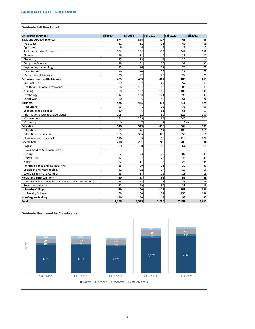#### **Graduate Fall Headcount**

| College/Department                                     | <b>Fall 2017</b> | <b>Fall 2018</b> | <b>Fall 2019</b> | <b>Fall 2020</b> | <b>Fall 2021</b> |
|--------------------------------------------------------|------------------|------------------|------------------|------------------|------------------|
| <b>Basic and Applied Sciences</b>                      | 374              | 394              | 377              | 443              | 406              |
| Aerospace                                              | 31               | 32               | 28               | 49               | 35               |
| Agriculture                                            | 9                | 6                | 6                | 6                |                  |
| <b>Basic and Applied Sciences</b>                      | 204              | 244              | 224              | 246              | 225              |
| Biology                                                | 38               | 21               | 15               | 22               | 25               |
| Chemistry                                              | 23               | 18               | 19               | 20               | 16               |
| <b>Computer Science</b>                                | 28               | 31               | 36               | 37               | 37               |
| <b>Engineering Technology</b>                          | 21               | 20               | 12               | 24               | 20               |
| Geosciences                                            | ---              | ---              | 14               | 17               | 20               |
| <b>Mathematical Sciences</b>                           | 20               | 22               | 23               | 22               | 21               |
| <b>Behavioral and Health Sciences</b>                  | 485              | 483              | 467              | 480              | 463              |
| <b>Criminal Justice</b>                                | 39               | 37               | 47               | 57               | 57               |
| <b>Health and Human Performance</b>                    | 96               | 101              | 89               | 89               | 87               |
| <b>Nursing</b>                                         | 188              | 197              | 180              | 188              | 149              |
| Psychology                                             | 112              | 103              | 101              | 95               | 94               |
| Social Work                                            | 50               | 45               | 50               | 51               | 76               |
| <b>Business</b>                                        | 428              | 425              | 413              | 811              | 874              |
| Accounting                                             | 96               | 71               | 76               | 75               | 66               |
| <b>Economics and Finance</b>                           | 39               | 46               | 51               | 61               | 57               |
| <b>Information Systems and Analytics</b>               | 103              | 92               | 90               | 129              | 130              |
| Management                                             | 184              | 209              | 194              | 543              | 621              |
| Marketing                                              | 6                | 7                |                  | 3                |                  |
| Education                                              | 540              | 513              | 470              | 568              | 602              |
| Education                                              | 55               | 74               | 62               | 100              | 111              |
| <b>Educational Leadership</b>                          | 369              | 356              | 328              | 355              | 369              |
| <b>Elementary and Special Ed</b>                       | 116              | 83               | 80               | 113              | 122              |
| <b>Liberal Arts</b>                                    | 278              | 261              | 240              | 283              | 306              |
| English                                                | 80               | 68               | 55               | 64               | 69               |
| Global Studies & Human Geog                            |                  | $---$            |                  |                  |                  |
| History                                                | 82               | 73               | 77               | 87               | 94               |
| Liberal Arts                                           | 42               | 47               | 26               | 43               | 47               |
| Music                                                  | 22               | 17               | 18               | 26               | 35               |
| <b>Political Science and Intl Relations</b>            | 15               | 20 <sub>2</sub>  | 31               | 32               | 30 <sup>°</sup>  |
| Sociology and Anthropology                             | 22               | 22               | 17               | 18               | 16               |
| World Lang, Lit and Cultures                           | 15               | 14               | 16               | 13               | 15               |
| <b>Media and Entertainment</b>                         | 60               | 53               | 53               | 56               | 69               |
| Journalism & Strategic Media (Media and Entertainment) | 28               | 24               | 23               | 28               | 34               |
| Recording Industry                                     | 32               | 29               | 30               | 28               | 35               |
| <b>University College</b>                              | 69               | 100              | 127              | 153              | 148              |
| <b>University College</b>                              | 69               | 100              | 127              | 153              | 148              |
| Non-Degree Seeking                                     | 156              | 150              | 113              | 98               | 97               |
| Total                                                  | 2,390            | 2,379            | 2,260            | 2,892            | 2,965            |

# **Graduate Headcount by Classification**

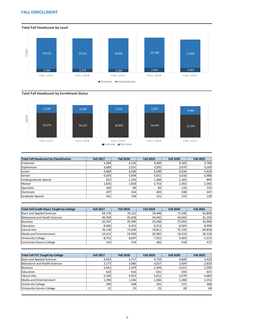## <span id="page-10-0"></span>**FALL ENROLLMENT**

## **Total Fall Headcount by Enrollment Status**

| <b>Total Fall Headcount by Classification</b> | <b>Fall 2017</b> | <b>Fall 2018</b> | <b>Fall 2019</b> | <b>Fall 2020</b> | <b>Fall 2021</b> |
|-----------------------------------------------|------------------|------------------|------------------|------------------|------------------|
| Freshman                                      | 4,389            | 4,116            | 4,389            | 4,183            | 3,794            |
| Sophomore                                     | 3,689            | 3,551            | 3,505            | 3,670            | 3,293            |
| Junior                                        | 4,489            | 4,500            | 4,548            | 4,534            | 4,429            |
| Senior                                        | 6,033            | 5,834            | 5,651            | 5,618            | 5,486            |
| Undergraduate Special                         | 923              | 1,250            | 1,368            | 1,183            | 890              |
| Master                                        | 1,826            | 1,818            | 1,753            | 2,302            | 2,365            |
| Specialist                                    | 106              | 89               | 83               | 119              | 135              |
| Doctorate                                     | 297              | 314              | 303              | 338              | 347              |
| Graduate Special                              | 161              | 158              | 121              | 133              | 118              |

| <b>Total Fall Credit Hours Taught by College</b> | <b>Fall 2017</b> | <b>Fall 2018</b> | <b>Fall 2019</b> | <b>Fall 2020</b> | <b>Fall 2021</b> |
|--------------------------------------------------|------------------|------------------|------------------|------------------|------------------|
| <b>Basic and Applied Sciences</b>                | 69,178           | 70,132           | 70,448           | 71.346           | 65,808           |
| Behavioral and Health Sciences                   | 46,769           | 45,428           | 44,582           | 43,044           | 41,233           |
| Business                                         | 35,747           | 35,390           | 35,038           | 37,659           | 35,994           |
| Education                                        | 8,560            | 8,352            | 8,213            | 8,564            | 8,490            |
| Liberal Arts                                     | 76,128           | 73,449           | 74,811           | 75,729           | 69,818           |
| Media and Entertainment                          | 19,312           | 19,930           | 20,382           | 19,224           | 20,118           |
| University College                               | 8,751            | 8,097            | 7,351            | 5,403            | 5,371            |
| University Honors College                        | 319              | 374              | 382              | 418              | 417              |



| <b>Total Fall FTE Taught by College</b> | <b>Fall 2017</b> | <b>Fall 2018</b> | <b>Fall 2019</b> | <b>Fall 2020</b> | <b>Fall 2021</b> |
|-----------------------------------------|------------------|------------------|------------------|------------------|------------------|
| <b>Basic and Applied Sciences</b>       | 4,653            | 4,717            | 4,734            | 4,800            | 4,430            |
| Behavioral and Health Sciences          | 3,177            | 3,086            | 3,027            | 2,929            | 2,810            |
| <b>Business</b>                         | 2,441            | 2,419            | 2,394            | 2,611            | 2,505            |
| Education                               | 633              | 616              | 631              | 634              | 631              |
| Liberal Arts                            | 5,104            | 4,923            | 5,012            | 5,079            | 4,684            |
| Media and Entertainment                 | 1,296            | 1,336            | 1,366            | 1,286            | 1,351            |
| University College                      | 590              | 548              | 501              | 372              | 368              |
| <b>University Honors College</b>        | 21               | 25               | 25               | 28               | 28               |



6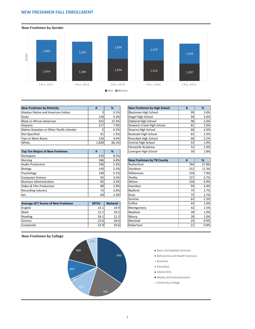## <span id="page-11-0"></span>**NEW FRESHMEN FALL ENROLLMENT**



| <b>New Freshmen by Ethnicity</b>          |            | %     | New Freshmen by High School | #               | %    |
|-------------------------------------------|------------|-------|-----------------------------|-----------------|------|
| Alaskan Native and American Indian        |            | 0.1%  | Blackman High School        | 99              | 3.6% |
| Asian                                     | 118        | 4.3%  | Siegel High School          | 94              | 3.4% |
| Black or African American                 | 4221       | 15.3% | Oakland High School         | 90              | 3.3% |
| Hispanic                                  | 217        | 7.9%  | Stewarts Creek High School  | 81              | 2.9% |
| Native Hawaiian or Other Pacific Islander |            | 0.2%  | Smyrna High School          | 66 <sup> </sup> | 2.4% |
| Not Specified                             | 41         | 1.5%  | Rockvale High School        | 62              | 2.3% |
| Two or More Races                         | <b>126</b> | 4.6%  | Riverdale High School       | 60 l            | 2.2% |
| White                                     | 1,820      | 66.1% | Central High School         | 53              | 1.9% |

| <b>Top Ten Majors of New Freshmen</b> | #    | %    | Lavergne High School      | 50  | 1.8%  |
|---------------------------------------|------|------|---------------------------|-----|-------|
| Aerospace                             | 2331 | 8.5% |                           |     |       |
| Nursing                               | 186  | 6.8% | New Freshmen by TN County | #   | %     |
| Audio Production                      | 146  | 5.3% | Rutherford                | 764 | 27.8% |
| Biology                               | 143  | 5.2% | Davidson                  | 312 | 11.3% |
| Psychology                            | 140  | 5.1% | Williamson                | 218 | 7.9%  |
| Computer Science                      | 95   | 3.5% | Shelby                    | 157 | 5.7%  |
| <b>Business Administration</b>        | 92   | 3.3% | Wilson                    | 134 | 4.9%  |
| Video & Film Production               | 80   | 2.9% | Hamilton                  | 93  | 3.4%  |
| Recording Industry                    | 72   | 2.6% | Bedford                   | 75  | 2.7%  |
| l Art                                 | 64   | 2.3% | lKnox                     | 751 | 2.7%  |

| <b>Average ACT Scores of New Freshmen</b> | <b>MTSU</b> | <b>National</b> | Coffee           | 431 | 1.6% |
|-------------------------------------------|-------------|-----------------|------------------|-----|------|
| English                                   | 23.1        | 19.9            | Montgomery       | 42  | 1.5% |
| Math                                      | 21.1        | 20.2            | lMadison         | 28  | 1.0% |
| Reading                                   | 24.1        | 21.2            | Maurv            | 28  | 1.0% |
| Science                                   | 22.6        | 20.6            | <b>IMarshall</b> | 24  | 0.9% |
| Composite                                 | 22.9        | 20.6            | Robertson        | 21  | 0.8% |

| <b>New Freshmen by Ethnicity</b>          |       | %     | New Freshmen by High School |           | %    |
|-------------------------------------------|-------|-------|-----------------------------|-----------|------|
| Alaskan Native and American Indian        |       | 0.1%  | Blackman High School        | 99        | 3.6% |
| Asian                                     | 118   | 4.3%  | Siegel High School          | 94        | 3.4% |
| <b>Black or African American</b>          | 422   | 15.3% | Oakland High School         | 90I       | 3.3% |
| Hispanic                                  | 217   | 7.9%  | Stewarts Creek High School  | 81        | 2.9% |
| Native Hawaiian or Other Pacific Islander |       | 0.2%  | Smyrna High School          | 66        | 2.4% |
| Not Specified                             | 41    | 1.5%  | Rockvale High School        | 62        | 2.3% |
| Two or More Races                         | 126   | 4.6%  | Riverdale High School       | 60        | 2.2% |
| White                                     | 1,820 | 66.1% | Central High School         | 53        | 1.9% |
|                                           |       |       | HomeLife Academy            | 52        | 1.9% |
| <b>Top Ten Majors of New Freshmen</b>     | #     | %     | Lavergne High School        | <b>50</b> | 1.8% |

| , ici ospacc                              | ---         | <b></b>         |                                  |     |       |
|-------------------------------------------|-------------|-----------------|----------------------------------|-----|-------|
| <b>Nursing</b>                            | 186         | 6.8%            | <b>New Freshmen by TN County</b> | #   | %     |
| <b>Audio Production</b>                   | 146         | 5.3%            | Rutherford                       | 764 | 27.8% |
| Biology                                   | 143         | 5.2%            | Davidson                         | 312 | 11.3% |
| Psychology                                | 140         | 5.1%            | Williamson                       | 218 | 7.9%  |
| Computer Science                          | 95          | 3.5%            | Shelby                           | 157 | 5.7%  |
| <b>Business Administration</b>            | 92          | 3.3%            | Wilson                           | 134 | 4.9%  |
| Video & Film Production                   | 80          | 2.9%            | Hamilton                         | 93  | 3.4%  |
| <b>Recording Industry</b>                 | 72          | 2.6%            | Bedford                          | 75  | 2.7%  |
| Art                                       | 64          | 2.3%            | Knox                             | 75  | 2.7%  |
|                                           |             |                 | Sumner                           | 62  | 2.3%  |
| <b>Average ACT Scores of New Freshmen</b> | <b>MTSU</b> | <b>National</b> | Coffee                           | 43  | 1.6%  |
| English                                   | 23.1        | 19.9            | Montgomery                       | 42  | 1.5%  |
| Math                                      | 21.1        | 20.2            | Madison                          | 28  | 1.0%  |
| Reading                                   | 24.1        | 21.2            | Maury                            | 28  | 1.0%  |
| Science                                   | 22.6        | 20.6            | Marshall                         | 24  | 0.9%  |
| Composite                                 | 22.9        | 20.6            | Robertson                        | 21  | 0.8%  |
|                                           |             |                 |                                  |     |       |

#### **New Freshmen by College**



#### Basic and Applied Sciences

- Behavioral and Health Sciences
- **Business**
- **Education**
- **Liberal Arts**
- Media and Entertainment
- **University College**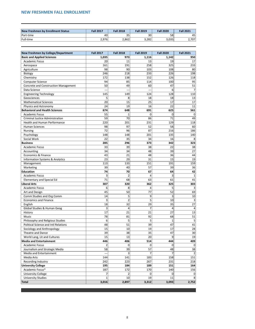# <span id="page-12-0"></span>**NEW FRESHMEN FALL ENROLLMENT**

| New Freshmen by Enrollment Status | <b>Fall 2017</b> | <b>Fall 2018</b> | <b>Fall 2019</b> | <b>Fall 2020</b> | <b>Fall 2021</b> |
|-----------------------------------|------------------|------------------|------------------|------------------|------------------|
| <b>Part-time</b>                  | 40               | 35               | 30 <sup>2</sup>  | 58               | 45               |
| Full-time                         | 2,976            | 2,862            | 3,282            | 3,035            | 2,707            |

<u> 1980 - Johann Barbara, martxa alemaniar argumento este alemaniar alemaniar alemaniar alemaniar alemaniar al</u>

| New Freshmen by College/Department          | <b>Fall 2017</b> | <b>Fall 2018</b> | <b>Fall 2019</b> | <b>Fall 2020</b> | <b>Fall 2021</b> |
|---------------------------------------------|------------------|------------------|------------------|------------------|------------------|
| <b>Basic and Applied Sciences</b>           | 1,035            | 973              | 1,116            | 1,142            | 950              |
| <b>Academic Focus</b>                       | 20               | 11               | 13               | 19               | 17               |
| Aerospace                                   | 161              | 191              | 258              | 325              | 233              |
| Agriculture                                 | 98               | 90               | 103              | 108              | 80               |
| Biology                                     | 246              | 218              | 233              | 226              | 198              |
| Chemistry                                   | 172              | 138              | 152              | 126              | 118              |
| <b>Computer Science</b>                     | 94               | 85               | 114              | 100              | 95               |
| <b>Concrete and Construction Management</b> | 50               | 49               | 60               | 47               | 51               |
| Data Science                                |                  |                  |                  | 6                | $\overline{7}$   |
| <b>Engineering Technology</b>               | 145              | 149              | 124              | 128              | 110              |
| Geosciences                                 | 5                | 8                | 18               | 18               | 13               |
| <b>Mathematical Sciences</b>                | 20               | 15               | 25               | 17               | 17               |
| Physics and Astronomy                       | 24               | 19               | 16               | 22               | 11               |
| <b>Behavioral and Health Sciences</b>       | 674              | 648              | 691              | 625              | 561              |
| <b>Academic Focus</b>                       | 55               | 1                | 0                | 0                | 0                |
| <b>Criminal Justice Administration</b>      | 59               | 70               | 86               | 71               | 49               |
| <b>Health and Human Performance</b>         | 220              | 201              | 231              | 129              | 118              |
| <b>Human Sciences</b>                       | 98               | 97               | 52               | 58               | 60               |
| <b>Nursing</b>                              | 72               | 96               | 87               | 216              | 186              |
| Psychology                                  | 148              | 148              | 201              | 135              | 140              |
| Social Work                                 | 22               | 35               | 34               | 16               | 8                |
| <b>Business</b>                             | 285              | 296              | 373              | 342              | 323              |
| <b>Academic Focus</b>                       | 33               | 39               | 38               | 22               | 38               |
| Accounting                                  | 34               | 34               | 48               | 39               | 27               |
| <b>Economics &amp; Finance</b>              | 43               | 21               | 48               | 36               | 44               |
| <b>Information Systems &amp; Analytics</b>  | 23               | 29               | 31               | 15               | 19               |
| Management                                  | 113              | 133              | 151              | 191              | 159              |
| Marketing                                   | 39               | 40               | 57               | 39               | 36               |
| Education                                   | 74               | 70               | 67               | 64               | 42               |
| <b>Academic Focus</b>                       | 3                | $\overline{c}$   | 4                | 3                | $\mathbf{1}$     |
| <b>Elementary and Special Ed</b>            | 71               | 68               | 63               | 61               | 41               |
| <b>Liberal Arts</b>                         | 307              | 320              | 362              | 325              | 303              |
| <b>Academic Focus</b>                       | 6                | 8                | 4                | 5                |                  |
| Art and Design                              | 45               | 50               | 77               | 52               | 69               |
| Comm Studies and Org Comm                   | 14               | 5                | 9                | 3                | $10\,$           |
| <b>Economics and Finance</b>                | 3                | $\overline{2}$   | 5                | 10               | 3                |
| English                                     | 18               | 32               | 29               | 35               | 27               |
| Global Studies & Human Geog                 | 3                | 4                |                  | 4                | 4                |
| History                                     | 17               | 21               | 21               | 27               | 13               |
| Music                                       | 78               | 81               | 92               | 68               | 51               |
| Philosophy and Religious Studies            | 6                | 5                | 5                | 1                | 5                |
| <b>Political Science and Intl Relations</b> | 48               | 51               | 39               | 47               | 41               |
| Sociology and Anthropology                  | 15               | 10               | 19               | 17               | 28               |
| Theatre and Dance                           | 39               | 38               | 35               | 47               | 30               |
| World Lang, Lit and Cultures                | 15               | 13               | 20               | 9                | 19               |
| <b>Media and Entertainment</b>              | 446              | 406              | 514              | 444              | 409              |
| <b>Academic Focus</b>                       | $\overline{2}$   | 0                | 0                | 0                | $\Omega$         |
| Journalism and Strategic Media              | 58               | 39               | 57               | 48               | 38               |
| Media and Entertainment                     | $\overline{a}$   | 3                |                  |                  | $\overline{2}$   |
| Media Arts                                  | 144              | 141              | 183              | 158              | 151              |
| Recording Industry                          | 242              | 223              | 267              | 231              | 218              |
| <b>University College</b>                   | 195              | 184              | 189              | 151              | 164              |
| Academic Focus*                             | 187              | 172              | 170              | 140              | 156              |
| <b>University College</b>                   |                  |                  | 0                | 0                |                  |
| <b>University Studies</b>                   |                  | 10               | 19               | 11               | 8                |
| <b>Total</b>                                | 3,016            | 2,897            | 3,312            | 3,093            | 2,752            |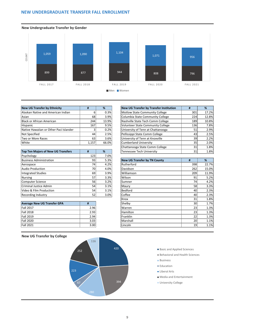## <span id="page-13-0"></span>**NEW UNDERGRADUATE TRANSFER FALL ENROLLMENT**



| <b>New UG Transfer by Ethnicity</b>    |           | %             | <b>New UG Transfer by Transfer Institution</b> | #   |  |
|----------------------------------------|-----------|---------------|------------------------------------------------|-----|--|
| Alaskan Native and American Indian     |           | 0.3%          | Motlow State Community College                 | 301 |  |
| Asian                                  | 68        | 3.9%          | Columbia State Community College               | 224 |  |
| Black or African American              | 244       | 13.9%         | Nashville State Tech Comm College              | 189 |  |
| Hispanic                               | 167       | 9.5%          | <b>Volunteer State Community College</b>       | 136 |  |
| Native Hawaiian or Other Paci Islander |           | 0.2%          | University of Tenn at Chattanooga              | 51  |  |
| Not Specified                          | 44        | 2.5%          | Pellissippi State Comm College                 | 43  |  |
| Two or More Races                      | 63        | 3.6%          | University of Tenn at Knoxville                | 39  |  |
| n/hite)                                | 1 1 5 7 1 | <b>66 NSI</b> | Cumherland University                          | 35  |  |

| Top Ten Majors of New UG Transfers | #   | %    | <b>Tennessee Tech University</b>    | 31  | 1.8%  |
|------------------------------------|-----|------|-------------------------------------|-----|-------|
| Psychology                         | 123 | 7.0% |                                     |     |       |
| <b>Business Administration</b>     | 93  | 5.3% | <b>New UG Transfer by TN County</b> | #   | %     |
| Aerospace                          | 74  | 4.2% | Rutherford                          | 398 | 22.7% |
| Audio Production                   | 70  | 4.0% | Davidson                            | 262 | 15.0% |
| Integrated Studies                 | 69  | 3.9% | Williamson                          | 209 | 11.9% |
| Nursing                            | 57  | 3.3% | Wilson                              | 91  | 5.2%  |
| Computer Science                   | 56  | 3.2% | Sumner                              | 74  | 4.2%  |
| Criminal Justice Admin             | 54  | 3.1% | Maury                               | 58  | 3.3%  |
| Video & Film Production            | 54  | 3.1% | Bedford                             | 40  | 2.3%  |
| <b>Recording Industry</b>          | 52  | 3.0% | Coffee                              | 40  | 2.3%  |

| <b>Average New UG Transfer GPA</b> | Ħ    |
|------------------------------------|------|
| <b>Fall 2017</b>                   | 2.96 |
| <b>Fall 2018</b>                   | 2.93 |
| <b>Fall 2019</b>                   | 2.94 |
| <b>Fall 2020</b>                   | 3.03 |
| <b>Fall 2021</b>                   | 3.00 |

| <b>New UG Transfer by Ethnicity</b>       | #     | %     | <b>New UG Transfer by Transfer Institution</b> | Ħ   | %     |
|-------------------------------------------|-------|-------|------------------------------------------------|-----|-------|
| Alaskan Native and American Indian        | ь     | 0.3%  | Motlow State Community College                 | 301 | 17.2% |
| Asian                                     | 68    | 3.9%  | Columbia State Community College               | 224 | 12.8% |
| <b>Black or African American</b>          | 244   | 13.9% | Nashville State Tech Comm College              | 189 | 10.8% |
| Hispanic                                  | 167   | 9.5%  | <b>Volunteer State Community College</b>       | 136 | 7.8%  |
| Native Hawaiian or Other Paci Islander    |       | 0.2%  | University of Tenn at Chattanooga              | 51  | 2.9%  |
| Not Specified                             | 44    | 2.5%  | Pellissippi State Comm College                 | 43  | 2.5%  |
| Two or More Races                         | 63    | 3.6%  | University of Tenn at Knoxville                | 39  | 2.2%  |
| White                                     | 1,157 | 66.0% | <b>Cumberland University</b>                   | 35  | 2.0%  |
|                                           |       |       | Chattanooga State Comm College                 | 31  | 1.8%  |
| <b>Top Ten Majors of New UG Transfers</b> | #     | %     | Tennessee Tech University                      | 31  | 1.8%  |

|                                    | ---  | ,    |                                     |     |       |
|------------------------------------|------|------|-------------------------------------|-----|-------|
| <b>Business Administration</b>     | 93   | 5.3% | <b>New UG Transfer by TN County</b> | #   | %     |
| Aerospace                          | 74   | 4.2% | Rutherford                          | 398 | 22.7% |
| <b>Audio Production</b>            | 70   | 4.0% | Davidson                            | 262 | 15.0% |
| <b>Integrated Studies</b>          | 69   | 3.9% | Williamson                          | 209 | 11.9% |
| <b>Nursing</b>                     | 57   | 3.3% | Wilson                              | 91  | 5.2%  |
| Computer Science                   | 56   | 3.2% | Sumner                              | 74  | 4.2%  |
| Criminal Justice Admin             | 54   | 3.1% | Maury                               | 58  | 3.3%  |
| Video & Film Production            | 54   | 3.1% | <b>Bedford</b>                      | 40  | 2.3%  |
| <b>Recording Industry</b>          | 52   | 3.0% | Coffee                              | 40  | 2.3%  |
|                                    |      |      | Knox                                | 31  | 1.8%  |
| <b>Average New UG Transfer GPA</b> | #    |      | Shelby                              | 30  | 1.7%  |
| Fall 2017                          | 2.96 |      | Warren                              | 23  | 1.3%  |
| <b>Fall 2018</b>                   | 2.93 |      | Hamilton                            | 23  | 1.3%  |
| Fall 2019                          | 2.94 |      | Franklin                            | 22  | 1.3%  |
| <b>Fall 2020</b>                   | 3.03 |      | Marshall                            | 20  | 1.1%  |
| <b>Fall 2021</b>                   | 3.00 |      | Lincoln                             | 19  | 1.1%  |
|                                    |      |      |                                     |     |       |

#### **New UG Transfer by College**

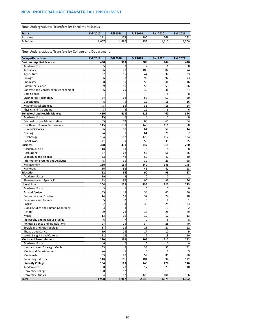**New Undergraduate Transfers by Enrollment Status**

| <b>Status</b> | <b>Fall 2017</b> | <b>Fall 2018</b> | <b>Fall 2019</b> | <b>Fall 2020</b> | <b>Fall 2021</b> |
|---------------|------------------|------------------|------------------|------------------|------------------|
| Part-time     | 291              | 277              | 290              | 269              | 252              |
| Full-time     | 1,667'           | ا690.            | 7581<br><b></b>  | 1,610'           | 1,500            |

**New Undergraduate Transfers by College and Department**

| <b>College/Department</b>                   | <b>Fall 2017</b> | <b>Fall 2018</b> | <b>Fall 2019</b> | <b>Fall 2020</b> | <b>Fall 2021</b> |
|---------------------------------------------|------------------|------------------|------------------|------------------|------------------|
| <b>Basic and Applied Sciences</b>           | 490              | 503              | 508              | 444              | 420              |
| <b>Academic Focus</b>                       | 5                | 0                |                  | 6                | 0                |
| Aerospace                                   | 56               | 78               | 100              | 82               | 74               |
| Agriculture                                 | 62               | 55               | 44               | 37               | 33               |
| Biology                                     | 86               | 98               | 92               | 92               | 73               |
| Chemistry                                   | 88               | 80               | 55               | 46               | 46               |
| <b>Computer Science</b>                     | 59               | 50               | 52               | 53               | 56               |
| <b>Concrete and Construction Management</b> | 26               | 29               | 39               | 36               | 24               |
| Data Science                                | --               |                  |                  | 5                | 8                |
| <b>Engineering Technology</b>               | 54               | 62               | 58               | 51               | 60               |
| Geosciences                                 | 8                | 9                | 19               | 15               | 16               |
| <b>Mathematical Sciences</b>                | 43               | 36               | 35               | 15               | 24               |
| Physics and Astronomy                       | 3                | 6                | 12               | 6                | 6                |
| <b>Behavioral and Health Sciences</b>       | 460              | 413              | 516              | 460              | 394              |
| <b>Academic Focus</b>                       | 15               | 0                | $\mathbf 0$      | 0                | $\overline{0}$   |
| <b>Criminal Justice Administration</b>      | 65               | 52               | 65               | 65               | 54               |
| <b>Health and Human Performance</b>         | 115              | 139              | 145              | 116              | 80               |
| <b>Human Sciences</b>                       | 96               | 58               | 64               | 57               | 44               |
| <b>Nursing</b>                              | 24               | 8                | 61               | 71               | 57               |
| Psychology                                  | 104              | 117              | 129              | 112              | 124              |
| Social Work                                 | 41               | 39               | 52               | 39               | 35               |
| <b>Business</b>                             | 338              | 331              | 347              | 319              | 280              |
| <b>Academic Focus</b>                       | 18               | 13               | 6                | 5                | 8                |
| Accounting                                  | 57               | 62               | 55               | 56               | 46               |
| <b>Economics and Finance</b>                | 32               | 44               | 60               | 43               | 30               |
| <b>Information Systems and Analytics</b>    | 45               | 35               | 32               | 26               | 28               |
| Management                                  | 130              | 139              | 149              | 148              | 145              |
| Marketing                                   | 56               | 38               | 45               | 41               | 23               |
| Education                                   | 82               | 96               | 90               | 95               | 67               |
| <b>Academic Focus</b>                       | 19               | 2                | 0                | 0                | 1                |
| <b>Elementary and Special Ed</b>            | 63               | 94               | 90               | 95               | 66               |
| <b>Liberal Arts</b>                         | 204              | 229              | 235              | 222              | 223              |
| <b>Academic Focus</b>                       | 3                | 1                | 0                | 0                | 0                |
| Art and Design                              | 35               | 48               | 33               | 41               | 36               |
| <b>Communication Studies</b>                | 14               | 18               | 32               | 24               | 20               |
| <b>Economics and Finance</b>                | 5                | $\overline{2}$   | 6                | 8                | 1                |
| English                                     | 22               | 34               | 33               | 25               | 33               |
| Global Studies and Human Geography          | 3                | 4                | 3                | $\mathbf 1$      | $\overline{2}$   |
| History                                     | 29               | 24               | 36               | 28               | 29               |
| Music                                       | 13               | 19               | 10               | 12               | 13               |
| Philosophy and Religious Studies            | 6                | 7                | 9                | 5                | 8                |
| <b>Political Science and Intl Relations</b> | 27               | 25               | 34               | 28               | 40               |
| Sociology and Anthropology                  | 17               | 11               | 13               | 27               | 22               |
| Theatre and Dance                           | 19               | 18               | 17               | 10               | 9                |
| World Lang, Lit and Cultures                | 11               | 18               | 9                | 13               | 10               |
| <b>Media and Entertainment</b>              | 230              | 232              | 206              | 212              | 252              |
| <b>Academic Focus</b>                       | 6                | 0                | 0                | 0                | $\Omega$         |
| Journalism and Strategic Media              | 43               | 45               | 38               | 33               | 31               |
| Media and Entertainment                     | ---              | 1                | 5                | $\overline{2}$   | 9                |
| Media Arts                                  | 63               | 80               | 59               | 85               | 90               |
| Recording Industry                          | 118              | 106              | 104              | 92               | 122              |
| <b>University College</b>                   | 154              | 163              | 146              | 127              | 116              |
| <b>Academic Focus</b>                       | 30               | 29               | 17               | 23               | 10               |
| <b>University College</b>                   | 120              | 52               |                  |                  |                  |
| <b>University Studies</b>                   | 4                | 82               | 129              | 104              | 106              |
| <b>Total</b>                                | 1,958            | 1,967            | 2,048            | 1,879            | 1,752            |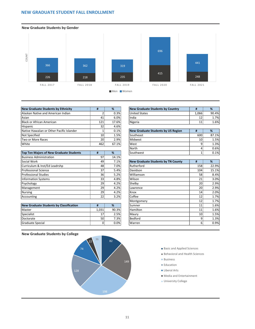## <span id="page-15-0"></span>**NEW GRADUATE STUDENT FALL ENROLLMENT**



| <b>New Graduate Students by Ethnicity</b> | Ħ               | %     | New Graduate Students by Country          | #     | %     |
|-------------------------------------------|-----------------|-------|-------------------------------------------|-------|-------|
| Alaskan Native and American Indian        |                 | 0.3%  | <b>United States</b>                      | 1,066 | 90.4% |
| Asian                                     | 41              | 6.0%  | India                                     | 12    | 1.7%  |
| Black or African American                 | 121             | 17.6% | Nigeria                                   | 11    | 1.6%  |
| Hispanic                                  | 32              | 4.6%  |                                           |       |       |
| Native Hawaiian or Other Pacific Islander |                 | 0.1%  | <b>New Graduate Students by US Region</b> | #     | %     |
| Not Specified                             | 10 <sub>l</sub> | 1.5%  | Southeast                                 | 600   | 87.1% |
| Two or More Races                         | 20 <sup>1</sup> | 2.9%  | Midwest                                   | 10l   | 1.5%  |
| White                                     | 462             | 67.1% | West                                      |       | 1.3%  |

| <b>Top Ten Majors of New Graduate Students</b> | #  | %     | Southwest                                 |                 | 0.1%  |
|------------------------------------------------|----|-------|-------------------------------------------|-----------------|-------|
| <b>Business Administration</b>                 | 97 | 14.1% |                                           |                 |       |
| Social Work                                    | 49 | 7.1%  | <b>New Graduate Students by TN County</b> | #               | %     |
| Curriculum & Inst/Ed Leadrshp                  | 48 | 7.0%  | Rutherford                                | 158             | 22.9% |
| Professional Science                           | 37 | 5.4%  | Davidson                                  | 104             | 15.1% |
| <b>Professional Studies</b>                    | 36 | 5.2%  | Williamson                                | 58              | 8.4%  |
| Information Systems                            | 33 | 4.8%  | Wilson                                    | 21              | 3.0%  |
| Psychology                                     | 29 | 4.2%  | Shelby                                    | 20              | 2.9%  |
| Management                                     | 29 | 4.2%  | Lawrence                                  | 20 <sup>1</sup> | 2.9%  |
| Nursing                                        | 29 | 4.2%  | Knox                                      | 14 <sup>1</sup> | 2.0%  |
| Accounting                                     | 22 | 3.2%  | Coffee                                    | 12              | 1.7%  |

| <b>New Graduate Students by Classification</b> |                 | %     | Sumner        | 11              | $1.6\%$ |
|------------------------------------------------|-----------------|-------|---------------|-----------------|---------|
| <b>IMaster</b>                                 | L,031           | 90.3% | Hamilton      | 11              | 1.6%    |
| Specialist                                     | 17 <sub>1</sub> | 2.5%  | l Maurv       | 10 <sup>1</sup> | 1.5%    |
| Doctorate                                      | <b>50</b>       | 7.3%  | Bedford       |                 | 1.3%    |
| Graduate Special                               |                 | 0.0%  | <b>Warren</b> |                 | 0.9%    |

| <b>New Graduate Students by Country</b> | Ħ     | ℅       |
|-----------------------------------------|-------|---------|
| United States                           | 1.066 | 90.4%   |
| India                                   |       | 1.7%    |
| Nigeria                                 |       | $1.6\%$ |

| <b>New Graduate Students by US Region</b> | Ħ   | %     |
|-------------------------------------------|-----|-------|
| Southeast                                 | 600 | 87.1% |
| Midwest                                   | 10  | 1.5%  |
| West                                      |     | 1.3%  |
| North                                     |     | 0.6%  |
| Southwest                                 |     | 0.1%  |

| <b>New Graduate Students by TN County</b> | #   | %     |
|-------------------------------------------|-----|-------|
| Rutherford                                | 158 | 22.9% |
| Davidson                                  | 104 | 15.1% |
| Williamson                                | 58  | 8.4%  |
| Wilson                                    | 21  | 3.0%  |
| Shelby                                    | 20  | 2.9%  |
| Lawrence                                  | 20  | 2.9%  |
| Knox                                      | 14  | 2.0%  |
| Coffee                                    | 12  | 1.7%  |
| Montgomery                                | 12  | 1.7%  |
| Sumner                                    | 11  | 1.6%  |
| Hamilton                                  | 11  | 1.6%  |
| Maury                                     | 10  | 1.5%  |
| <b>Bedford</b>                            | 9   | 1.3%  |
| Warren                                    | 6   | 0.9%  |



- Basic and Applied Sciences
	- Behavioral and Health Sciences
	- **Business**
	- **Education**
- **Liberal Arts**
- Media and Entertainment
- **University College**

## **New Graduate Students by College**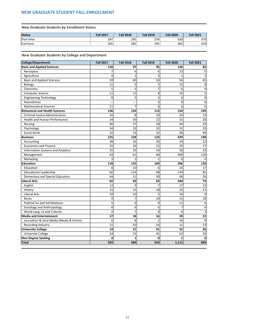# <span id="page-16-0"></span>**NEW GRADUATE STUDENT FALL ENROLLMENT**

# **New Graduate Students by Enrollment Status**

| Status    | <b>Fall 2017</b> | <b>Fall 2018</b> | <b>Fall 2019</b> | <b>Fall 2020</b> | <b>Fall 2021</b> |
|-----------|------------------|------------------|------------------|------------------|------------------|
| Part-time | 287              | 295              | 259              | 630              | 370              |
| Full-time | 305              | 285              | 295              | 481              | 319              |

**New Graduate Students by College and Department**

| <b>College/Department</b>                 | <b>Fall 2017</b> | <b>Fall 2018</b> | <b>Fall 2019</b> | <b>Fall 2020</b> | <b>Fall 2021</b> |
|-------------------------------------------|------------------|------------------|------------------|------------------|------------------|
| <b>Basic and Applied Sciences</b>         | 116              | 97               | 95               | 136              | 82               |
| Aerospace                                 |                  | 6                | 6                | 23               | 5                |
| Agriculture                               | 4                | $\mathbf{1}$     | 3                | 1                | 3                |
| <b>Basic and Applied Sciences</b>         | 59               | 60               | 53               | 56               | 45               |
| Biology                                   | 11               | 3                | 5                | 13               | 8                |
| Chemistry                                 | 5                | 5                |                  | 6                | 4                |
| <b>Computer Science</b>                   | 11               | 11               | 8                | 16               | 5                |
| <b>Engineering Technology</b>             | 8                | 5                | $\overline{2}$   | 6                | 0                |
| Geosciences                               | ---              | ---              | 5                | 9                | 6                |
| <b>Mathematical Sciences</b>              | 11               | 7                | 6                | 6                | 6                |
| <b>Behavioral and Health Sciences</b>     | 136              | 120              | 113              | 154              | 149              |
| <b>Criminal Justice Administration</b>    | 10               | 8                | 10               | 20               | 14               |
| <b>Health and Human Performance</b>       | 24               | 30               | 22               | 31               | 28               |
| <b>Nursing</b>                            | 46               | 27               | 18               | 44               | 29               |
| Psychology                                | 34               | 32               | 32               | 31               | 29               |
| Social Work                               | 22               | 23               | 31               | 28               | 49               |
| <b>Business</b>                           | 125              | 128              | 122              | 429              | 198              |
| Accounting                                | 38               | 16               | 26               | 29               | 22               |
| <b>Economics and Finance</b>              | 16               | 24               | 21               | 35               | 17               |
| <b>Information Systems and Analytics</b>  | 25               | 25               | 14               | 56               | 33               |
| Management                                | 43               | 61               | 60               | 309              | 126              |
| Marketing                                 | 3                | $\overline{2}$   | $\mathbf{1}$     | 0                | $\mathbf 0$      |
| <b>Education</b>                          | 118              | 135              | 104              | 206              | 128              |
| Education                                 | 8                | 10               | 6                | 24               | 17               |
| <b>Educational Leadership</b>             | 66               | 114              | 68               | 134              | 85               |
| <b>Elementary and Special Education</b>   | 44               | 11               | 30               | 48               | 26               |
| <b>Liberal Arts</b>                       | 62               | 60               | 63               | 104              | 74               |
| English                                   | 13               | 9                |                  | 17               | 13               |
| History                                   | 15               | 15               | 18               | 32               | 21               |
| <b>Liberal Arts</b>                       | 10               | 10               | 5                | 16               | 9                |
| Music                                     | 9                | 7                | 10               | 15               | $18\,$           |
| Political Sci and Intl Relations          | 5                | 6                | 9                | 11               | 6                |
| Sociology and Anthropology                | 8                | 6                | 6                | 7                | 4                |
| World Lang, Lit and Cultures              | $\overline{2}$   | $\overline{7}$   | 8                | 6                | 3                |
| <b>Media and Entertainment</b>            | 17               | 18               | 16               | 29               | 22               |
| Journalism & Strat Media (Media & Entrtn) | 6                | 8                | $\overline{2}$   | 18               | $\overline{9}$   |
| Recording Industry                        | 11               | 10               | 14               | 11               | 13               |
| <b>University College</b>                 | 14               | 21               | 41               | 52               | 36               |
| <b>University College</b>                 | 14               | 21               | 41               | 52               | 36               |
| <b>Non-Degree Seeking</b>                 | 4                | 1                | $\mathbf 0$      | 1                | $\mathbf 0$      |
| Total                                     | 592              | 580              | 554              | 1,111            | 689              |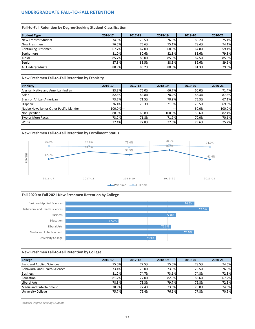#### <span id="page-17-0"></span>**Fall-to-Fall Retention by Degree-Seeking Student Classification**

| <b>Student Type</b>  | 2016-17 | 2017-18 | 2018-19 | 2019-20      | 2020-21 |
|----------------------|---------|---------|---------|--------------|---------|
| New Transfer Student | 74.5%   | 76.5%   | 76.3%   | 80.2%        | 75.1%   |
| New Freshmen         | 76.5%   | 75.6%   | 75.1%   | <b>78.4%</b> | 74.1%   |
| Continuing Freshmen  | 67.7%   | 67.0%   | 68.0%   | 64.8%        | 59.1%   |
| Sophomore            | 81.0%   | 80.6%   | 82.8%   | 83.6%        | 79.8%   |
| Junior               | 85.7%   | 86.0%   | 85.9%   | 87.5%        | 85.3%   |
| Senior               | 87.8%   | 88.5%   | 88.3%   | 89.6%        | 89.6%   |
| All Undergraduate    | 80.9%   | 80.2%   | 80.0%   | 81.3%        | 79.3%   |

**New Freshmen Fall-to-Fall Retention by Ethnicity**

| Ethnicity                                 | 2016-17       | 2017-18 | 2018-19 | 2019-20 | 2020-21 |
|-------------------------------------------|---------------|---------|---------|---------|---------|
| Alaskan Native and American Indian        | 83.3%         | 75.0%   | 66.7%   | 60.0%   | 71.4%   |
| Asian                                     | 82.6%         | 84.8%   | 78.2%   | 86.3%   | 87.5%   |
| Black or African American                 | 73.2%         | 71.5%   | 70.9%   | 75.3%   | 67.1%   |
| Hispanic                                  | 76.4%         | 70.3%   | 71.6%   | 78.5%   | 69.3%   |
| Native Hawaiian or Other Pacific Islander | $100.0\%$ --- |         | $---$   | 50.0%   | 100.0%  |
| Not Specified                             | 88.9%         | 68.8%   | 100.0%  | 55.6%   | 82.4%   |
| Two or More Races                         | 73.2%         | 71.8%   | 71.9%   | 70.0%   | 70.1%   |
| <b>White</b>                              | 77.4%         | 77.8%   | 77.0%   | 79.6%   | 75.7%   |

#### **New Freshmen Fall-to-Fall Retention by Enrollment Status**



#### **Fall 2020 to Fall 2021 New Freshmen Retention by College**



#### **New Freshmen Fall-to-Fall Retention by College**

| <b>College</b>                    | 2016-17 | 2017-18 | 2018-19 | 2019-20 | 2020-21 |
|-----------------------------------|---------|---------|---------|---------|---------|
| <b>Basic and Applied Sciences</b> | 75.0%   | 77.5%   | 75.0%I  | 78.5%   | 74.6%   |
| Behavioral and Health Sciences    | 73.4%   | 73.0%   | 73.5%   | 79.5%   | 76.0%   |
| <b>Business</b>                   | 81.2%   | 74.7%   | 73.6%   | 74.8%   | 72.8%   |
| Education                         | 81.2%   | 77.0%   | 82.9%   | 83.6%   | 67.2%   |
| Liberal Arts                      | 78.8%   | 73.3%   | 79.7%   | 79.8%   | 72.3%   |
| Media and Entertainment           | 78.9%   | 77.4%   | 73.6%   | 78.0%   | 74.5%   |
| <b>University College</b>         | 75.7%   | 75.4%   | 76.6%   | 77.8%   | 70.9%   |

*Includes Degree-Seeking Students*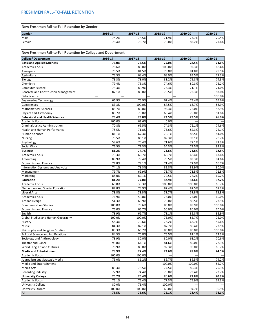# <span id="page-18-0"></span>**New Freshmen Fall-to-Fall Retention by Gender**

| Gender | 2016-17 | 2017-18 | 2018-19                          | 2019-20     | 2020-21 |
|--------|---------|---------|----------------------------------|-------------|---------|
| Male   | 74.2%   | 74.5%   | $\overline{\phantom{a}}$<br>1.9% | フつ<br>73.7% | 70.4%   |
| Female | 78.4%   | 76.7%   | 78.0%                            | 83.2%       | 77.6%   |

**New Freshmen Fall-to-Fall Retention by College and Department**

| <b>College/ Department</b>                  | 2016-17 | 2017-18 | 2018-19 | 2019-20 | 2020-21 |
|---------------------------------------------|---------|---------|---------|---------|---------|
| <b>Basic and Applied Sciences</b>           | 75.0%   | 77.5%   | 75.0%   | 78.5%   | 74.6%   |
| <b>Academic Focus</b>                       | 78.6%   | 80.0%   | 100.0%  | 92.3%   | 68.4%   |
| Aerospace                                   | 75.5%   | 84.5%   | 78.0%   | 81.8%   | 78.5%   |
| Agriculture                                 | 73.3%   | 68.4%   | 68.9%   | 83.5%   | 71.3%   |
| Biology                                     | 73.3%   | 78.0%   | 81.2%   | 79.8%   | 74.3%   |
| Chemistry                                   | 79.4%   | 73.3%   | 74.6%   | 80.3%   | 76.2%   |
| <b>Computer Science</b>                     | 73.3%   | 80.9%   | 75.3%   | 71.1%   | 71.0%   |
| <b>Concrete and Construction Management</b> | 82.1%   | 80.0%   | 75.5%   | 73.3%   | 83.0%   |
| Data Science                                | --      |         |         |         | 100.0%  |
| <b>Engineering Technology</b>               | 66.9%   | 75.9%   | 62.4%   | 73.4%   | 65.6%   |
| Geosciences                                 | 83.3%   | 100.0%  | 87.5%   | 66.7%   | 88.9%   |
| <b>Mathematical Sciences</b>                | 85.7%   | 80.0%   | 93.3%   | 76.0%   | 52.9%   |
| Physics and Astronomy                       | 85.7%   | 75.0%   | 68.4%   | 75.0%   | 81.8%   |
| <b>Behavioral and Health Sciences</b>       | 73.4%   | 73.0%   | 73.5%   | 79.5%   | 76.0%   |
| <b>Academic Focus</b>                       | 100.0%  | 63.6%   | 0.0%    |         |         |
| <b>Criminal Justice Administration</b>      | 70.8%   | 69.5%   | 74.3%   | 72.1%   | 74.6%   |
| Health and Human Performance                | 78.5%   | 71.8%   | 75.6%   | 82.3%   | 72.1%   |
| <b>Human Sciences</b>                       | 81.1%   | 67.3%   | 70.1%   | 88.5%   | 81.0%   |
| <b>Nursing</b>                              | 75.5%   | 86.1%   | 82.3%   | 93.1%   | 78.7%   |
| Psychology                                  | 59.6%   | 76.4%   | 71.6%   | 72.1%   | 71.9%   |
| Social Work                                 | 76.5%   | 77.3%   | 54.3%   | 73.5%   | 93.8%   |
| <b>Business</b>                             | 81.2%   | 74.7%   | 73.6%   | 74.8%   | 72.8%   |
| <b>Academic Focus</b>                       | 73.3%   | 69.7%   | 66.7%   | 68.4%   | 63.6%   |
| Accounting                                  | 88.9%   | 79.4%   | 76.5%   | 83.3%   | 84.6%   |
| <b>Economics and Finance</b>                | 77.8%   | 79.1%   | 71.4%   | 72.9%   | 66.7%   |
| <b>Information Systems and Analytics</b>    | 74.1%   | 78.3%   | 82.8%   | 83.9%   | 80.0%   |
| Management                                  | 79.7%   | 69.9%   | 73.7%   | 71.5%   | 72.8%   |
| Marketing                                   | 88.0%   | 82.1%   | 72.5%   | 77.2%   | 69.2%   |
| <b>Education</b>                            | 81.2%   | 77.0%   | 82.9%   | 83.6%   | 67.2%   |
| <b>Academic Focus</b>                       | 60.0%   | 33.3%   | 100.0%  | 100.0%  | 66.7%   |
| <b>Elementary and Special Education</b>     | 82.8%   | 78.9%   | 82.4%   | 82.5%   | 67.2%   |
| <b>Liberal Arts</b>                         | 78.8%   | 73.3%   | 79.7%   | 79.8%   | 72.3%   |
| <b>Academic Focus</b>                       | 76.9%   | 50.0%   | 75.0%   | 75.0%   | 60.0%   |
| Art and Design                              | 54.3%   | 68.9%   | 70.0%   | 80.5%   | 73.1%   |
| <b>Communication Studies</b>                | 100.0%  | 78.6%   | 80.0%   | 88.9%   | 100.0%  |
| <b>Economics and Finance</b>                | 75.0%   | 66.7%   | 50.0%   | 80.0%   | 70.0%   |
| English                                     | 78.9%   | 66.7%   | 78.1%   | 82.8%   | 82.9%   |
| Global Studies and Human Geography          | 100.0%  | 100.0%  | 75.0%   | 85.7%   | 75.0%   |
| History                                     | 58.3%   | 70.6%   | 76.2%   | 66.7%   | 55.6%   |
| Music                                       | 84.3%   | 82.1%   | 87.7%   | 80.4%   | 73.5%   |
| Philosophy and Religious Studies            | 83.3%   | 66.7%   | 80.0%   | 80.0%   | 100.0%  |
| <b>Political Science and Intl Relations</b> | 84.3%   | 70.8%   | 76.5%   | 82.1%   | 72.3%   |
| Sociology and Anthropology                  | 78.9%   | 80.0%   | 80.0%   | 63.2%   | 70.6%   |
| Theatre and Dance                           | 93.8%   | 64.1%   | 81.6%   | 80.0%   | 72.3%   |
| World Lang, Lit and Cultures                | 78.9%   | 80.0%   | 92.3%   | 90.0%   | 66.7%   |
| <b>Media and Entertainment</b>              | 78.9%   | 77.4%   | 73.6%   | 78.0%   | 74.5%   |
| <b>Academic Focus</b>                       | 100.0%  | 100.0%  |         |         |         |
| Journalism and Strategic Media              | 75.0%   | 86.2%   | 89.7%   | 89.5%   | 79.2%   |
| Media and Entertainment                     |         |         | 100.0%  | 100.0%  | 85.7%   |
| Media Arts                                  | 83.3%   | 78.5%   | 74.5%   | 80.3%   | 75.3%   |
| Recording Industry                          | 77.9%   | 74.4%   | 70.0%   | 73.4%   | 72.7%   |
| <b>University College</b>                   | 75.7%   | 75.4%   | 76.6%   | 77.8%   | 70.9%   |
| <b>Academic Focus</b>                       | 75.1%   | 75.4%   | 77.3%   | 75.9%   | 69.3%   |
| <b>University College</b>                   | 80.0%   | 71.4%   | 100.0%  | ---     |         |
| <b>University Studies</b>                   | 100.0%  | 100.0%  | 60.0%   | 94.7%   | 90.9%   |
| All                                         | 76.5%   | 75.6%   | 75.1%   | 78.4%   | 74.1%   |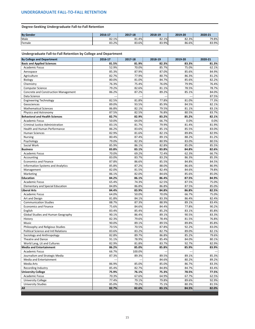## <span id="page-19-0"></span>**Degree-Seeking Undergraduate Fall-to-Fall Retention**

| <b>By Gender</b> | 2016-17 | 2017-18 | 2018-19 | 2019-20 | 2020-21 |
|------------------|---------|---------|---------|---------|---------|
| Male             | 82.1%   | 81.4%   | 82.1%   | 82.3%   | 79.8%   |
| Female           | 83.2%   | 83.6%   | 83.9%   | 86.6%   | 83.9%   |

**Undergraduate Fall-to-Fall Retention by College and Department**

| <b>By College and Department</b>            | 2016-17 | 2017-18 | 2018-19 | 2019-20 | 2020-21 |
|---------------------------------------------|---------|---------|---------|---------|---------|
| <b>Basic and Applied Sciences</b>           | 81.5%   | 81.9%   | 82.3%   | 83.3%   | 81.3%   |
| <b>Academic Focus</b>                       | 52.9%   | 70.0%   | 85.7%   | 75.0%   | 62.1%   |
| Aerospace                                   | 85.3%   | 87.9%   | 87.0%   | 85.6%   | 84.9%   |
| Agriculture                                 | 82.7%   | 77.9%   | 80.7%   | 86.3%   | 81.2%   |
| Biology                                     | 80.0%   | 81.0%   | 84.7%   | 85.6%   | 82.2%   |
| Chemistry                                   | 76.3%   | 75.4%   | 76.0%   | 79.9%   | 76.4%   |
| <b>Computer Science</b>                     | 79.2%   | 82.6%   | 81.1%   | 78.5%   | 78.7%   |
| <b>Concrete and Construction Management</b> | 86.2%   | 87.2%   | 89.2%   | 85.1%   | 84.0%   |
| Data Science                                |         |         |         |         | 87.5%   |
| <b>Engineering Technology</b>               | 82.5%   | 81.8%   | 77.8%   | 81.0%   | 77.3%   |
| Geosciences                                 | 89.0%   | 93.5%   | 85.9%   | 84.5%   | 82.1%   |
| <b>Mathematical Sciences</b>                | 86.8%   | 82.1%   | 79.5%   | 81.1%   | 83.1%   |
| Physics and Astronomy                       | 87.5%   | 82.5%   | 76.8%   | 80.5%   | 83.7%   |
| <b>Behavioral and Health Sciences</b>       | 82.7%   | 82.9%   | 83.2%   | 85.2%   | 82.1%   |
| <b>Academic Focus</b>                       | 50.0%   | 64.0%   | 66.7%   | 0.0%    | 0.0%    |
| <b>Criminal Justice Administration</b>      | 83.1%   | 81.7%   | 79.9%   | 81.4%   | 81.9%   |
| Health and Human Performance                | 86.2%   | 83.6%   | 85.1%   | 85.5%   | 83.0%   |
| <b>Human Sciences</b>                       | 82.9%   | 81.6%   | 82.1%   | 89.8%   | 82.9%   |
| <b>Nursing</b>                              | 80.4%   | 87.4%   | 89.1%   | 88.2%   | 81.2%   |
| Psychology                                  | 79.0%   | 82.3%   | 80.9%   | 83.0%   | 80.5%   |
| Social Work                                 | 85.9%   | 86.1%   | 82.8%   | 85.0%   | 85.5%   |
| <b>Business</b>                             | 83.8%   | 83.1%   | 83.8%   | 84.8%   | 82.6%   |
| <b>Academic Focus</b>                       | 70.0%   | 69.2%   | 72.4%   | 62.3%   | 66.7%   |
| Accounting                                  | 83.0%   | 83.7%   | 83.2%   | 86.3%   | 85.3%   |
| <b>Economics and Finance</b>                | 87.8%   | 86.6%   | 85.5%   | 84.8%   | 84.5%   |
| <b>Information Systems and Analytics</b>    | 85.8%   | 87.2%   | 88.0%   | 86.6%   | 86.9%   |
| Management                                  | 82.0%   | 81.5%   | 82.4%   | 84.6%   | 79.8%   |
| Marketing                                   | 86.1%   | 82.0%   | 84.6%   | 85.6%   | 85.0%   |
| <b>Education</b>                            | 84.2%   | 86.1%   | 86.4%   | 87.5%   | 84.9%   |
| <b>Academic Focus</b>                       | 65.4%   | 74.3%   | 62.5%   | 87.5%   | 75.0%   |
| <b>Elementary and Special Education</b>     | 84.8%   | 86.8%   | 86.8%   | 87.5%   | 85.0%   |
| <b>Liberal Arts</b>                         | 84.4%   | 83.9%   | 84.8%   | 86.8%   | 82.5%   |
| <b>Academic Focus</b>                       | 64.0%   | 50.0%   | 70.0%   | 66.7%   | 75.0%   |
| Art and Design                              | 81.8%   | 84.1%   | 83.3%   | 86.4%   | 82.4%   |
| <b>Communication Studies</b>                | 88.7%   | 87.3%   | 88.9%   | 89.1%   | 83.4%   |
| <b>Economics and Finance</b>                | 75.6%   | 84.6%   | 84.4%   | 77.8%   | 90.2%   |
| English                                     | 83.4%   | 85.4%   | 85.2%   | 83.1%   | 85.8%   |
| <b>Global Studies and Human Geography</b>   | 90.1%   | 86.4%   | 89.1%   | 90.5%   | 83.3%   |
| History                                     | 82.3%   | 79.6%   | 78.4%   | 81.5%   | 76.8%   |
| Music                                       | 90.0%   | 89.1%   | 89.5%   | 89.8%   | 85.8%   |
| Philosophy and Religious Studies            | 70.5%   | 70.5%   | 87.8%   | 92.2%   | 83.0%   |
| <b>Political Science and Intl Relations</b> | 83.6%   | 83.2%   | 82.7%   | 89.0%   | 82.1%   |
| Sociology and Anthropology                  | 82.8%   | 89.7%   | 86.8%   | 85.2%   | 79.6%   |
| Theatre and Dance                           | 91.1%   | 78.9%   | 85.4%   | 84.0%   | 80.1%   |
| World Lang, Lit and Cultures                | 82.9%   | 81.8%   | 83.7%   | 92.7%   | 82.9%   |
| <b>Media and Entertainment</b>              | 86.2%   | 85.0%   | 85.8%   | 85.9%   | 83.9%   |
| <b>Academic Focus</b>                       | 66.7%   | 100.0%  |         |         |         |
| Journalism and Strategic Media              | 87.3%   | 89.3%   | 89.5%   | 89.1%   | 85.3%   |
| Media and Entertainment                     |         |         | 84.6%   | 80.2%   | 89.2%   |
| Media Arts                                  | 86.9%   | 85.0%   | 85.0%   | 86.7%   | 83.3%   |
| Recording Industry                          | 85.4%   | 82.7%   | 84.8%   | 84.7%   | 83.4%   |
| <b>University College</b>                   | 75.9%   | 76.1%   | 75.3%   | 78.5%   | 77.5%   |
| <b>Academic Focus</b>                       | 70.3%   | 67.6%   | 64.9%   | 67.7%   | 62.5%   |
| <b>University College</b>                   | 77.4%   | 79.1%   | 79.8%   | 89.6%   | 92.9%   |
| <b>University Studies</b>                   | 85.0%   | 79.2%   | 75.1%   | 80.3%   | 81.5%   |
| All                                         | 82.7%   | 82.6%   | 83.1%   | 84.5%   | 82.0%   |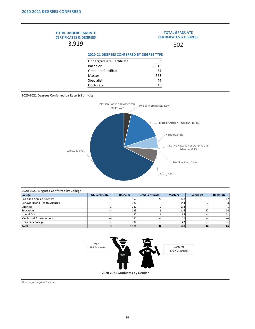44 46

#### **2020-2021 Degrees Conferred by Race & Ethnicity**

| 2020-2021 Degrees Conferred by College |                       |                  |                         |                |                   |                  |
|----------------------------------------|-----------------------|------------------|-------------------------|----------------|-------------------|------------------|
| <b>College</b>                         | <b>UG Certificate</b> | <b>Bachelor</b>  | <b>Grad Certificate</b> | <b>Masters</b> | <b>Specialist</b> | <b>Doctorate</b> |
| <b>Basic and Applied Sciences</b>      |                       | 852              | 20                      | 108            | $---$             | 17               |
| Behavioral and Health Sciences         | $---$                 | 922              | $---$                   | 143            |                   |                  |
| Business                               |                       | 642              |                         | 193            | $---$             |                  |
| Education                              | ---                   | 125 <sub>1</sub> |                         | 116            | 37                | 14               |
| Liberal Arts                           |                       | 487              |                         | 65             | $---$             | 11               |
| Media and Entertainment                | $---$                 | 491              | $---$                   | 11             | $---$             | $---$            |
| University College                     | $---$                 | 397              | $---$                   | 42             | $---$             | $---$            |
| Total                                  |                       | 3,916            | 34                      | 678            | 44                | 46               |

*First major degrees included*

#### <span id="page-20-0"></span>3 3,916 34 678 **2020-21 DEGREES CONFERRED BY DEGREE TYPE** Undergraduate Certificate Bachelor Graduate Certificate Master **TOTAL UNDERGRADUATE CERTIFICATES & DEGREES** 3,919 **TOTAL GRADUATE CERTIFICATES & DEGREES** 802



Specialist Doctorate

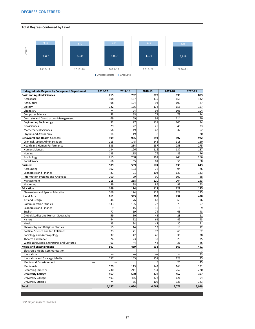<span id="page-21-0"></span>**Total Degrees Conferred by Level**

| <b>Undergraduate Degrees by College and Department</b> | 2016-17       | 2017-18 | 2018-19 | 2019-20                  | 2020-21 |
|--------------------------------------------------------|---------------|---------|---------|--------------------------|---------|
| <b>Basic and Applied Sciences</b>                      | 715           | 792     | 879     | 899                      | 853     |
| Aerospace                                              | 108           | 137     | 135     | 156                      | 142     |
| Agriculture                                            | 98            | 104     | 94      | 100                      | 87      |
| Biology                                                | 122           | 136     | 174     | 158                      | 167     |
| Chemistry                                              | 74            | 94      | 94      | 105                      | 104     |
| <b>Computer Science</b>                                | 53            | 65      | 78      | 73                       | 74      |
| <b>Concrete and Construction Management</b>            | 69            | 69      | 91      | 114                      | 90      |
| <b>Engineering Technology</b>                          | 92            | 97      | 138     | 106                      | 94      |
| Geosciences                                            | 29            | 22      | 25      | 46                       | 23      |
| <b>Mathematical Sciences</b>                           | 56            | 49      | 42      | 32                       | 52      |
| Physics and Astronomy                                  | 14            | 19      | 8       | 9                        | 20      |
| <b>Behavioral and Health Sciences</b>                  | 999           | 935     | 893     | 897                      | 922     |
| <b>Criminal Justice Administration</b>                 | 113           | 145     | 142     | 118                      | 110     |
| <b>Health and Human Performance</b>                    | 338           | 284     | 287     | 258                      | 275     |
| <b>Human Sciences</b>                                  | 134           | 126     | 116     | 137                      | 137     |
| <b>Nursing</b>                                         | 133           | 115     | 76      | 85                       | 76      |
| Psychology                                             | 215           | 200     | 191     | 243                      | 256     |
| Social Work                                            | 66            | 65      | 81      | 56                       | 68      |
| <b>Business</b>                                        | 589           | 599     | 574     | 630                      | 643     |
| Accounting                                             | 102           | 103     | 76      | 94                       | 76      |
| <b>Economics and Finance</b>                           | 83            | 91      | 103     | 133                      | 133     |
| <b>Information Systems and Analytics</b>               | 100           | 99      | 90      | 100                      | 88      |
| Management                                             | 215           | 218     | 220     | 204                      | 253     |
| Marketing                                              | 89            | 88      | 85      | 99                       | 93      |
| Education                                              | 169           | 124     | 113     | 127                      | 125     |
| <b>Elementary and Special Education</b>                | 169           | 124     | 113     | 127                      | 125     |
| <b>Liberal Arts</b>                                    | 611           | 585     | 592     | 492                      | 488     |
| Art and Design                                         | 44            | 76      | 67      | 65                       | 76      |
| <b>Communication Studies</b>                           | 133           | 105     | 72      | 70                       | 57      |
| <b>Economics and Finance</b>                           | $\Omega$<br>コ | 15      | 16      | $\Omega$<br>ပ            | 9       |
| English                                                | 77            | 59      | 74      | 63                       | 48      |
| <b>Global Studies and Human Geography</b>              | 59            | 50      | 42      | 28                       | 11      |
| History                                                | 44            | 52      | 61      | 49                       | 43      |
| Music                                                  | 33            | 34      | 47      | 30                       | 51      |
| Philosophy and Religious Studies                       | 15            | 14      | 13      | 13                       | 12      |
| <b>Political Science and Intl Relations</b>            | 73            | 71      | 73      | 65                       | 62      |
| Sociology and Anthropology                             | 37            | 42      | 46      | 36                       | 38      |
| Theatre and Dance                                      | 24            | 23      | 37      | 29                       | 35      |
| World Languages, Literatures and Cultures              | 63            | 44      | 44      | 36                       | 46      |
| <b>Media and Entertainment</b>                         | 507           | 469     | 538     | 569                      | 491     |
| <b>Electronic Media Communication</b>                  |               |         |         |                          | 7       |
| Journalism                                             | ---           | ---     | ---     | $\overline{\phantom{a}}$ | 43      |
| Journalism and Strategic Media                         | 157           | 145     | 157     | 128                      | 45      |
| Media and Entertainment                                | --            |         |         | 26                       | 45      |
| Media Arts                                             | 120           | 113     | 142     | 163                      | 131     |
| Recording Industry                                     | 230           | 211     | 234     | 252                      | 220     |
| <b>University College</b>                              | 567           | 530     | 478     | 457                      | 397     |
| <b>University College</b>                              | 493           | 465     | 372     | 121                      | 54      |
| <b>University Studies</b>                              | 74            | 65      | 106     | 336                      | 343     |
| <b>Total</b>                                           | 4,157         | 4,034   | 4,067   | 4,071                    | 3,919   |

*First major degrees included*

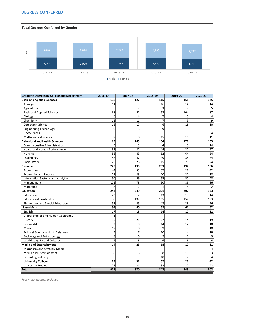# <span id="page-22-0"></span>**DEGREES CONFERRED**

**Total Degrees Conferred by Gender**

| <b>Graduate Degrees by College and Department</b> | 2016-17        | 2017-18         | 2018-19 | 2019-20          | 2020-21        |
|---------------------------------------------------|----------------|-----------------|---------|------------------|----------------|
| <b>Basic and Applied Sciences</b>                 | 138            | 127             | 115     | 168              | 145            |
| Aerospace                                         | 11             | 9               | 16      | 14               | 14             |
| Agriculture                                       | 6              | 7               | 3       | 2                |                |
| <b>Basic and Applied Sciences</b>                 | 68             | 51              | 52      | 104              | 87             |
| Biology                                           | 6              | 14              | 7       | 5                |                |
| Chemistry                                         | 12             | 11              | 7       | 5                | 9              |
| <b>Computer Science</b>                           | 16             | 17              | 6       | 18               | 10             |
| <b>Engineering Technology</b>                     | 10             | 8               | 9       | 5                |                |
| Geosciences                                       | ---            |                 |         | 5                |                |
| <b>Mathematical Sciences</b>                      | 9              | 10              | 15      | 10               | 11             |
| <b>Behavioral and Health Sciences</b>             | 165            | 163             | 164     | 177              | 153            |
| <b>Criminal Justice Administration</b>            | 5              | 13              | 4       | 13               | 14             |
| <b>Health and Human Performance</b>               | 31             | 32              | 44      | 37               | 27             |
| <b>Nursing</b>                                    | 56             | 43              | 52      | 64               | 54             |
| Psychology                                        | 48             | 47              | 49      | 38               | 34             |
| Social Work                                       | 25             | 28              | 15      | 25               | 24             |
| <b>Business</b>                                   | 225            | 195             | 203     | 197              | 196            |
| Accounting                                        | 44             | 33              | 37      | 22               | 42             |
| <b>Economics and Finance</b>                      | 21             | 23              | 20      | 32               | 18             |
| <b>Information Systems and Analytics</b>          | 50             | 59              | 55      | 50               | 48             |
| Management                                        | 102            | 78              | 90      | 89               | 86             |
| Marketing                                         | 8              | $\overline{2}$  | 1       | 4                | $\overline{2}$ |
| <b>Education</b>                                  | 244            | 249             | 221     | 202              | 173            |
| Education                                         | 23             | 7               | 13      | 15               | 14             |
| <b>Educational Leadership</b>                     | 170            | 197             | 165     | 159              | 133            |
| <b>Elementary and Special Education</b>           | 51             | 45              | 43      | 28               | 26             |
| <b>Liberal Arts</b>                               | 94             | 80              | 89      | 61               | 82             |
| English                                           | 17             | 18              | 14      | 10               | 12             |
| <b>Global Studies and Human Geography</b>         | 1              |                 | ---     | ---              | ---            |
| History                                           | 35             | 21              | 27      | 14               | 19             |
| <b>Liberal Arts</b>                               | $\overline{2}$ | 10 <sup>1</sup> | 14      | 12               | 10             |
| Music                                             | 19             | 10              | 9       | 7                | 10             |
| <b>Political Science and Intl Relations</b>       | 3 <sup>2</sup> | 7               | 10      | $\overline{4}$   | 18             |
| Sociology and Anthropology                        | 8              | $6 \mid$        | 9       | $6 \overline{6}$ | 9              |
| World Lang, Lit and Cultures                      | 9              | 8               | 6       | 8                |                |
| <b>Media and Entertainment</b>                    | 14             | 25              | 18      | 17               | 11             |
| Journalism and Strategic Media                    | $---$          | ---             |         | $---$            |                |
| Media and Entertainment                           | 8 <sup>2</sup> | 16              | 8       | 10               |                |
| Recording Industry                                | 6              | $\overline{9}$  | 10      | $\overline{7}$   | 4              |
| واللوائم ويتعادمون والمرادا                       |                |                 | $\sim$  | $\sim$           |                |

| <b>Iniversity College</b>             | $\sim$<br>-- | $\mathbf{A}$<br>--  | $\sim$<br>- - | $\sim$     | . .<br>- - |
|---------------------------------------|--------------|---------------------|---------------|------------|------------|
| . .<br>$\sim$<br>tudies<br>Iniversity | $\sim$<br>تے | $\mathbf{a}$<br>- - | $\sim$<br>້   | $\sim$<br> | . .        |
| Tota                                  | 903          | 0.70<br>ο,          | 842           | 849        | 802        |

*First major degrees included*

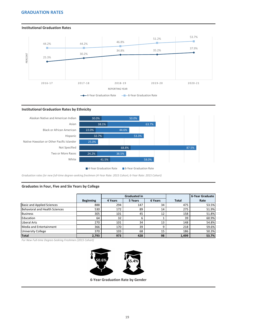#### <span id="page-23-0"></span>**Institutional Graduation Rates**



#### **Institutional Graduation Rates by Ethnicity**



*Graduation rates for new full-time degree-seeking freshmen (4-Year Rate: 2015 Cohort; 6-Year Rate: 2015 Cohort)* 

#### **Graduates in Four, Five and Six Years by College**

|                                   |                  |         | <b>Graduated in</b> |         |              | <b>6-Year Graduate</b> |
|-----------------------------------|------------------|---------|---------------------|---------|--------------|------------------------|
|                                   | <b>Beginning</b> | 4 Years | 5 Years             | 6 Years | <b>Total</b> | Rate                   |
| <b>Basic and Applied Sciences</b> | 888              | 294     | 147                 | 34      | 475          | 53.5%                  |
| Behavioral and Health Sciences    | 530              | 172     | 89                  | 14      | 275          | 51.9%                  |
| Business                          | 305              | 101     | 45                  | 12      | 158          | 51.8%                  |
| Education                         | 64               | 32      | 6                   |         | 39           | 60.9%                  |
| Liberal Arts                      | 270              | 101     | 34                  | 13      | 148          | 54.8%                  |
| Media and Entertainment           | 366              | 170     | 39                  | Q       | 218          | 59.6%                  |
| University College                | 370              | 103     | 68                  | 15      | 186          | 50.3%                  |
| Total                             | 2,793            | 973     | 428                 | 98      | 1,499        | 53.7%                  |

*For New Full-time Degree-Seeking Freshmen (2015 Cohort)* 



**6-Year Graduation Rate by Gender**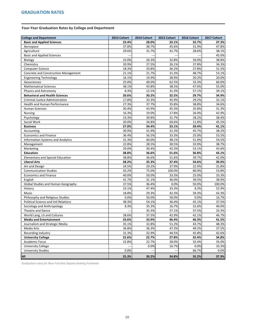## <span id="page-24-0"></span>**Four-Year Graduation Rates by College and Department**

| <b>College and Department</b>               | 2013 Cohort | 2014 Cohort | 2015 Cohort | 2016 Cohort | 2017 Cohort |
|---------------------------------------------|-------------|-------------|-------------|-------------|-------------|
| <b>Basic and Applied Sciences</b>           | 23.4%       | 28.0%       | 33.1%       | 32.7%       | 37.3%       |
| Aerospace                                   | 37.8%       | 38.7%       | 45.6%       | 31.9%       | 47.8%       |
| Agriculture                                 | 29.6%       | 31.7%       | 41.7%       | 28.6%       | 38.1%       |
| <b>Basic and Applied Sciences</b>           |             |             |             |             | 45.0%       |
| Biology                                     | 23.0%       | 26.3%       | 32.8%       | 34.0%       | 38.8%       |
| Chemistry                                   | 20.9%       | 27.5%       | 26.1%       | 37.8%       | 34.3%       |
| <b>Computer Science</b>                     | 18.3%       | 33.8%       | 36.2%       | 27.8%       | 31.5%       |
| Concrete and Construction Management        | 21.1%       | 21.7%       | 31.3%       | 48.7%       | 53.1%       |
| <b>Engineering Technology</b>               | 16.1%       | 14.9%       | 28.9%       | 20.2%       | 20.0%       |
| Geosciences                                 | 25.0%       | 40.0%       | 62.5%       | 33.3%       | 60.0%       |
| <b>Mathematical Sciences</b>                | 38.1%       | 43.8%       | 38.5%       | 47.6%       | 55.0%       |
| Physics and Astronomy                       | 8.3%        | 12.5%       | 31.3%       | 57.1%       | 39.1%       |
| <b>Behavioral and Health Sciences</b>       | 20.6%       | 30.2%       | 32.5%       | 29.7%       | 34.9%       |
| <b>Criminal Justice Administration</b>      | 17.8%       | 33.3%       | 45.9%       | 29.2%       | 32.1%       |
| <b>Health and Human Performance</b>         | 27.3%       | 37.7%       | 35.8%       | 38.8%       | 34.6%       |
| <b>Human Sciences</b>                       | 30.4%       | 43.9%       | 45.3%       | 35.8%       | 31.3%       |
| <b>Nursing</b>                              | 16.3%       | 19.0%       | 17.8%       | 26.0%       | 42.9%       |
| Psychology                                  | 23.3%       | 39.8%       | 31.7%       | 28.2%       | 38.4%       |
| Social Work                                 | 20.0%       | 34.8%       | 69.6%       | 11.8%       | 45.5%       |
| <b>Business</b>                             | 27.0%       | 34.4%       | 33.1%       | 39.4%       | 41.1%       |
| Accounting                                  | 30.9%       | 41.9%       | 31.3%       | 45.7%       | 38.2%       |
| <b>Economics and Finance</b>                | 36.4%       | 56.5%       | 33.3%       | 25.0%       | 53.5%       |
| <b>Information Systems and Analytics</b>    | 31.3%       | 40.0%       | 48.1%       | 51.9%       | 54.5%       |
| Management                                  | 22.8%       | 28.5%       | 30.5%       | 33.9%       | 38.7%       |
| Marketing                                   | 29.0%       | 30.4%       | 42.3%       | 53.1%       | 43.6%       |
| <b>Education</b>                            | 38.8%       | 36.6%       | 51.6%       | 36.8%       | 43.1%       |
| <b>Elementary and Special Education</b>     | 38.8%       | 36.6%       | 51.6%       | 39.7%       | 42.0%       |
| <b>Liberal Arts</b>                         | 28.2%       | 35.3%       | 37.4%       | 34.6%       | 39.0%       |
| Art and Design                              | 24.5%       | 29.2%       | 27.9%       | 22.9%       | 31.8%       |
| <b>Communication Studies</b>                | 43.2%       | 75.0%       | 100.0%      | 80.0%       | 53.8%       |
| <b>Economics and Finance</b>                | 40.0%       | 50.0%       | 33.3%       | 25.0%       | 33.3%       |
| English                                     | 41.7%       | 31.1%       | 36.0%       | 39.5%       | 38.9%       |
| <b>Global Studies and Human Geography</b>   | 37.5%       | 36.4%       | 0.0%        | 50.0%       | 100.0%      |
| History                                     | 23.1%       | 47.4%       | 33.3%       | 8.3%        | 52.9%       |
| Music                                       | 18.8%       | 29.3%       | 42.3%       | 34.3%       | 42.3%       |
| Philosophy and Religious Studies            | 0.0%        | 50.0%       | 50.0%       | 0.0%        | 16.7%       |
| <b>Political Science and Intl Relations</b> | 38.3%       | 54.1%       | 36.4%       | 45.1%       | 37.5%       |
| Sociology and Anthropology                  | 8.3%        | 35.3%       | 16.7%       | 31.6%       | 40.0%       |
| Theatre and Dance                           |             | 35.3%       | 57.1%       | 37.5%       | 33.3%       |
| World Lang, Lit and Cultures                | 28.6%       | 37.5%       | 42.9%       | 42.1%       | 46.7%       |
| <b>Media and Entertainment</b>              | 33.6%       | 33.9%       | 46.4%       | 46.3%       | 41.5%       |
| Journalism and Strategic Media              | 35.1%       | 32.8%       | 51.2%       | 43.7%       | 48.3%       |
| Media Arts                                  | 36.8%       | 36.3%       | 47.3%       | 49.2%       | 37.5%       |
| Recording Industry                          | 31.3%       | 32.9%       | 44.5%       | 45.8%       | 42.6%       |
| <b>University College</b>                   | 22.6%       | 22.7%       | 27.8%       | 32.4%       | 34.8%       |
| <b>Academic Focus</b>                       | 22.8%       | 22.7%       | 28.0%       | 32.4%       | 35.0%       |
| <b>University College</b>                   |             | 0.0%        | 16.7%       | 0.0%        | 33.3%       |
| <b>University Studies</b>                   | 0.0%        | ---         |             | 66.7%       | 0.0%        |
| <b>All</b>                                  | 25.3%       | 30.2%       | 34.8%       | 35.2%       | 37.9%       |

*Graduation rates for New Full-time Degree-Seeking Freshmen*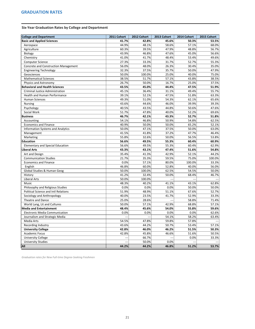<span id="page-25-0"></span>**Six-Year Graduation Rates by College and Department**

| <b>College and Department</b>               | 2011 Cohort              | 2012 Cohort | 2013 Cohort | 2014 Cohort | 2015 Cohort |
|---------------------------------------------|--------------------------|-------------|-------------|-------------|-------------|
| <b>Basic and Applied Sciences</b>           | 41.7%                    | 42.8%       | 45.6%       | 50.3%       | 53.5%       |
| Aerospace                                   | 44.9%                    | 48.1%       | 58.6%       | 57.1%       | 68.0%       |
| Agriculture                                 | 60.3%                    | 39.5%       | 47.9%       | 48.8%       | 56.7%       |
| Biology                                     | 43.9%                    | 46.8%       | 47.6%       | 45.0%       | 56.6%       |
| Chemistry                                   | 41.0%                    | 41.7%       | 48.4%       | 53.4%       | 49.6%       |
| <b>Computer Science</b>                     | 27.3%                    | 33.3%       | 31.7%       | 52.7%       | 55.3%       |
| Concrete and Construction Management        | 56.0%                    | 48.0%       | 26.3%       | 30.4%       | 35.0%       |
| <b>Engineering Technology</b>               | 32.3%                    | 37.5%       | 35.7%       | 50.0%       | 47.9%       |
| Geosciences                                 | 50.0%                    | 100.0%      | 25.0%       | 40.0%       | 75.0%       |
| <b>Mathematical Sciences</b>                | 38.5%                    | 51.7%       | 57.1%       | 43.8%       | 38.5%       |
| Physics and Astronomy                       | 26.7%                    | 50.0%       | 16.7%       | 25.0%       | 37.5%       |
| <b>Behavioral and Health Sciences</b>       | 43.5%                    | 45.0%       | 44.4%       | 47.5%       | 51.9%       |
| <b>Criminal Justice Administration</b>      | 45.1%                    | 36.4%       | 31.1%       | 49.4%       | 55.7%       |
| <b>Health and Human Performance</b>         | 39.1%                    | 52.1%       | 47.5%       | 51.8%       | 63.3%       |
| <b>Human Sciences</b>                       | 49.3%                    | 51.0%       | 54.3%       | 62.1%       | 65.6%       |
| <b>Nursing</b>                              | 43.6%                    | 44.6%       | 46.0%       | 39.9%       | 39.3%       |
| Psychology                                  | 40.5%                    | 43.5%       | 44.8%       | 50.6%       | 47.6%       |
| Social Work                                 | 51.7%                    | 47.8%       | 40.0%       | 52.2%       | 69.6%       |
| <b>Business</b>                             | 46.7%                    | 42.1%       | 43.3%       | 52.7%       | 51.8%       |
| Accounting                                  | 54.1%                    | 46.8%       | 50.9%       | 54.8%       | 62.5%       |
| <b>Economics and Finance</b>                | 40.9%                    | 50.0%       | 50.0%       | 65.2%       | 52.1%       |
| <b>Information Systems and Analytics</b>    | 50.0%                    | 47.1%       | 37.5%       | 50.0%       | 63.0%       |
| Management                                  | 41.5%                    | 41.8%       | 37.2%       | 47.7%       | 46.4%       |
| Marketing                                   | 55.8%                    | 32.6%       | 50.0%       | 56.5%       | 53.8%       |
| <b>Education</b>                            | 56.6%                    | 49.5%       | 55.3%       | 60.4%       | 60.9%       |
| <b>Elementary and Special Education</b>     | 56.6%                    | 49.5%       | 55.3%       | 60.4%       | 62.9%       |
| <b>Liberal Arts</b>                         | 43.3%                    | 43.1%       | 47.4%       | 51.6%       | 54.8%       |
| Art and Design                              | 35.4%                    | 41.3%       | 42.9%       | 52.1%       | 44.2%       |
| <b>Communication Studies</b>                | 21.7%                    | 35.3%       | 59.5%       | 75.0%       | 100.0%      |
| <b>Economics and Finance</b>                | 0.0%                     | 57.1%       | 80.0%       | 100.0%      | 33.3%       |
| English                                     | 46.8%                    | 60.0%       | 52.8%       | 40.0%       | 56.0%       |
| Global Studies & Human Geog                 | 50.0%                    | 100.0%      | 62.5%       | 54.5%       | 50.0%       |
| History                                     | 41.2%                    | 32.4%       | 50.0%       | 68.4%       | 46.7%       |
| <b>Liberal Arts</b>                         | 50.0%                    | 100.0%      |             |             |             |
| Music                                       | 48.3%                    | 40.2%       | 41.1%       | 43.1%       | 62.8%       |
| Philosophy and Religious Studies            | 0.0%                     | 0.0%        | 0.0%        | 50.0%       | 50.0%       |
| <b>Political Science and Intl Relations</b> | 51.9%                    | 48.9%       | 51.1%       | 67.6%       | 52.7%       |
| Sociology and Anthropology                  | 40.0%                    | 23.5%       | 41.7%       | 52.9%       | 33.3%       |
| Theatre and Dance                           | 25.0%                    | 28.6%       |             | 58.8%       | 71.4%       |
| World Lang, Lit and Cultures                | 50.0%                    | 57.1%       | 42.9%       | 68.8%       | 57.1%       |
| <b>Media and Entertainment</b>              | 48.4%                    | 45.6%       | 54.0%       | 55.8%       | 59.6%       |
| <b>Electronic Media Communication</b>       | 0.0%                     | 0.0%        | 0.0%        | 0.0%        | 62.6%       |
| Journalism and Strategic Media              |                          |             | 54.1%       | 58.2%       | 63.4%       |
| Media Arts                                  | 54.5%                    | 47.8%       | 59.8%       | 57.8%       |             |
| Recording Industry                          | 43.6%                    | 44.2%       | 50.7%       | 53.4%       | 57.1%       |
| <b>University College</b>                   | 42.8%                    | 46.0%       | 46.2%       | 51.5%       | 50.3%       |
| <b>Academic Focus</b>                       | 42.8%                    | 45.8%       | 46.6%       | 51.6%       | 50.5%       |
| <b>University College</b>                   | $\overline{\phantom{a}}$ | 66.7%       |             | 0.0%        | 33.3%       |
| <b>University Studies</b>                   |                          | 50.0%       | 0.0%        |             |             |
| <b>All</b>                                  | 44.2%                    | 44.2%       | 46.8%       | 51.2%       | 53.7%       |

*Graduation rates for New Full-time Degree-Seeking Freshmen*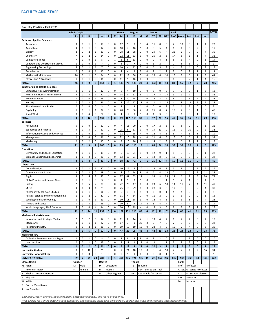<span id="page-26-0"></span>

| <b>Faculty Profile - Fall 2021</b>                                                                                                           |                            |                   |                     |                         |                |                   |                              |                    |                |                         |                         |                |                            |                    |                |                |                |                            |                                  |                |              |
|----------------------------------------------------------------------------------------------------------------------------------------------|----------------------------|-------------------|---------------------|-------------------------|----------------|-------------------|------------------------------|--------------------|----------------|-------------------------|-------------------------|----------------|----------------------------|--------------------|----------------|----------------|----------------|----------------------------|----------------------------------|----------------|--------------|
|                                                                                                                                              |                            |                   |                     |                         |                |                   |                              |                    |                |                         |                         |                |                            |                    |                |                |                |                            |                                  |                |              |
|                                                                                                                                              | <b>Ethnic Origin</b><br>As |                   | B                   | н                       | W              | Т                 | X                            | <b>Gender</b><br>M | F              | <b>Degree</b><br>D      | M                       | $\mathbf{o}$   | <b>Tenure</b><br><b>TE</b> | <b>TT</b>          | $NE*$          | Rank<br>Prof.  | Assoc.         | Asst.                      | Inst.                            | Lect.          | <b>TOTAL</b> |
| <b>Basic and Applied Sciences</b>                                                                                                            |                            |                   |                     |                         |                |                   |                              |                    |                |                         |                         |                |                            |                    |                |                |                |                            |                                  |                |              |
| Aerospace                                                                                                                                    | 3                          | 0                 | $\mathbf{1}$        | $\mathbf 0$             | 18             | 0                 | 0                            | 17                 | 5              | 9                       | 9                       | 4              | 11                         | 8                  | 3              | $\overline{2}$ | 10             | 8                          | $\mathbf{1}$                     | $\mathbf{1}$   | 22           |
| Agriculture                                                                                                                                  | 4                          | 0                 | $\mathbf{1}$        | 0                       | 12             | 0                 | 0                            | 10                 | $\overline{7}$ | 16                      | $\mathbf{1}$            | 0              | 8                          | 5                  | 4              | 6              | 4              | 5                          | $\overline{2}$                   | 0              | 17           |
| Biology                                                                                                                                      | 2                          | 1                 | $\overline{2}$      | 1                       | 33             | 0                 | $\Omega$                     | 28                 | 11             | 38                      | $\mathbf{1}$            | 0              | 29                         | 6                  | 4              | 22             | 6              | $\overline{7}$             | 0                                | 4              | 39           |
| Chemistry                                                                                                                                    | 7                          | 0                 | $\overline{2}$      | 0                       | 24             | 0                 | 0                            | 22                 | 11             | 33                      | 0                       | 0              | 25                         | 2                  | 6              | 17             | 8              | 3                          | 1                                | 4              | 33           |
| <b>Computer Science</b>                                                                                                                      | 7                          | 0                 | 0                   | 1                       | 5              | 0                 | 1                            | 8                  | 6              | 13                      | 1                       | 0              | 9                          | 4                  | 1              | 6              | 3              | 4                          | 0                                | $\mathbf{1}$   | 14           |
| Concrete and Construction Mgmt.                                                                                                              | 1                          | 0                 | 0                   | 1                       | $\overline{7}$ | 0                 | 0                            | 8                  | 1              | $\overline{7}$          | $\overline{2}$          | 0              | 3                          | 2                  | 4              | 2              | 5              | $\mathbf{1}$               | 0                                | $\mathbf{1}$   | 9            |
| <b>Engineering Technology</b>                                                                                                                | 5                          | 0                 | $\mathbf{1}$        | $\mathbf{1}$            | 7              | 0                 | $\mathbf{0}$                 | 10                 | 4              | 12                      | $\overline{2}$          | 0              | 6                          | 5                  | 3              | 4              | 3              | 4                          | 0                                | 3              | 14           |
| Geosciences                                                                                                                                  | 0                          | $\Omega$          | 0                   | $\mathbf{1}$            | 10             | 0                 | 0                            | $\overline{7}$     | 4              | 9                       | $\overline{2}$          | 0              | 7                          | $\overline{2}$     | $\overline{2}$ | 2              | 5              | 2                          | $\mathbf{1}$                     | $\mathbf{1}$   | 11           |
| <b>Mathematical Sciences</b>                                                                                                                 | 16                         | 0                 | 1                   | 0                       | 24             | 0                 | 0                            | 22                 | 19             | 36                      | 5                       | 0              | 25                         | 6                  | 10             | 16             | 9              | 6                          | 1                                | 9              | 41           |
| Physics and Astronomy<br><b>TOTAL</b>                                                                                                        | 1<br>46                    | 0<br>$\mathbf{1}$ | 1<br>9              | 0<br>5                  | 14<br>154      | 0<br>$\mathbf{0}$ | $\mathbf{0}$<br>$\mathbf{1}$ | 11<br>143          | 5<br>73        | 16<br>189               | 0<br>23                 | 0<br>4         | 9<br>132                   | $\mathbf{1}$<br>41 | 6<br>43        | 6<br>83        | 3<br>56        | 2<br>42                    | 1<br>$\overline{7}$              | 4<br>28        | 16<br>216    |
| <b>Behavioral and Health Sciences</b>                                                                                                        |                            |                   |                     |                         |                |                   |                              |                    |                |                         |                         |                |                            |                    |                |                |                |                            |                                  |                |              |
| Criminal Justice Administration                                                                                                              | 0                          | 0                 | 1                   | 0                       | 12             | 0                 | 0                            | 9                  | 4              | 10                      | 3                       | 0              | 8                          | $\mathbf{0}$       | 5              | 3              | 6              | 0                          | $\mathbf{1}$                     | 3              | 13           |
| Health and Human Performance                                                                                                                 | 2                          | 0                 | 4                   | $\mathbf{1}$            | 31             | 0                 | 0                            | 14                 | 24             | 31                      | 6                       | 1              | 17                         | 8                  | 13             | 9              | 9              | $\overline{7}$             | 4                                | 9              | 38           |
| <b>Human Sciences</b>                                                                                                                        | 1                          | 0                 | 0                   | 1                       | 19             | 0                 | 0                            | $\mathbf{1}$       | 20             | 14                      | $\overline{7}$          | 0              | 12                         | 3                  | 6              | 8              | 4              | 3                          | 2                                | 4              | 21           |
| Nursing                                                                                                                                      | 0                          | 0                 | $\overline{2}$      | 0                       | 26             | 0                 | 0                            | $\overline{2}$     | 26             | 17                      | 11                      | 0              | 11                         | $\overline{2}$     | 15             | 4              | 8              | 12                         | $\overline{2}$                   | $\overline{2}$ | 28           |
| <b>Physician Assistant Studies</b>                                                                                                           | 0                          | 0                 | 0                   | 0                       | 3              | 0                 | $\mathbf{0}$                 | $\overline{2}$     | $\mathbf{1}$   | $\overline{2}$          | $\mathbf{1}$            | 0              | $\mathbf 0$                | $\Omega$           | 3              | 0              | 1              | 2                          | 0                                | 0              | 3            |
| Psychology                                                                                                                                   | 1                          | 0                 | 1                   | 1                       | 37             | $\Omega$          | 0                            | 20                 | 20             | 36                      | 4                       | 0              | 25                         | 8                  | $\overline{7}$ | 18             | $\overline{7}$ | 8                          | $\mathbf{1}$                     | 6              | 40           |
| Social Work                                                                                                                                  | 0                          | 0                 | 4                   | 0                       | 9              | 0                 | 0                            | $\mathbf{1}$       | 12             | 8                       | 5                       | 0              | 4                          | 3                  | 6              | 3              | $\mathbf{1}$   | 3                          | $\mathbf{1}$                     | 5              | 13           |
| <b>TOTAL</b>                                                                                                                                 | 4                          | $\bf{0}$          | 12                  | $\overline{\mathbf{3}}$ | 137            | $\mathbf{0}$      | $\mathbf{0}$                 | 49                 | 107            | 118                     | 37                      | $\mathbf{1}$   | 77                         | 24                 | 55             | 45             | 36             | 35                         | 11                               | 29             | 156          |
| <b>Business</b>                                                                                                                              |                            |                   |                     |                         |                |                   |                              |                    |                |                         |                         |                |                            |                    |                |                |                |                            |                                  |                |              |
| Accounting                                                                                                                                   | 0                          | 0                 | 0                   | 0                       | 22             | 0                 | 0                            | $\overline{7}$     | 15             | 20                      | $\overline{2}$          | 0              | 17                         | $\overline{2}$     | 3              | 9              | 8              | 2                          | $\overline{2}$                   | $\mathbf{1}$   | 22           |
| <b>Economics and Finance</b>                                                                                                                 | 4                          | 0                 | 3                   | $\overline{2}$          | 21             | 0                 | 0                            | 25                 | 6              | 31                      | 0                       | 0              | 19                         | 10                 | $\overline{2}$ | 12             | $\overline{7}$ | 10                         | 0                                | 2              | 31           |
| <b>Information Systems and Analytics</b>                                                                                                     | 3                          | 0                 | 0                   | 0                       | 16             | 0                 | 0                            | 12                 | 7              | 15                      | 4                       | 0              | 12                         | 4                  | 3              | 6              | 4              | 6                          | $\mathbf{1}$                     | 2              | 19           |
| Management                                                                                                                                   | 2                          | 0                 | 4                   | 0                       | 26             | 0                 | 0                            | 22                 | 10             | 28                      | 4                       | 0              | 21                         | 6                  | 5              | 16             | 5              | 6                          | 2                                | 3              | 32           |
| Marketing<br><b>TOTAL</b>                                                                                                                    | 2<br>11                    | 0                 | $\overline{2}$<br>9 | $\Omega$                | 15             | 0<br>$\bf{0}$     | 0<br>$\mathbf 0$             | 9                  | 10             | 16                      | $\overline{2}$<br>12    |                | 14<br>83                   | 2                  | 3<br>16        | 9<br>52        | 6<br>30        | 2                          | $\overline{2}$<br>$\overline{7}$ | 0<br>8         | 19<br>123    |
| <b>Education</b>                                                                                                                             |                            | $\bf{0}$          |                     | $\mathbf{2}$            | 100            |                   |                              | 75                 | 48             | 110                     |                         | 1              |                            | 24                 |                |                |                | 26                         |                                  |                |              |
| <b>Elementary and Special Education</b>                                                                                                      | $\overline{2}$             | 0                 | $\mathbf{1}$        | 0                       | 19             | 0                 | $\mathbf 0$                  | 6                  | 16             | 21                      | $\mathbf{1}$            | 0              | 12                         | 9                  | $\mathbf{1}$   | 5              | 8              | 8                          | 0                                | $\mathbf{1}$   | 22           |
| <b>Womack Educational Leadership</b>                                                                                                         | 1                          | 0                 | 3                   | 0                       | 20             | 0                 | 0                            | 12                 | 12             | 21                      | $\overline{2}$          | 1              | 13                         | 8                  | 3              | 10             | 3              | 8                          | 0                                | 3              | 24           |
| <b>TOTAL</b>                                                                                                                                 | 3                          | $\mathbf{0}$      | 4                   | $\mathbf 0$             | 39             | $\mathbf{0}$      | $\mathbf 0$                  | 18                 | 28             | 42                      | $\overline{\mathbf{3}}$ | $\mathbf{1}$   | 25                         | 17                 | $\overline{a}$ | 15             | 11             | 16                         | $\mathbf{0}$                     | 4              | 46           |
| Liberal Arts                                                                                                                                 |                            |                   |                     |                         |                |                   |                              |                    |                |                         |                         |                |                            |                    |                |                |                |                            |                                  |                |              |
| Art and Design                                                                                                                               | 2                          | 0                 | 1                   | $\mathbf{1}$            | 22             | 0                 | 0                            | 10                 | 16             | 5                       | 20                      | 1              | 12                         | 6                  | 8              | 5              | 9              | 4                          | 2                                | 6              | 26           |
| <b>Communication Studies</b>                                                                                                                 | $\overline{2}$             | 0                 | $\overline{2}$      | 0                       | 19             | 0                 | 0                            | $\overline{7}$     | 16             | 14                      | 9                       | 0              | 6                          | 4                  | 13             | $\overline{2}$ | 4              | 4                          | $\overline{2}$                   | 11             | 23           |
| English                                                                                                                                      | 4                          | 0                 | 6                   | 2                       | 72             | 0                 | 0                            | 37                 | 41             | 55                      | 22                      | 1              | 35                         | 8                  | 35             | 29             | 6              | 8                          | 5                                | 30             | 78           |
| Global Studies and Human Geog.                                                                                                               | $\mathbf 1$                | 0                 | $\mathbf{1}$        | 0                       | 3              | 0                 | 0                            | 4                  | $\mathbf{1}$   | 3                       | $\mathbf{1}$            | 0              | 3                          | $\mathbf{1}$       | $\mathbf{1}$   | $\mathbf{1}$   | $\overline{2}$ | $\mathbf{1}$               | 0                                | $\mathbf{1}$   | 5            |
| History                                                                                                                                      | $\overline{2}$             | 0                 | 5                   | $\overline{2}$          | 38             | 0                 | $\Omega$                     | 22                 | 25             | 47                      | 0                       | $\Omega$       | 23                         | 6                  | 18             | 14             | 11             | $\overline{7}$             | 4                                | 11             | 47           |
| Music                                                                                                                                        | 4                          | $\Omega$          | 3                   | 1                       | 29             | 0                 | 0                            | 25                 | 12             | 29                      | 8                       | 0              | 28                         | 3                  | 6              | 19             | 9              | 3                          | 2                                | 4              | 37           |
| Philosophy & Religious Studies                                                                                                               | $\Omega$                   | 0                 | $\mathbf{1}$        | 0                       | 8              | 0                 | 0                            | 6                  | 3              | 8                       | $\mathbf{1}$            | 0              | 8                          | 0                  | $\mathbf{1}$   | 4              | 4              | 0                          | 0                                | $\mathbf{1}$   | 9            |
| Political Science and International Rel.                                                                                                     | 1                          | 0                 | 2                   | 0                       | 12             | 0                 | 0                            | 11                 | 4              | 14                      | 1                       | 0              | 11                         | 2                  | $\overline{2}$ | 9              | 3              | 2                          | 0                                | $\mathbf{1}$   | 15           |
| Sociology and Anthropology                                                                                                                   | 1                          | 0                 | 0                   | 1                       | 19             | 0                 | 0                            | 10                 | 11             | 18                      | 3                       | 0              | 12                         | 4                  | 5              | 9              | 3              | 5                          | 0                                | 4              | 21           |
| Theatre and Dance                                                                                                                            | 0                          | 0                 | 3                   | 0                       | 16             | 0                 | 0                            | 10                 | 9              | 3                       | 14                      | $\overline{2}$ | 8                          | 4                  | $\overline{7}$ | 4              | 4              | 4                          | 4                                | 3              | 19           |
| World Languages, Lit & Cultures                                                                                                              | 5                          | $\Omega$          | $\Omega$            | 4                       | 14             | 0                 | 0                            | 10                 | 13             | 19                      | 4                       | 0              | 15                         | 3                  | 5              | 8              | $\overline{7}$ | 3                          | 2                                | 3              | 23           |
| <b>TOTAL</b><br><b>Media and Entertainment</b>                                                                                               | 22                         | $\bf{0}$          | 24                  | 11                      | 252            | $\mathbf{0}$      | $\mathbf 0$                  | 152                | 151            | 215                     | 83                      | 4              | 161                        | 41                 | 101            | 104            | 62             | 41                         | 21                               | 75             | 303          |
| Journalism and Strategic Media                                                                                                               | $\overline{2}$             | 1                 | $\overline{2}$      | 0                       | 14             | 0                 | 0                            | 11                 | 8              | 14                      | 4                       | 1              | 13                         | 4                  | $\overline{2}$ | 6              | $\overline{7}$ | 4                          | 0                                | $\overline{2}$ | 19           |
| Media Arts                                                                                                                                   | 0                          | 0                 | $\mathbf{1}$        | 1                       | 22             | 0                 | $\Omega$                     | 17                 | $\overline{7}$ | $\mathbf{1}$            | 20                      | 3              | 9                          | $\overline{7}$     | 8              | $\overline{2}$ | 9              | 5                          | 0                                | 8              | 24           |
| <b>Recording Industry</b>                                                                                                                    | 0                          | $\Omega$          | $\overline{2}$      | 1                       | 26             | 0                 | 0                            | 19                 | 10             | 10                      | 19                      | $\Omega$       | 22                         | 4                  | 3              | 15             | $\overline{7}$ | 4                          | 0                                | 3              | 29           |
| <b>TOTAL</b>                                                                                                                                 | $\overline{2}$             | $\mathbf{1}$      | 5                   | $\overline{2}$          | 62             | $\mathbf{0}$      | $\mathbf 0$                  | 47                 | 25             | 25                      | 43                      | 4              | 44                         | 15                 | 13             | 23             | 23             | 13                         | $\mathbf{0}$                     | 13             | 72           |
| <b>Walker Library</b>                                                                                                                        |                            |                   |                     |                         |                |                   |                              |                    |                |                         |                         |                |                            |                    |                |                |                |                            |                                  |                |              |
| Collection Development and Mgmt.                                                                                                             | 1                          | 0                 | $\mathbf{1}$        | 0                       | 8              | 0                 | 0                            | $\overline{2}$     | 8              | $\overline{2}$          | 8                       | 0              | 8                          | 2                  | 0              | 3              | 4              | 3                          | 0                                | 0              | 10           |
| <b>User Services</b>                                                                                                                         | 0                          | 0                 | $\mathbf{1}$        | 0                       | 13             | 0                 | $\Omega$                     | 3                  | 11             | $\mathbf{1}$            | 13                      | 0              | 12                         | $\mathbf{1}$       | $\mathbf{1}$   | 3              | 8              | $\overline{2}$             | 0                                | $\mathbf{1}$   | 14           |
| TOTAL                                                                                                                                        | $\mathbf{1}$               | $\mathbf{0}$      | $\overline{2}$      | $\mathbf 0$             | 21             | $\bf{0}$          | $\mathbf{0}$                 | 5                  | 19             | $\overline{\mathbf{3}}$ | 21                      | $\mathbf 0$    | 20                         | 3                  | $\mathbf{1}$   | 6              | 12             | 5                          | $\mathbf{0}$                     | $\mathbf{1}$   | 24           |
| <b>University Studies</b>                                                                                                                    | 0                          | 0                 | 10                  | 0                       | 21             | 0                 | 0                            | $\overline{7}$     | 24             | 18                      | 13                      | 0              | 9                          | 4                  | 18             | $\overline{7}$ | $\overline{2}$ | 4                          | $\overline{2}$                   | 16             | 31           |
| <b>University Honors College</b>                                                                                                             | 0                          | 0                 | 0                   | 0                       | 1              | 0                 | 0                            | 0                  | $\mathbf{1}$   | 1                       | 0                       | 0              | 0                          | 0                  | 1              | 1              | 0              | 0                          | 0                                | 0              | 1            |
| <b>UNIVERSITY TOTAL</b>                                                                                                                      | 89                         | $\overline{2}$    | 75                  | 23                      | 787            | $\mathbf{0}$      | $\mathbf{1}$                 | 496                | 476            | 721                     | 235                     | 15             | 551                        | 169                | 252            | 336            | 232            | 182                        | 48                               | 174            | 972          |
| <b>Ethnic Origin</b>                                                                                                                         | Gender                     |                   |                     |                         | <b>Degree</b>  |                   |                              |                    |                | Tenure                  |                         |                |                            |                    |                |                | Rank           |                            |                                  |                |              |
| As Asian                                                                                                                                     | M                          | Male              |                     |                         | D              | Doctorate         |                              |                    |                | TΕ                      | Tenured                 |                |                            |                    |                |                | Prof.          | Professor                  |                                  |                |              |
| I<br>American Indian                                                                                                                         | F                          | Female            |                     |                         | M              | Masters           |                              |                    |                | <b>TT</b>               |                         |                | Non-Tenured on Track       |                    |                |                |                | Assoc. Associate Professor |                                  |                |              |
| B<br><b>Black of African American</b>                                                                                                        |                            |                   |                     |                         | O              |                   | Other degrees                |                    |                | <b>NE</b>               |                         |                | Not Eligible for Tenure    |                    |                |                | Asst.          | <b>Assistant Professor</b> |                                  |                |              |
| Iн<br>Hispanic<br><b>W</b><br>White                                                                                                          |                            |                   |                     |                         |                |                   |                              |                    |                |                         |                         |                |                            |                    |                |                | Inst.<br>Lect. | Instructor<br>Lecturer     |                                  |                |              |
| Two or More Races                                                                                                                            |                            |                   |                     |                         |                |                   |                              |                    |                |                         |                         |                |                            |                    |                |                |                |                            |                                  |                |              |
| ΙX<br>Not Specified                                                                                                                          |                            |                   |                     |                         |                |                   |                              |                    |                |                         |                         |                |                            |                    |                |                |                |                            |                                  |                |              |
|                                                                                                                                              |                            |                   |                     |                         |                |                   |                              |                    |                |                         |                         |                |                            |                    |                |                |                |                            |                                  |                |              |
| Excludes Military Science, post retirement, postdoctoral faculty, and leave of absence.                                                      |                            |                   |                     |                         |                |                   |                              |                    |                |                         |                         |                |                            |                    |                |                |                |                            |                                  |                |              |
| *Not Eligible for Tenure (NE) includes temporary appointments along with clinical track, coordinator track, and research track appointments. |                            |                   |                     |                         |                |                   |                              |                    |                |                         |                         |                |                            |                    |                |                |                |                            |                                  |                |              |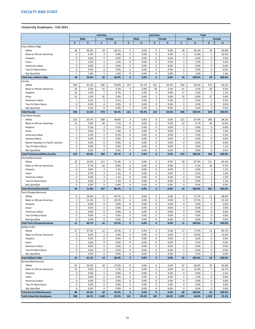## <span id="page-27-0"></span>**University Employees - Fall 2021**

| <b>Male</b><br>Female<br><b>Male</b><br><b>Male</b><br>Female<br>Female<br>%<br>%<br>%<br>%<br>#<br>$\%$<br>%<br>#<br>#<br>#<br>#<br>#<br>Exec./Admin./Mgr.<br>28<br>44.4%<br>24<br>38.1%<br>0<br>0.0%<br>0<br>0.0%<br>28<br>82.4%<br>82.8%<br>White<br>24<br>3<br>0<br>6.3%<br>4.8%<br>0.0%<br>$\mathbf 0$<br>0.0%<br>11.8%<br>3<br><b>Black or African American</b><br>4<br>4<br>10.3%<br>0<br>0.0%<br>0<br>0.0%<br>0.0%<br>0<br>0<br>0.0%<br>0<br>0.0%<br>0<br>0.0%<br>Hispanic<br>$\mathbf 0$<br>0<br>0.0%<br>2.9%<br>1.6%<br>$\mathbf{1}$<br>1.6%<br>0.0%<br>3.4%<br>Asian<br>$\mathbf{1}$<br>1<br>1<br>0.0%<br>0<br>0.0%<br>0<br>0.0%<br>$\mathbf 0$<br>0.0%<br>0.0%<br>0<br>0.0%<br>American Indian<br>0<br>0<br>0.0%<br>0<br>0.0%<br>0<br>0.0%<br>0.0%<br>0.0%<br>0<br>Two Or More Races<br>0<br>0<br>0<br>0.0%<br>0<br>0.0%<br>0<br>Not Specified<br>1.6%<br>$\mathbf{1}$<br>1.6%<br>0.0%<br>$\mathbf{1}$<br>2.9%<br>3.4%<br>1<br>1<br>34<br>54.0%<br>29<br>0.0%<br>29<br>Total Exec./Admin./Mgr.<br>46.0%<br>$\mathbf{0}$<br>$\mathbf{0}$<br>0.0%<br>34<br>100.0%<br>100.0%<br>Faculty<br>390<br>403<br>41.2%<br>39.8%<br>147<br>45.1%<br>43.3%<br>550<br>82.6%<br>531<br>83.1%<br>White<br>141<br>9<br>32<br>3.3%<br>4.2%<br>2.8%<br>18<br>5.5%<br>6.2%<br>59<br>9.2%<br><b>Black or African American</b><br>41<br>41<br>$\overline{7}$<br>$\overline{7}$<br>16<br>1.6%<br>$\mathbf{1}$<br>0.3%<br>0<br>0.0%<br>17<br>2.6%<br>0.7%<br>1.1%<br>Hispanic<br>35<br>$\overline{2}$<br>$\overline{2}$<br>37<br>51<br>5.2%<br>3.6%<br>0.6%<br>0.6%<br>53<br>8.0%<br>5.8%<br>Asian<br>0.1%<br>1<br>0.1%<br>$\mathbf{1}$<br>0.3%<br>$\mathbf{1}$<br>0.3%<br>2<br>0.3%<br>$\overline{2}$<br>0.3%<br>American Indian<br>$\mathbf{1}$<br>0<br>0<br>Two Or More Races<br>0.0%<br>0.0%<br>0<br>0.0%<br>0.0%<br>0<br>0.0%<br>0<br>0.0%<br>0<br>3<br>0.9%<br>0.5%<br>$\overline{2}$<br>0.2%<br>0<br>0.0%<br>0.3%<br>3<br>0.5%<br>3<br>Not Specified<br>$\mathbf{1}$<br>505<br>474<br>666<br>639<br><b>Total Faculty</b><br>51.6%<br>48.4%<br>161<br>49.4%<br>165<br>50.6%<br>100.0%<br>100.0%<br>Prof./Non-Faculty<br>35.7%<br>308<br>49.8%<br>$\mathbf 0$<br>0.0%<br>0<br>0.0%<br>221<br>87.4%<br>308<br>White<br>221<br>84.2%<br>3.6%<br>0.0%<br>0<br>0.0%<br>8.7%<br><b>Black or African American</b><br>22<br>44<br>7.1%<br>0<br>22<br>44<br>12.0%<br>3<br>0.5%<br>0.0%<br>0.0%<br>0.8%<br>3<br>0.8%<br>$\overline{2}$<br>0.3%<br>0<br>0<br>$\overline{2}$<br>Hispanic<br>5<br>6<br>6<br>0.8%<br>0<br>0.0%<br>5<br>1.0%<br>0<br>0.0%<br>2.0%<br>1.6%<br>Asian<br>0.2%<br>0<br>0.0%<br>0<br>0.0%<br>0.4%<br>0.2%<br>$\mathbf{1}$<br>$\mathbf{1}$<br>0.3%<br>American Indian<br>1<br>1<br>0.0%<br>0<br>0.0%<br>$\mathbf 0$<br>0.0%<br>0<br>0.0%<br>0<br>0.0%<br>Alaskan Native<br>0<br>0<br>0.0%<br>0<br>Native Hawaiian or Pacific Islander<br>0<br>0.0%<br>0.0%<br>0<br>0.0%<br>0<br>0.0%<br>0<br>0.0%<br>0<br>0.0%<br>0<br>0.0%<br>0.6%<br>0<br>0.0%<br>0<br>0.0%<br>0<br>0.0%<br>1.1%<br>Two Or More Races<br>4<br>4<br>$\overline{2}$<br>0.3%<br>0<br>0.0%<br>0<br>0.0%<br>0<br>0.0%<br>$\overline{2}$<br>0.8%<br>0<br>0.0%<br>Not Specified<br><b>Total Professional/Non-Faculty</b><br>253<br>40.9%<br>366<br>0.0%<br>$\mathbf{0}$<br>0.0%<br>253<br>100.0%<br>100.0%<br>59.1%<br>$\mathbf{0}$<br>366<br>Clerical/Secretarial<br>White<br>29<br>0.0%<br>0<br>0.0%<br>29<br>10.4%<br>211<br>75.4%<br>0<br>87.9%<br>211<br>85.4%<br>8.6%<br>0<br>0<br>0.0%<br>$\overline{2}$<br><b>Black or African American</b><br>$\overline{2}$<br>0.7%<br>24<br>0.0%<br>6.1%<br>24<br>9.7%<br>0<br>0.0%<br>3<br>1.1%<br>0<br>0.0%<br>$\mathbf 0$<br>0.0%<br>0<br>0.0%<br>3<br>1.2%<br>Hispanic<br>3<br>$\mathbf 0$<br>$\mathbf 0$<br>$\overline{2}$<br>3<br>$\overline{2}$<br>0.7%<br>1.1%<br>0.0%<br>0.0%<br>6.1%<br>1.2%<br>Asian<br>3<br>0<br>$\mathbf 0$<br>0<br>0<br>0.0%<br>1.1%<br>0.0%<br>0.0%<br>0.0%<br>$\mathbf{3}$<br>1.2%<br>American Indian<br>0.0%<br>3<br>1.1%<br>$\mathbf 0$<br>0.0%<br>$\mathbf 0$<br>0.0%<br>0<br>0.0%<br>Two Or More Races<br>0<br>3<br>1.2%<br>0<br>0<br>$\mathbf 0$<br>0.0%<br>0.0%<br>0.0%<br>0.0%<br>0<br>0.0%<br>0<br>0.0%<br>Not Specified<br>0<br><b>Total Clerical/Secretarial</b><br>33<br>11.8%<br>247<br>88.2%<br>$\mathbf{0}$<br>0.0%<br>$\mathbf{0}$<br>0.0%<br>33<br>100.0%<br>247<br>100.0%<br>Tech./Paraprofessional<br>8<br>29.6%<br>$\mathbf 0$<br>0.0%<br>$\mathbf 0$<br>0.0%<br>8<br>White<br>11<br>40.7%<br>72.7%<br>11<br>68.8%<br>5<br>3<br><b>Black or African American</b><br>3<br>18.5%<br>0<br>0.0%<br>0<br>0.0%<br>5<br>11.1%<br>27.3%<br>31.3%<br>0<br>$\mathbf 0$<br>0<br>0.0%<br>0<br>0.0%<br>0<br>0.0%<br>0.0%<br>0.0%<br>0<br>0.0%<br>Hispanic<br>0<br>0.0%<br>$\mathbf 0$<br>0<br>0.0%<br>0<br>0.0%<br>0.0%<br>0<br>0.0%<br>0<br>0.0%<br>Asian<br>0.0%<br>$\mathbf 0$<br>0.0%<br>0.0%<br>0.0%<br>American Indian<br>0<br>0.0%<br>0<br>0<br>0<br>0.0%<br>0<br>0<br>0<br>$\mathbf 0$<br>0<br>0.0%<br>0.0%<br>0.0%<br>0.0%<br>0<br>0.0%<br>0<br>0.0%<br>Two Or More Races<br>$\mathbf 0$<br>Not Specified<br>0<br>0.0%<br>0<br>0.0%<br>$\mathbf 0$<br>0.0%<br>0.0%<br>0<br>0.0%<br>0<br>0.0%<br><b>Total Tech./Paraprofessional</b><br>16<br>$\mathbf{0}$<br>0.0%<br>11<br>40.7%<br>59.3%<br>$\mathbf{0}$<br>0.0%<br>11<br>100.0%<br>16<br>100.0%<br><b>Skilled Crafts</b><br>47.2%<br>33.3%<br>0.0%<br>0.0%<br>77.3%<br>White<br>17<br>12<br>0<br>$\mathbf 0$<br>17<br>12<br>85.7%<br>$\overline{2}$<br>0<br>$\mathbf 0$<br>3<br>3<br>8.3%<br>5.6%<br>0.0%<br>0.0%<br>$\overline{2}$<br><b>Black or African American</b><br>13.6%<br>14.3%<br>0<br>0<br>0.0%<br>0.0%<br>$\mathbf 0$<br>0.0%<br>0<br>0.0%<br>0<br>0.0%<br>0<br>0.0%<br>Hispanic<br>2.8%<br>0<br>0.0%<br>$\mathbf 0$<br>0.0%<br>0<br>0.0%<br>4.5%<br>0.0%<br>$\mathbf{1}$<br>0<br>Asian<br>$\mathbf{1}$<br>$\mathbf 0$<br>0.0%<br>0<br>0.0%<br>$\mathbf 0$<br>0.0%<br>0.0%<br>0<br>0.0%<br>0<br>0.0%<br>American Indian<br>0<br>0.0%<br>0<br>0.0%<br>0<br>0.0%<br>0.0%<br>0.0%<br>0.0%<br>0<br>0<br>0<br>0<br>Two Or More Races<br>2.8%<br>0<br>0.0%<br>0<br>0.0%<br>$\mathbf 0$<br>0.0%<br>4.5%<br>0<br>0.0%<br>Not Specified<br>$\mathbf{1}$<br>1<br><b>Total Skilled Crafts</b><br>22<br>61.1%<br>14<br>38.9%<br>$\mathbf{0}$<br>0.0%<br>$\mathbf{0}$<br>0.0%<br>22<br>100.0%<br>14<br>100.0%<br>Service/Maintenance<br>White<br>67<br>54.9%<br>34<br>27.9%<br>0.0%<br>0<br>0.0%<br>67<br>83.8%<br>0<br>34<br>81.0%<br>$\overline{7}$<br>12<br>9.8%<br>5.7%<br>$\mathbf 0$<br>0.0%<br>0<br>0.0%<br>15.0%<br>$\overline{7}$<br>12<br>16.7%<br><b>Black or African American</b><br>$\mathbf 0$<br>0.0%<br>0.0%<br>2.4%<br>0.0%<br>0.8%<br>$\mathbf 0$<br>0<br>0.0%<br>0<br>$\mathbf{1}$<br>$\mathbf{1}$<br>Hispanic<br>0<br>0<br>0.8%<br>0.0%<br>0.0%<br>0<br>0.0%<br>0<br>0.0%<br>Asian<br>$\mathbf{1}$<br>1.3%<br>1<br>0<br>0.0%<br>0<br>0.0%<br>0<br>0.0%<br>0<br>0.0%<br>0<br>0.0%<br>0<br>American Indian<br>0.0%<br>Two Or More Races<br>0<br>0.0%<br>0<br>0.0%<br>0<br>0.0%<br>0<br>0.0%<br>0<br>0.0%<br>0<br>0.0%<br>0<br>$\mathbf 0$<br>0.0%<br>0<br>0.0%<br>0.0%<br>0<br>0.0%<br>0<br>Not Specified<br>0<br>0.0%<br>0.0%<br><b>Total Service/Maintenance</b><br>80<br>42<br>$\mathbf{0}$<br>0.0%<br>65.6%<br>34.4%<br>$\mathbf{0}$<br>0.0%<br>80<br>100.0%<br>42<br>100.0%<br><b>Total University Employees</b><br>938<br>1,188<br>49.4%<br>50.6%<br>1,099<br>55.2%<br>44.1%<br>55.9%<br>161<br>165<br>44.8%<br>1,353 | <b>Full-time</b> |  |  | <b>Part-time</b> |  |  |  | <b>Total</b> |  |  |  |
|-----------------------------------------------------------------------------------------------------------------------------------------------------------------------------------------------------------------------------------------------------------------------------------------------------------------------------------------------------------------------------------------------------------------------------------------------------------------------------------------------------------------------------------------------------------------------------------------------------------------------------------------------------------------------------------------------------------------------------------------------------------------------------------------------------------------------------------------------------------------------------------------------------------------------------------------------------------------------------------------------------------------------------------------------------------------------------------------------------------------------------------------------------------------------------------------------------------------------------------------------------------------------------------------------------------------------------------------------------------------------------------------------------------------------------------------------------------------------------------------------------------------------------------------------------------------------------------------------------------------------------------------------------------------------------------------------------------------------------------------------------------------------------------------------------------------------------------------------------------------------------------------------------------------------------------------------------------------------------------------------------------------------------------------------------------------------------------------------------------------------------------------------------------------------------------------------------------------------------------------------------------------------------------------------------------------------------------------------------------------------------------------------------------------------------------------------------------------------------------------------------------------------------------------------------------------------------------------------------------------------------------------------------------------------------------------------------------------------------------------------------------------------------------------------------------------------------------------------------------------------------------------------------------------------------------------------------------------------------------------------------------------------------------------------------------------------------------------------------------------------------------------------------------------------------------------------------------------------------------------------------------------------------------------------------------------------------------------------------------------------------------------------------------------------------------------------------------------------------------------------------------------------------------------------------------------------------------------------------------------------------------------------------------------------------------------------------------------------------------------------------------------------------------------------------------------------------------------------------------------------------------------------------------------------------------------------------------------------------------------------------------------------------------------------------------------------------------------------------------------------------------------------------------------------------------------------------------------------------------------------------------------------------------------------------------------------------------------------------------------------------------------------------------------------------------------------------------------------------------------------------------------------------------------------------------------------------------------------------------------------------------------------------------------------------------------------------------------------------------------------------------------------------------------------------------------------------------------------------------------------------------------------------------------------------------------------------------------------------------------------------------------------------------------------------------------------------------------------------------------------------------------------------------------------------------------------------------------------------------------------------------------------------------------------------------------------------------------------------------------------------------------------------------------------------------------------------------------------------------------------------------------------------------------------------------------------------------------------------------------------------------------------------------------------------------------------------------------------------------------------------------------------------------------------------------------------------------------------------------------------------------------------------------------------------------------------------------------------------------------------------------------------------------------------------------------------------------------------------------------------------------------------------------------------------------------------------------------------------------------------------------------------------------------------------------------------------------------------------------------------------------------------------------------------------------------------------------------------------------------------------------------------------------------------------------------------------------------------------------------------------------------------------------------------------------------------------------------------------------------------------------------------------------------------------------------------------------------------------------------------------------------------------------------------------------------------------------------------------------------------------------------------------------------------------------------------------------------------------------------------------------------------------------------------------------------------------------------------------------------------------------------------------------------------------------------------------------------------------------------------------------------------------------------------------------------------------------|------------------|--|--|------------------|--|--|--|--------------|--|--|--|
|                                                                                                                                                                                                                                                                                                                                                                                                                                                                                                                                                                                                                                                                                                                                                                                                                                                                                                                                                                                                                                                                                                                                                                                                                                                                                                                                                                                                                                                                                                                                                                                                                                                                                                                                                                                                                                                                                                                                                                                                                                                                                                                                                                                                                                                                                                                                                                                                                                                                                                                                                                                                                                                                                                                                                                                                                                                                                                                                                                                                                                                                                                                                                                                                                                                                                                                                                                                                                                                                                                                                                                                                                                                                                                                                                                                                                                                                                                                                                                                                                                                                                                                                                                                                                                                                                                                                                                                                                                                                                                                                                                                                                                                                                                                                                                                                                                                                                                                                                                                                                                                                                                                                                                                                                                                                                                                                                                                                                                                                                                                                                                                                                                                                                                                                                                                                                                                                                                                                                                                                                                                                                                                                                                                                                                                                                                                                                                                                                                                                                                                                                                                                                                                                                                                                                                                                                                                                                                                                                                                                                                                                                                                                                                                                                                                                                                                                                                                                                                                           |                  |  |  |                  |  |  |  |              |  |  |  |
|                                                                                                                                                                                                                                                                                                                                                                                                                                                                                                                                                                                                                                                                                                                                                                                                                                                                                                                                                                                                                                                                                                                                                                                                                                                                                                                                                                                                                                                                                                                                                                                                                                                                                                                                                                                                                                                                                                                                                                                                                                                                                                                                                                                                                                                                                                                                                                                                                                                                                                                                                                                                                                                                                                                                                                                                                                                                                                                                                                                                                                                                                                                                                                                                                                                                                                                                                                                                                                                                                                                                                                                                                                                                                                                                                                                                                                                                                                                                                                                                                                                                                                                                                                                                                                                                                                                                                                                                                                                                                                                                                                                                                                                                                                                                                                                                                                                                                                                                                                                                                                                                                                                                                                                                                                                                                                                                                                                                                                                                                                                                                                                                                                                                                                                                                                                                                                                                                                                                                                                                                                                                                                                                                                                                                                                                                                                                                                                                                                                                                                                                                                                                                                                                                                                                                                                                                                                                                                                                                                                                                                                                                                                                                                                                                                                                                                                                                                                                                                                           |                  |  |  |                  |  |  |  |              |  |  |  |
|                                                                                                                                                                                                                                                                                                                                                                                                                                                                                                                                                                                                                                                                                                                                                                                                                                                                                                                                                                                                                                                                                                                                                                                                                                                                                                                                                                                                                                                                                                                                                                                                                                                                                                                                                                                                                                                                                                                                                                                                                                                                                                                                                                                                                                                                                                                                                                                                                                                                                                                                                                                                                                                                                                                                                                                                                                                                                                                                                                                                                                                                                                                                                                                                                                                                                                                                                                                                                                                                                                                                                                                                                                                                                                                                                                                                                                                                                                                                                                                                                                                                                                                                                                                                                                                                                                                                                                                                                                                                                                                                                                                                                                                                                                                                                                                                                                                                                                                                                                                                                                                                                                                                                                                                                                                                                                                                                                                                                                                                                                                                                                                                                                                                                                                                                                                                                                                                                                                                                                                                                                                                                                                                                                                                                                                                                                                                                                                                                                                                                                                                                                                                                                                                                                                                                                                                                                                                                                                                                                                                                                                                                                                                                                                                                                                                                                                                                                                                                                                           |                  |  |  |                  |  |  |  |              |  |  |  |
|                                                                                                                                                                                                                                                                                                                                                                                                                                                                                                                                                                                                                                                                                                                                                                                                                                                                                                                                                                                                                                                                                                                                                                                                                                                                                                                                                                                                                                                                                                                                                                                                                                                                                                                                                                                                                                                                                                                                                                                                                                                                                                                                                                                                                                                                                                                                                                                                                                                                                                                                                                                                                                                                                                                                                                                                                                                                                                                                                                                                                                                                                                                                                                                                                                                                                                                                                                                                                                                                                                                                                                                                                                                                                                                                                                                                                                                                                                                                                                                                                                                                                                                                                                                                                                                                                                                                                                                                                                                                                                                                                                                                                                                                                                                                                                                                                                                                                                                                                                                                                                                                                                                                                                                                                                                                                                                                                                                                                                                                                                                                                                                                                                                                                                                                                                                                                                                                                                                                                                                                                                                                                                                                                                                                                                                                                                                                                                                                                                                                                                                                                                                                                                                                                                                                                                                                                                                                                                                                                                                                                                                                                                                                                                                                                                                                                                                                                                                                                                                           |                  |  |  |                  |  |  |  |              |  |  |  |
|                                                                                                                                                                                                                                                                                                                                                                                                                                                                                                                                                                                                                                                                                                                                                                                                                                                                                                                                                                                                                                                                                                                                                                                                                                                                                                                                                                                                                                                                                                                                                                                                                                                                                                                                                                                                                                                                                                                                                                                                                                                                                                                                                                                                                                                                                                                                                                                                                                                                                                                                                                                                                                                                                                                                                                                                                                                                                                                                                                                                                                                                                                                                                                                                                                                                                                                                                                                                                                                                                                                                                                                                                                                                                                                                                                                                                                                                                                                                                                                                                                                                                                                                                                                                                                                                                                                                                                                                                                                                                                                                                                                                                                                                                                                                                                                                                                                                                                                                                                                                                                                                                                                                                                                                                                                                                                                                                                                                                                                                                                                                                                                                                                                                                                                                                                                                                                                                                                                                                                                                                                                                                                                                                                                                                                                                                                                                                                                                                                                                                                                                                                                                                                                                                                                                                                                                                                                                                                                                                                                                                                                                                                                                                                                                                                                                                                                                                                                                                                                           |                  |  |  |                  |  |  |  |              |  |  |  |
|                                                                                                                                                                                                                                                                                                                                                                                                                                                                                                                                                                                                                                                                                                                                                                                                                                                                                                                                                                                                                                                                                                                                                                                                                                                                                                                                                                                                                                                                                                                                                                                                                                                                                                                                                                                                                                                                                                                                                                                                                                                                                                                                                                                                                                                                                                                                                                                                                                                                                                                                                                                                                                                                                                                                                                                                                                                                                                                                                                                                                                                                                                                                                                                                                                                                                                                                                                                                                                                                                                                                                                                                                                                                                                                                                                                                                                                                                                                                                                                                                                                                                                                                                                                                                                                                                                                                                                                                                                                                                                                                                                                                                                                                                                                                                                                                                                                                                                                                                                                                                                                                                                                                                                                                                                                                                                                                                                                                                                                                                                                                                                                                                                                                                                                                                                                                                                                                                                                                                                                                                                                                                                                                                                                                                                                                                                                                                                                                                                                                                                                                                                                                                                                                                                                                                                                                                                                                                                                                                                                                                                                                                                                                                                                                                                                                                                                                                                                                                                                           |                  |  |  |                  |  |  |  |              |  |  |  |
|                                                                                                                                                                                                                                                                                                                                                                                                                                                                                                                                                                                                                                                                                                                                                                                                                                                                                                                                                                                                                                                                                                                                                                                                                                                                                                                                                                                                                                                                                                                                                                                                                                                                                                                                                                                                                                                                                                                                                                                                                                                                                                                                                                                                                                                                                                                                                                                                                                                                                                                                                                                                                                                                                                                                                                                                                                                                                                                                                                                                                                                                                                                                                                                                                                                                                                                                                                                                                                                                                                                                                                                                                                                                                                                                                                                                                                                                                                                                                                                                                                                                                                                                                                                                                                                                                                                                                                                                                                                                                                                                                                                                                                                                                                                                                                                                                                                                                                                                                                                                                                                                                                                                                                                                                                                                                                                                                                                                                                                                                                                                                                                                                                                                                                                                                                                                                                                                                                                                                                                                                                                                                                                                                                                                                                                                                                                                                                                                                                                                                                                                                                                                                                                                                                                                                                                                                                                                                                                                                                                                                                                                                                                                                                                                                                                                                                                                                                                                                                                           |                  |  |  |                  |  |  |  |              |  |  |  |
|                                                                                                                                                                                                                                                                                                                                                                                                                                                                                                                                                                                                                                                                                                                                                                                                                                                                                                                                                                                                                                                                                                                                                                                                                                                                                                                                                                                                                                                                                                                                                                                                                                                                                                                                                                                                                                                                                                                                                                                                                                                                                                                                                                                                                                                                                                                                                                                                                                                                                                                                                                                                                                                                                                                                                                                                                                                                                                                                                                                                                                                                                                                                                                                                                                                                                                                                                                                                                                                                                                                                                                                                                                                                                                                                                                                                                                                                                                                                                                                                                                                                                                                                                                                                                                                                                                                                                                                                                                                                                                                                                                                                                                                                                                                                                                                                                                                                                                                                                                                                                                                                                                                                                                                                                                                                                                                                                                                                                                                                                                                                                                                                                                                                                                                                                                                                                                                                                                                                                                                                                                                                                                                                                                                                                                                                                                                                                                                                                                                                                                                                                                                                                                                                                                                                                                                                                                                                                                                                                                                                                                                                                                                                                                                                                                                                                                                                                                                                                                                           |                  |  |  |                  |  |  |  |              |  |  |  |
|                                                                                                                                                                                                                                                                                                                                                                                                                                                                                                                                                                                                                                                                                                                                                                                                                                                                                                                                                                                                                                                                                                                                                                                                                                                                                                                                                                                                                                                                                                                                                                                                                                                                                                                                                                                                                                                                                                                                                                                                                                                                                                                                                                                                                                                                                                                                                                                                                                                                                                                                                                                                                                                                                                                                                                                                                                                                                                                                                                                                                                                                                                                                                                                                                                                                                                                                                                                                                                                                                                                                                                                                                                                                                                                                                                                                                                                                                                                                                                                                                                                                                                                                                                                                                                                                                                                                                                                                                                                                                                                                                                                                                                                                                                                                                                                                                                                                                                                                                                                                                                                                                                                                                                                                                                                                                                                                                                                                                                                                                                                                                                                                                                                                                                                                                                                                                                                                                                                                                                                                                                                                                                                                                                                                                                                                                                                                                                                                                                                                                                                                                                                                                                                                                                                                                                                                                                                                                                                                                                                                                                                                                                                                                                                                                                                                                                                                                                                                                                                           |                  |  |  |                  |  |  |  |              |  |  |  |
|                                                                                                                                                                                                                                                                                                                                                                                                                                                                                                                                                                                                                                                                                                                                                                                                                                                                                                                                                                                                                                                                                                                                                                                                                                                                                                                                                                                                                                                                                                                                                                                                                                                                                                                                                                                                                                                                                                                                                                                                                                                                                                                                                                                                                                                                                                                                                                                                                                                                                                                                                                                                                                                                                                                                                                                                                                                                                                                                                                                                                                                                                                                                                                                                                                                                                                                                                                                                                                                                                                                                                                                                                                                                                                                                                                                                                                                                                                                                                                                                                                                                                                                                                                                                                                                                                                                                                                                                                                                                                                                                                                                                                                                                                                                                                                                                                                                                                                                                                                                                                                                                                                                                                                                                                                                                                                                                                                                                                                                                                                                                                                                                                                                                                                                                                                                                                                                                                                                                                                                                                                                                                                                                                                                                                                                                                                                                                                                                                                                                                                                                                                                                                                                                                                                                                                                                                                                                                                                                                                                                                                                                                                                                                                                                                                                                                                                                                                                                                                                           |                  |  |  |                  |  |  |  |              |  |  |  |
|                                                                                                                                                                                                                                                                                                                                                                                                                                                                                                                                                                                                                                                                                                                                                                                                                                                                                                                                                                                                                                                                                                                                                                                                                                                                                                                                                                                                                                                                                                                                                                                                                                                                                                                                                                                                                                                                                                                                                                                                                                                                                                                                                                                                                                                                                                                                                                                                                                                                                                                                                                                                                                                                                                                                                                                                                                                                                                                                                                                                                                                                                                                                                                                                                                                                                                                                                                                                                                                                                                                                                                                                                                                                                                                                                                                                                                                                                                                                                                                                                                                                                                                                                                                                                                                                                                                                                                                                                                                                                                                                                                                                                                                                                                                                                                                                                                                                                                                                                                                                                                                                                                                                                                                                                                                                                                                                                                                                                                                                                                                                                                                                                                                                                                                                                                                                                                                                                                                                                                                                                                                                                                                                                                                                                                                                                                                                                                                                                                                                                                                                                                                                                                                                                                                                                                                                                                                                                                                                                                                                                                                                                                                                                                                                                                                                                                                                                                                                                                                           |                  |  |  |                  |  |  |  |              |  |  |  |
|                                                                                                                                                                                                                                                                                                                                                                                                                                                                                                                                                                                                                                                                                                                                                                                                                                                                                                                                                                                                                                                                                                                                                                                                                                                                                                                                                                                                                                                                                                                                                                                                                                                                                                                                                                                                                                                                                                                                                                                                                                                                                                                                                                                                                                                                                                                                                                                                                                                                                                                                                                                                                                                                                                                                                                                                                                                                                                                                                                                                                                                                                                                                                                                                                                                                                                                                                                                                                                                                                                                                                                                                                                                                                                                                                                                                                                                                                                                                                                                                                                                                                                                                                                                                                                                                                                                                                                                                                                                                                                                                                                                                                                                                                                                                                                                                                                                                                                                                                                                                                                                                                                                                                                                                                                                                                                                                                                                                                                                                                                                                                                                                                                                                                                                                                                                                                                                                                                                                                                                                                                                                                                                                                                                                                                                                                                                                                                                                                                                                                                                                                                                                                                                                                                                                                                                                                                                                                                                                                                                                                                                                                                                                                                                                                                                                                                                                                                                                                                                           |                  |  |  |                  |  |  |  |              |  |  |  |
|                                                                                                                                                                                                                                                                                                                                                                                                                                                                                                                                                                                                                                                                                                                                                                                                                                                                                                                                                                                                                                                                                                                                                                                                                                                                                                                                                                                                                                                                                                                                                                                                                                                                                                                                                                                                                                                                                                                                                                                                                                                                                                                                                                                                                                                                                                                                                                                                                                                                                                                                                                                                                                                                                                                                                                                                                                                                                                                                                                                                                                                                                                                                                                                                                                                                                                                                                                                                                                                                                                                                                                                                                                                                                                                                                                                                                                                                                                                                                                                                                                                                                                                                                                                                                                                                                                                                                                                                                                                                                                                                                                                                                                                                                                                                                                                                                                                                                                                                                                                                                                                                                                                                                                                                                                                                                                                                                                                                                                                                                                                                                                                                                                                                                                                                                                                                                                                                                                                                                                                                                                                                                                                                                                                                                                                                                                                                                                                                                                                                                                                                                                                                                                                                                                                                                                                                                                                                                                                                                                                                                                                                                                                                                                                                                                                                                                                                                                                                                                                           |                  |  |  |                  |  |  |  |              |  |  |  |
|                                                                                                                                                                                                                                                                                                                                                                                                                                                                                                                                                                                                                                                                                                                                                                                                                                                                                                                                                                                                                                                                                                                                                                                                                                                                                                                                                                                                                                                                                                                                                                                                                                                                                                                                                                                                                                                                                                                                                                                                                                                                                                                                                                                                                                                                                                                                                                                                                                                                                                                                                                                                                                                                                                                                                                                                                                                                                                                                                                                                                                                                                                                                                                                                                                                                                                                                                                                                                                                                                                                                                                                                                                                                                                                                                                                                                                                                                                                                                                                                                                                                                                                                                                                                                                                                                                                                                                                                                                                                                                                                                                                                                                                                                                                                                                                                                                                                                                                                                                                                                                                                                                                                                                                                                                                                                                                                                                                                                                                                                                                                                                                                                                                                                                                                                                                                                                                                                                                                                                                                                                                                                                                                                                                                                                                                                                                                                                                                                                                                                                                                                                                                                                                                                                                                                                                                                                                                                                                                                                                                                                                                                                                                                                                                                                                                                                                                                                                                                                                           |                  |  |  |                  |  |  |  |              |  |  |  |
|                                                                                                                                                                                                                                                                                                                                                                                                                                                                                                                                                                                                                                                                                                                                                                                                                                                                                                                                                                                                                                                                                                                                                                                                                                                                                                                                                                                                                                                                                                                                                                                                                                                                                                                                                                                                                                                                                                                                                                                                                                                                                                                                                                                                                                                                                                                                                                                                                                                                                                                                                                                                                                                                                                                                                                                                                                                                                                                                                                                                                                                                                                                                                                                                                                                                                                                                                                                                                                                                                                                                                                                                                                                                                                                                                                                                                                                                                                                                                                                                                                                                                                                                                                                                                                                                                                                                                                                                                                                                                                                                                                                                                                                                                                                                                                                                                                                                                                                                                                                                                                                                                                                                                                                                                                                                                                                                                                                                                                                                                                                                                                                                                                                                                                                                                                                                                                                                                                                                                                                                                                                                                                                                                                                                                                                                                                                                                                                                                                                                                                                                                                                                                                                                                                                                                                                                                                                                                                                                                                                                                                                                                                                                                                                                                                                                                                                                                                                                                                                           |                  |  |  |                  |  |  |  |              |  |  |  |
|                                                                                                                                                                                                                                                                                                                                                                                                                                                                                                                                                                                                                                                                                                                                                                                                                                                                                                                                                                                                                                                                                                                                                                                                                                                                                                                                                                                                                                                                                                                                                                                                                                                                                                                                                                                                                                                                                                                                                                                                                                                                                                                                                                                                                                                                                                                                                                                                                                                                                                                                                                                                                                                                                                                                                                                                                                                                                                                                                                                                                                                                                                                                                                                                                                                                                                                                                                                                                                                                                                                                                                                                                                                                                                                                                                                                                                                                                                                                                                                                                                                                                                                                                                                                                                                                                                                                                                                                                                                                                                                                                                                                                                                                                                                                                                                                                                                                                                                                                                                                                                                                                                                                                                                                                                                                                                                                                                                                                                                                                                                                                                                                                                                                                                                                                                                                                                                                                                                                                                                                                                                                                                                                                                                                                                                                                                                                                                                                                                                                                                                                                                                                                                                                                                                                                                                                                                                                                                                                                                                                                                                                                                                                                                                                                                                                                                                                                                                                                                                           |                  |  |  |                  |  |  |  |              |  |  |  |
|                                                                                                                                                                                                                                                                                                                                                                                                                                                                                                                                                                                                                                                                                                                                                                                                                                                                                                                                                                                                                                                                                                                                                                                                                                                                                                                                                                                                                                                                                                                                                                                                                                                                                                                                                                                                                                                                                                                                                                                                                                                                                                                                                                                                                                                                                                                                                                                                                                                                                                                                                                                                                                                                                                                                                                                                                                                                                                                                                                                                                                                                                                                                                                                                                                                                                                                                                                                                                                                                                                                                                                                                                                                                                                                                                                                                                                                                                                                                                                                                                                                                                                                                                                                                                                                                                                                                                                                                                                                                                                                                                                                                                                                                                                                                                                                                                                                                                                                                                                                                                                                                                                                                                                                                                                                                                                                                                                                                                                                                                                                                                                                                                                                                                                                                                                                                                                                                                                                                                                                                                                                                                                                                                                                                                                                                                                                                                                                                                                                                                                                                                                                                                                                                                                                                                                                                                                                                                                                                                                                                                                                                                                                                                                                                                                                                                                                                                                                                                                                           |                  |  |  |                  |  |  |  |              |  |  |  |
|                                                                                                                                                                                                                                                                                                                                                                                                                                                                                                                                                                                                                                                                                                                                                                                                                                                                                                                                                                                                                                                                                                                                                                                                                                                                                                                                                                                                                                                                                                                                                                                                                                                                                                                                                                                                                                                                                                                                                                                                                                                                                                                                                                                                                                                                                                                                                                                                                                                                                                                                                                                                                                                                                                                                                                                                                                                                                                                                                                                                                                                                                                                                                                                                                                                                                                                                                                                                                                                                                                                                                                                                                                                                                                                                                                                                                                                                                                                                                                                                                                                                                                                                                                                                                                                                                                                                                                                                                                                                                                                                                                                                                                                                                                                                                                                                                                                                                                                                                                                                                                                                                                                                                                                                                                                                                                                                                                                                                                                                                                                                                                                                                                                                                                                                                                                                                                                                                                                                                                                                                                                                                                                                                                                                                                                                                                                                                                                                                                                                                                                                                                                                                                                                                                                                                                                                                                                                                                                                                                                                                                                                                                                                                                                                                                                                                                                                                                                                                                                           |                  |  |  |                  |  |  |  |              |  |  |  |
|                                                                                                                                                                                                                                                                                                                                                                                                                                                                                                                                                                                                                                                                                                                                                                                                                                                                                                                                                                                                                                                                                                                                                                                                                                                                                                                                                                                                                                                                                                                                                                                                                                                                                                                                                                                                                                                                                                                                                                                                                                                                                                                                                                                                                                                                                                                                                                                                                                                                                                                                                                                                                                                                                                                                                                                                                                                                                                                                                                                                                                                                                                                                                                                                                                                                                                                                                                                                                                                                                                                                                                                                                                                                                                                                                                                                                                                                                                                                                                                                                                                                                                                                                                                                                                                                                                                                                                                                                                                                                                                                                                                                                                                                                                                                                                                                                                                                                                                                                                                                                                                                                                                                                                                                                                                                                                                                                                                                                                                                                                                                                                                                                                                                                                                                                                                                                                                                                                                                                                                                                                                                                                                                                                                                                                                                                                                                                                                                                                                                                                                                                                                                                                                                                                                                                                                                                                                                                                                                                                                                                                                                                                                                                                                                                                                                                                                                                                                                                                                           |                  |  |  |                  |  |  |  |              |  |  |  |
|                                                                                                                                                                                                                                                                                                                                                                                                                                                                                                                                                                                                                                                                                                                                                                                                                                                                                                                                                                                                                                                                                                                                                                                                                                                                                                                                                                                                                                                                                                                                                                                                                                                                                                                                                                                                                                                                                                                                                                                                                                                                                                                                                                                                                                                                                                                                                                                                                                                                                                                                                                                                                                                                                                                                                                                                                                                                                                                                                                                                                                                                                                                                                                                                                                                                                                                                                                                                                                                                                                                                                                                                                                                                                                                                                                                                                                                                                                                                                                                                                                                                                                                                                                                                                                                                                                                                                                                                                                                                                                                                                                                                                                                                                                                                                                                                                                                                                                                                                                                                                                                                                                                                                                                                                                                                                                                                                                                                                                                                                                                                                                                                                                                                                                                                                                                                                                                                                                                                                                                                                                                                                                                                                                                                                                                                                                                                                                                                                                                                                                                                                                                                                                                                                                                                                                                                                                                                                                                                                                                                                                                                                                                                                                                                                                                                                                                                                                                                                                                           |                  |  |  |                  |  |  |  |              |  |  |  |
|                                                                                                                                                                                                                                                                                                                                                                                                                                                                                                                                                                                                                                                                                                                                                                                                                                                                                                                                                                                                                                                                                                                                                                                                                                                                                                                                                                                                                                                                                                                                                                                                                                                                                                                                                                                                                                                                                                                                                                                                                                                                                                                                                                                                                                                                                                                                                                                                                                                                                                                                                                                                                                                                                                                                                                                                                                                                                                                                                                                                                                                                                                                                                                                                                                                                                                                                                                                                                                                                                                                                                                                                                                                                                                                                                                                                                                                                                                                                                                                                                                                                                                                                                                                                                                                                                                                                                                                                                                                                                                                                                                                                                                                                                                                                                                                                                                                                                                                                                                                                                                                                                                                                                                                                                                                                                                                                                                                                                                                                                                                                                                                                                                                                                                                                                                                                                                                                                                                                                                                                                                                                                                                                                                                                                                                                                                                                                                                                                                                                                                                                                                                                                                                                                                                                                                                                                                                                                                                                                                                                                                                                                                                                                                                                                                                                                                                                                                                                                                                           |                  |  |  |                  |  |  |  |              |  |  |  |
|                                                                                                                                                                                                                                                                                                                                                                                                                                                                                                                                                                                                                                                                                                                                                                                                                                                                                                                                                                                                                                                                                                                                                                                                                                                                                                                                                                                                                                                                                                                                                                                                                                                                                                                                                                                                                                                                                                                                                                                                                                                                                                                                                                                                                                                                                                                                                                                                                                                                                                                                                                                                                                                                                                                                                                                                                                                                                                                                                                                                                                                                                                                                                                                                                                                                                                                                                                                                                                                                                                                                                                                                                                                                                                                                                                                                                                                                                                                                                                                                                                                                                                                                                                                                                                                                                                                                                                                                                                                                                                                                                                                                                                                                                                                                                                                                                                                                                                                                                                                                                                                                                                                                                                                                                                                                                                                                                                                                                                                                                                                                                                                                                                                                                                                                                                                                                                                                                                                                                                                                                                                                                                                                                                                                                                                                                                                                                                                                                                                                                                                                                                                                                                                                                                                                                                                                                                                                                                                                                                                                                                                                                                                                                                                                                                                                                                                                                                                                                                                           |                  |  |  |                  |  |  |  |              |  |  |  |
|                                                                                                                                                                                                                                                                                                                                                                                                                                                                                                                                                                                                                                                                                                                                                                                                                                                                                                                                                                                                                                                                                                                                                                                                                                                                                                                                                                                                                                                                                                                                                                                                                                                                                                                                                                                                                                                                                                                                                                                                                                                                                                                                                                                                                                                                                                                                                                                                                                                                                                                                                                                                                                                                                                                                                                                                                                                                                                                                                                                                                                                                                                                                                                                                                                                                                                                                                                                                                                                                                                                                                                                                                                                                                                                                                                                                                                                                                                                                                                                                                                                                                                                                                                                                                                                                                                                                                                                                                                                                                                                                                                                                                                                                                                                                                                                                                                                                                                                                                                                                                                                                                                                                                                                                                                                                                                                                                                                                                                                                                                                                                                                                                                                                                                                                                                                                                                                                                                                                                                                                                                                                                                                                                                                                                                                                                                                                                                                                                                                                                                                                                                                                                                                                                                                                                                                                                                                                                                                                                                                                                                                                                                                                                                                                                                                                                                                                                                                                                                                           |                  |  |  |                  |  |  |  |              |  |  |  |
|                                                                                                                                                                                                                                                                                                                                                                                                                                                                                                                                                                                                                                                                                                                                                                                                                                                                                                                                                                                                                                                                                                                                                                                                                                                                                                                                                                                                                                                                                                                                                                                                                                                                                                                                                                                                                                                                                                                                                                                                                                                                                                                                                                                                                                                                                                                                                                                                                                                                                                                                                                                                                                                                                                                                                                                                                                                                                                                                                                                                                                                                                                                                                                                                                                                                                                                                                                                                                                                                                                                                                                                                                                                                                                                                                                                                                                                                                                                                                                                                                                                                                                                                                                                                                                                                                                                                                                                                                                                                                                                                                                                                                                                                                                                                                                                                                                                                                                                                                                                                                                                                                                                                                                                                                                                                                                                                                                                                                                                                                                                                                                                                                                                                                                                                                                                                                                                                                                                                                                                                                                                                                                                                                                                                                                                                                                                                                                                                                                                                                                                                                                                                                                                                                                                                                                                                                                                                                                                                                                                                                                                                                                                                                                                                                                                                                                                                                                                                                                                           |                  |  |  |                  |  |  |  |              |  |  |  |
|                                                                                                                                                                                                                                                                                                                                                                                                                                                                                                                                                                                                                                                                                                                                                                                                                                                                                                                                                                                                                                                                                                                                                                                                                                                                                                                                                                                                                                                                                                                                                                                                                                                                                                                                                                                                                                                                                                                                                                                                                                                                                                                                                                                                                                                                                                                                                                                                                                                                                                                                                                                                                                                                                                                                                                                                                                                                                                                                                                                                                                                                                                                                                                                                                                                                                                                                                                                                                                                                                                                                                                                                                                                                                                                                                                                                                                                                                                                                                                                                                                                                                                                                                                                                                                                                                                                                                                                                                                                                                                                                                                                                                                                                                                                                                                                                                                                                                                                                                                                                                                                                                                                                                                                                                                                                                                                                                                                                                                                                                                                                                                                                                                                                                                                                                                                                                                                                                                                                                                                                                                                                                                                                                                                                                                                                                                                                                                                                                                                                                                                                                                                                                                                                                                                                                                                                                                                                                                                                                                                                                                                                                                                                                                                                                                                                                                                                                                                                                                                           |                  |  |  |                  |  |  |  |              |  |  |  |
|                                                                                                                                                                                                                                                                                                                                                                                                                                                                                                                                                                                                                                                                                                                                                                                                                                                                                                                                                                                                                                                                                                                                                                                                                                                                                                                                                                                                                                                                                                                                                                                                                                                                                                                                                                                                                                                                                                                                                                                                                                                                                                                                                                                                                                                                                                                                                                                                                                                                                                                                                                                                                                                                                                                                                                                                                                                                                                                                                                                                                                                                                                                                                                                                                                                                                                                                                                                                                                                                                                                                                                                                                                                                                                                                                                                                                                                                                                                                                                                                                                                                                                                                                                                                                                                                                                                                                                                                                                                                                                                                                                                                                                                                                                                                                                                                                                                                                                                                                                                                                                                                                                                                                                                                                                                                                                                                                                                                                                                                                                                                                                                                                                                                                                                                                                                                                                                                                                                                                                                                                                                                                                                                                                                                                                                                                                                                                                                                                                                                                                                                                                                                                                                                                                                                                                                                                                                                                                                                                                                                                                                                                                                                                                                                                                                                                                                                                                                                                                                           |                  |  |  |                  |  |  |  |              |  |  |  |
|                                                                                                                                                                                                                                                                                                                                                                                                                                                                                                                                                                                                                                                                                                                                                                                                                                                                                                                                                                                                                                                                                                                                                                                                                                                                                                                                                                                                                                                                                                                                                                                                                                                                                                                                                                                                                                                                                                                                                                                                                                                                                                                                                                                                                                                                                                                                                                                                                                                                                                                                                                                                                                                                                                                                                                                                                                                                                                                                                                                                                                                                                                                                                                                                                                                                                                                                                                                                                                                                                                                                                                                                                                                                                                                                                                                                                                                                                                                                                                                                                                                                                                                                                                                                                                                                                                                                                                                                                                                                                                                                                                                                                                                                                                                                                                                                                                                                                                                                                                                                                                                                                                                                                                                                                                                                                                                                                                                                                                                                                                                                                                                                                                                                                                                                                                                                                                                                                                                                                                                                                                                                                                                                                                                                                                                                                                                                                                                                                                                                                                                                                                                                                                                                                                                                                                                                                                                                                                                                                                                                                                                                                                                                                                                                                                                                                                                                                                                                                                                           |                  |  |  |                  |  |  |  |              |  |  |  |
|                                                                                                                                                                                                                                                                                                                                                                                                                                                                                                                                                                                                                                                                                                                                                                                                                                                                                                                                                                                                                                                                                                                                                                                                                                                                                                                                                                                                                                                                                                                                                                                                                                                                                                                                                                                                                                                                                                                                                                                                                                                                                                                                                                                                                                                                                                                                                                                                                                                                                                                                                                                                                                                                                                                                                                                                                                                                                                                                                                                                                                                                                                                                                                                                                                                                                                                                                                                                                                                                                                                                                                                                                                                                                                                                                                                                                                                                                                                                                                                                                                                                                                                                                                                                                                                                                                                                                                                                                                                                                                                                                                                                                                                                                                                                                                                                                                                                                                                                                                                                                                                                                                                                                                                                                                                                                                                                                                                                                                                                                                                                                                                                                                                                                                                                                                                                                                                                                                                                                                                                                                                                                                                                                                                                                                                                                                                                                                                                                                                                                                                                                                                                                                                                                                                                                                                                                                                                                                                                                                                                                                                                                                                                                                                                                                                                                                                                                                                                                                                           |                  |  |  |                  |  |  |  |              |  |  |  |
|                                                                                                                                                                                                                                                                                                                                                                                                                                                                                                                                                                                                                                                                                                                                                                                                                                                                                                                                                                                                                                                                                                                                                                                                                                                                                                                                                                                                                                                                                                                                                                                                                                                                                                                                                                                                                                                                                                                                                                                                                                                                                                                                                                                                                                                                                                                                                                                                                                                                                                                                                                                                                                                                                                                                                                                                                                                                                                                                                                                                                                                                                                                                                                                                                                                                                                                                                                                                                                                                                                                                                                                                                                                                                                                                                                                                                                                                                                                                                                                                                                                                                                                                                                                                                                                                                                                                                                                                                                                                                                                                                                                                                                                                                                                                                                                                                                                                                                                                                                                                                                                                                                                                                                                                                                                                                                                                                                                                                                                                                                                                                                                                                                                                                                                                                                                                                                                                                                                                                                                                                                                                                                                                                                                                                                                                                                                                                                                                                                                                                                                                                                                                                                                                                                                                                                                                                                                                                                                                                                                                                                                                                                                                                                                                                                                                                                                                                                                                                                                           |                  |  |  |                  |  |  |  |              |  |  |  |
|                                                                                                                                                                                                                                                                                                                                                                                                                                                                                                                                                                                                                                                                                                                                                                                                                                                                                                                                                                                                                                                                                                                                                                                                                                                                                                                                                                                                                                                                                                                                                                                                                                                                                                                                                                                                                                                                                                                                                                                                                                                                                                                                                                                                                                                                                                                                                                                                                                                                                                                                                                                                                                                                                                                                                                                                                                                                                                                                                                                                                                                                                                                                                                                                                                                                                                                                                                                                                                                                                                                                                                                                                                                                                                                                                                                                                                                                                                                                                                                                                                                                                                                                                                                                                                                                                                                                                                                                                                                                                                                                                                                                                                                                                                                                                                                                                                                                                                                                                                                                                                                                                                                                                                                                                                                                                                                                                                                                                                                                                                                                                                                                                                                                                                                                                                                                                                                                                                                                                                                                                                                                                                                                                                                                                                                                                                                                                                                                                                                                                                                                                                                                                                                                                                                                                                                                                                                                                                                                                                                                                                                                                                                                                                                                                                                                                                                                                                                                                                                           |                  |  |  |                  |  |  |  |              |  |  |  |
|                                                                                                                                                                                                                                                                                                                                                                                                                                                                                                                                                                                                                                                                                                                                                                                                                                                                                                                                                                                                                                                                                                                                                                                                                                                                                                                                                                                                                                                                                                                                                                                                                                                                                                                                                                                                                                                                                                                                                                                                                                                                                                                                                                                                                                                                                                                                                                                                                                                                                                                                                                                                                                                                                                                                                                                                                                                                                                                                                                                                                                                                                                                                                                                                                                                                                                                                                                                                                                                                                                                                                                                                                                                                                                                                                                                                                                                                                                                                                                                                                                                                                                                                                                                                                                                                                                                                                                                                                                                                                                                                                                                                                                                                                                                                                                                                                                                                                                                                                                                                                                                                                                                                                                                                                                                                                                                                                                                                                                                                                                                                                                                                                                                                                                                                                                                                                                                                                                                                                                                                                                                                                                                                                                                                                                                                                                                                                                                                                                                                                                                                                                                                                                                                                                                                                                                                                                                                                                                                                                                                                                                                                                                                                                                                                                                                                                                                                                                                                                                           |                  |  |  |                  |  |  |  |              |  |  |  |
|                                                                                                                                                                                                                                                                                                                                                                                                                                                                                                                                                                                                                                                                                                                                                                                                                                                                                                                                                                                                                                                                                                                                                                                                                                                                                                                                                                                                                                                                                                                                                                                                                                                                                                                                                                                                                                                                                                                                                                                                                                                                                                                                                                                                                                                                                                                                                                                                                                                                                                                                                                                                                                                                                                                                                                                                                                                                                                                                                                                                                                                                                                                                                                                                                                                                                                                                                                                                                                                                                                                                                                                                                                                                                                                                                                                                                                                                                                                                                                                                                                                                                                                                                                                                                                                                                                                                                                                                                                                                                                                                                                                                                                                                                                                                                                                                                                                                                                                                                                                                                                                                                                                                                                                                                                                                                                                                                                                                                                                                                                                                                                                                                                                                                                                                                                                                                                                                                                                                                                                                                                                                                                                                                                                                                                                                                                                                                                                                                                                                                                                                                                                                                                                                                                                                                                                                                                                                                                                                                                                                                                                                                                                                                                                                                                                                                                                                                                                                                                                           |                  |  |  |                  |  |  |  |              |  |  |  |
|                                                                                                                                                                                                                                                                                                                                                                                                                                                                                                                                                                                                                                                                                                                                                                                                                                                                                                                                                                                                                                                                                                                                                                                                                                                                                                                                                                                                                                                                                                                                                                                                                                                                                                                                                                                                                                                                                                                                                                                                                                                                                                                                                                                                                                                                                                                                                                                                                                                                                                                                                                                                                                                                                                                                                                                                                                                                                                                                                                                                                                                                                                                                                                                                                                                                                                                                                                                                                                                                                                                                                                                                                                                                                                                                                                                                                                                                                                                                                                                                                                                                                                                                                                                                                                                                                                                                                                                                                                                                                                                                                                                                                                                                                                                                                                                                                                                                                                                                                                                                                                                                                                                                                                                                                                                                                                                                                                                                                                                                                                                                                                                                                                                                                                                                                                                                                                                                                                                                                                                                                                                                                                                                                                                                                                                                                                                                                                                                                                                                                                                                                                                                                                                                                                                                                                                                                                                                                                                                                                                                                                                                                                                                                                                                                                                                                                                                                                                                                                                           |                  |  |  |                  |  |  |  |              |  |  |  |
|                                                                                                                                                                                                                                                                                                                                                                                                                                                                                                                                                                                                                                                                                                                                                                                                                                                                                                                                                                                                                                                                                                                                                                                                                                                                                                                                                                                                                                                                                                                                                                                                                                                                                                                                                                                                                                                                                                                                                                                                                                                                                                                                                                                                                                                                                                                                                                                                                                                                                                                                                                                                                                                                                                                                                                                                                                                                                                                                                                                                                                                                                                                                                                                                                                                                                                                                                                                                                                                                                                                                                                                                                                                                                                                                                                                                                                                                                                                                                                                                                                                                                                                                                                                                                                                                                                                                                                                                                                                                                                                                                                                                                                                                                                                                                                                                                                                                                                                                                                                                                                                                                                                                                                                                                                                                                                                                                                                                                                                                                                                                                                                                                                                                                                                                                                                                                                                                                                                                                                                                                                                                                                                                                                                                                                                                                                                                                                                                                                                                                                                                                                                                                                                                                                                                                                                                                                                                                                                                                                                                                                                                                                                                                                                                                                                                                                                                                                                                                                                           |                  |  |  |                  |  |  |  |              |  |  |  |
|                                                                                                                                                                                                                                                                                                                                                                                                                                                                                                                                                                                                                                                                                                                                                                                                                                                                                                                                                                                                                                                                                                                                                                                                                                                                                                                                                                                                                                                                                                                                                                                                                                                                                                                                                                                                                                                                                                                                                                                                                                                                                                                                                                                                                                                                                                                                                                                                                                                                                                                                                                                                                                                                                                                                                                                                                                                                                                                                                                                                                                                                                                                                                                                                                                                                                                                                                                                                                                                                                                                                                                                                                                                                                                                                                                                                                                                                                                                                                                                                                                                                                                                                                                                                                                                                                                                                                                                                                                                                                                                                                                                                                                                                                                                                                                                                                                                                                                                                                                                                                                                                                                                                                                                                                                                                                                                                                                                                                                                                                                                                                                                                                                                                                                                                                                                                                                                                                                                                                                                                                                                                                                                                                                                                                                                                                                                                                                                                                                                                                                                                                                                                                                                                                                                                                                                                                                                                                                                                                                                                                                                                                                                                                                                                                                                                                                                                                                                                                                                           |                  |  |  |                  |  |  |  |              |  |  |  |
|                                                                                                                                                                                                                                                                                                                                                                                                                                                                                                                                                                                                                                                                                                                                                                                                                                                                                                                                                                                                                                                                                                                                                                                                                                                                                                                                                                                                                                                                                                                                                                                                                                                                                                                                                                                                                                                                                                                                                                                                                                                                                                                                                                                                                                                                                                                                                                                                                                                                                                                                                                                                                                                                                                                                                                                                                                                                                                                                                                                                                                                                                                                                                                                                                                                                                                                                                                                                                                                                                                                                                                                                                                                                                                                                                                                                                                                                                                                                                                                                                                                                                                                                                                                                                                                                                                                                                                                                                                                                                                                                                                                                                                                                                                                                                                                                                                                                                                                                                                                                                                                                                                                                                                                                                                                                                                                                                                                                                                                                                                                                                                                                                                                                                                                                                                                                                                                                                                                                                                                                                                                                                                                                                                                                                                                                                                                                                                                                                                                                                                                                                                                                                                                                                                                                                                                                                                                                                                                                                                                                                                                                                                                                                                                                                                                                                                                                                                                                                                                           |                  |  |  |                  |  |  |  |              |  |  |  |
|                                                                                                                                                                                                                                                                                                                                                                                                                                                                                                                                                                                                                                                                                                                                                                                                                                                                                                                                                                                                                                                                                                                                                                                                                                                                                                                                                                                                                                                                                                                                                                                                                                                                                                                                                                                                                                                                                                                                                                                                                                                                                                                                                                                                                                                                                                                                                                                                                                                                                                                                                                                                                                                                                                                                                                                                                                                                                                                                                                                                                                                                                                                                                                                                                                                                                                                                                                                                                                                                                                                                                                                                                                                                                                                                                                                                                                                                                                                                                                                                                                                                                                                                                                                                                                                                                                                                                                                                                                                                                                                                                                                                                                                                                                                                                                                                                                                                                                                                                                                                                                                                                                                                                                                                                                                                                                                                                                                                                                                                                                                                                                                                                                                                                                                                                                                                                                                                                                                                                                                                                                                                                                                                                                                                                                                                                                                                                                                                                                                                                                                                                                                                                                                                                                                                                                                                                                                                                                                                                                                                                                                                                                                                                                                                                                                                                                                                                                                                                                                           |                  |  |  |                  |  |  |  |              |  |  |  |
|                                                                                                                                                                                                                                                                                                                                                                                                                                                                                                                                                                                                                                                                                                                                                                                                                                                                                                                                                                                                                                                                                                                                                                                                                                                                                                                                                                                                                                                                                                                                                                                                                                                                                                                                                                                                                                                                                                                                                                                                                                                                                                                                                                                                                                                                                                                                                                                                                                                                                                                                                                                                                                                                                                                                                                                                                                                                                                                                                                                                                                                                                                                                                                                                                                                                                                                                                                                                                                                                                                                                                                                                                                                                                                                                                                                                                                                                                                                                                                                                                                                                                                                                                                                                                                                                                                                                                                                                                                                                                                                                                                                                                                                                                                                                                                                                                                                                                                                                                                                                                                                                                                                                                                                                                                                                                                                                                                                                                                                                                                                                                                                                                                                                                                                                                                                                                                                                                                                                                                                                                                                                                                                                                                                                                                                                                                                                                                                                                                                                                                                                                                                                                                                                                                                                                                                                                                                                                                                                                                                                                                                                                                                                                                                                                                                                                                                                                                                                                                                           |                  |  |  |                  |  |  |  |              |  |  |  |
|                                                                                                                                                                                                                                                                                                                                                                                                                                                                                                                                                                                                                                                                                                                                                                                                                                                                                                                                                                                                                                                                                                                                                                                                                                                                                                                                                                                                                                                                                                                                                                                                                                                                                                                                                                                                                                                                                                                                                                                                                                                                                                                                                                                                                                                                                                                                                                                                                                                                                                                                                                                                                                                                                                                                                                                                                                                                                                                                                                                                                                                                                                                                                                                                                                                                                                                                                                                                                                                                                                                                                                                                                                                                                                                                                                                                                                                                                                                                                                                                                                                                                                                                                                                                                                                                                                                                                                                                                                                                                                                                                                                                                                                                                                                                                                                                                                                                                                                                                                                                                                                                                                                                                                                                                                                                                                                                                                                                                                                                                                                                                                                                                                                                                                                                                                                                                                                                                                                                                                                                                                                                                                                                                                                                                                                                                                                                                                                                                                                                                                                                                                                                                                                                                                                                                                                                                                                                                                                                                                                                                                                                                                                                                                                                                                                                                                                                                                                                                                                           |                  |  |  |                  |  |  |  |              |  |  |  |
|                                                                                                                                                                                                                                                                                                                                                                                                                                                                                                                                                                                                                                                                                                                                                                                                                                                                                                                                                                                                                                                                                                                                                                                                                                                                                                                                                                                                                                                                                                                                                                                                                                                                                                                                                                                                                                                                                                                                                                                                                                                                                                                                                                                                                                                                                                                                                                                                                                                                                                                                                                                                                                                                                                                                                                                                                                                                                                                                                                                                                                                                                                                                                                                                                                                                                                                                                                                                                                                                                                                                                                                                                                                                                                                                                                                                                                                                                                                                                                                                                                                                                                                                                                                                                                                                                                                                                                                                                                                                                                                                                                                                                                                                                                                                                                                                                                                                                                                                                                                                                                                                                                                                                                                                                                                                                                                                                                                                                                                                                                                                                                                                                                                                                                                                                                                                                                                                                                                                                                                                                                                                                                                                                                                                                                                                                                                                                                                                                                                                                                                                                                                                                                                                                                                                                                                                                                                                                                                                                                                                                                                                                                                                                                                                                                                                                                                                                                                                                                                           |                  |  |  |                  |  |  |  |              |  |  |  |
|                                                                                                                                                                                                                                                                                                                                                                                                                                                                                                                                                                                                                                                                                                                                                                                                                                                                                                                                                                                                                                                                                                                                                                                                                                                                                                                                                                                                                                                                                                                                                                                                                                                                                                                                                                                                                                                                                                                                                                                                                                                                                                                                                                                                                                                                                                                                                                                                                                                                                                                                                                                                                                                                                                                                                                                                                                                                                                                                                                                                                                                                                                                                                                                                                                                                                                                                                                                                                                                                                                                                                                                                                                                                                                                                                                                                                                                                                                                                                                                                                                                                                                                                                                                                                                                                                                                                                                                                                                                                                                                                                                                                                                                                                                                                                                                                                                                                                                                                                                                                                                                                                                                                                                                                                                                                                                                                                                                                                                                                                                                                                                                                                                                                                                                                                                                                                                                                                                                                                                                                                                                                                                                                                                                                                                                                                                                                                                                                                                                                                                                                                                                                                                                                                                                                                                                                                                                                                                                                                                                                                                                                                                                                                                                                                                                                                                                                                                                                                                                           |                  |  |  |                  |  |  |  |              |  |  |  |
|                                                                                                                                                                                                                                                                                                                                                                                                                                                                                                                                                                                                                                                                                                                                                                                                                                                                                                                                                                                                                                                                                                                                                                                                                                                                                                                                                                                                                                                                                                                                                                                                                                                                                                                                                                                                                                                                                                                                                                                                                                                                                                                                                                                                                                                                                                                                                                                                                                                                                                                                                                                                                                                                                                                                                                                                                                                                                                                                                                                                                                                                                                                                                                                                                                                                                                                                                                                                                                                                                                                                                                                                                                                                                                                                                                                                                                                                                                                                                                                                                                                                                                                                                                                                                                                                                                                                                                                                                                                                                                                                                                                                                                                                                                                                                                                                                                                                                                                                                                                                                                                                                                                                                                                                                                                                                                                                                                                                                                                                                                                                                                                                                                                                                                                                                                                                                                                                                                                                                                                                                                                                                                                                                                                                                                                                                                                                                                                                                                                                                                                                                                                                                                                                                                                                                                                                                                                                                                                                                                                                                                                                                                                                                                                                                                                                                                                                                                                                                                                           |                  |  |  |                  |  |  |  |              |  |  |  |
|                                                                                                                                                                                                                                                                                                                                                                                                                                                                                                                                                                                                                                                                                                                                                                                                                                                                                                                                                                                                                                                                                                                                                                                                                                                                                                                                                                                                                                                                                                                                                                                                                                                                                                                                                                                                                                                                                                                                                                                                                                                                                                                                                                                                                                                                                                                                                                                                                                                                                                                                                                                                                                                                                                                                                                                                                                                                                                                                                                                                                                                                                                                                                                                                                                                                                                                                                                                                                                                                                                                                                                                                                                                                                                                                                                                                                                                                                                                                                                                                                                                                                                                                                                                                                                                                                                                                                                                                                                                                                                                                                                                                                                                                                                                                                                                                                                                                                                                                                                                                                                                                                                                                                                                                                                                                                                                                                                                                                                                                                                                                                                                                                                                                                                                                                                                                                                                                                                                                                                                                                                                                                                                                                                                                                                                                                                                                                                                                                                                                                                                                                                                                                                                                                                                                                                                                                                                                                                                                                                                                                                                                                                                                                                                                                                                                                                                                                                                                                                                           |                  |  |  |                  |  |  |  |              |  |  |  |
|                                                                                                                                                                                                                                                                                                                                                                                                                                                                                                                                                                                                                                                                                                                                                                                                                                                                                                                                                                                                                                                                                                                                                                                                                                                                                                                                                                                                                                                                                                                                                                                                                                                                                                                                                                                                                                                                                                                                                                                                                                                                                                                                                                                                                                                                                                                                                                                                                                                                                                                                                                                                                                                                                                                                                                                                                                                                                                                                                                                                                                                                                                                                                                                                                                                                                                                                                                                                                                                                                                                                                                                                                                                                                                                                                                                                                                                                                                                                                                                                                                                                                                                                                                                                                                                                                                                                                                                                                                                                                                                                                                                                                                                                                                                                                                                                                                                                                                                                                                                                                                                                                                                                                                                                                                                                                                                                                                                                                                                                                                                                                                                                                                                                                                                                                                                                                                                                                                                                                                                                                                                                                                                                                                                                                                                                                                                                                                                                                                                                                                                                                                                                                                                                                                                                                                                                                                                                                                                                                                                                                                                                                                                                                                                                                                                                                                                                                                                                                                                           |                  |  |  |                  |  |  |  |              |  |  |  |
|                                                                                                                                                                                                                                                                                                                                                                                                                                                                                                                                                                                                                                                                                                                                                                                                                                                                                                                                                                                                                                                                                                                                                                                                                                                                                                                                                                                                                                                                                                                                                                                                                                                                                                                                                                                                                                                                                                                                                                                                                                                                                                                                                                                                                                                                                                                                                                                                                                                                                                                                                                                                                                                                                                                                                                                                                                                                                                                                                                                                                                                                                                                                                                                                                                                                                                                                                                                                                                                                                                                                                                                                                                                                                                                                                                                                                                                                                                                                                                                                                                                                                                                                                                                                                                                                                                                                                                                                                                                                                                                                                                                                                                                                                                                                                                                                                                                                                                                                                                                                                                                                                                                                                                                                                                                                                                                                                                                                                                                                                                                                                                                                                                                                                                                                                                                                                                                                                                                                                                                                                                                                                                                                                                                                                                                                                                                                                                                                                                                                                                                                                                                                                                                                                                                                                                                                                                                                                                                                                                                                                                                                                                                                                                                                                                                                                                                                                                                                                                                           |                  |  |  |                  |  |  |  |              |  |  |  |
|                                                                                                                                                                                                                                                                                                                                                                                                                                                                                                                                                                                                                                                                                                                                                                                                                                                                                                                                                                                                                                                                                                                                                                                                                                                                                                                                                                                                                                                                                                                                                                                                                                                                                                                                                                                                                                                                                                                                                                                                                                                                                                                                                                                                                                                                                                                                                                                                                                                                                                                                                                                                                                                                                                                                                                                                                                                                                                                                                                                                                                                                                                                                                                                                                                                                                                                                                                                                                                                                                                                                                                                                                                                                                                                                                                                                                                                                                                                                                                                                                                                                                                                                                                                                                                                                                                                                                                                                                                                                                                                                                                                                                                                                                                                                                                                                                                                                                                                                                                                                                                                                                                                                                                                                                                                                                                                                                                                                                                                                                                                                                                                                                                                                                                                                                                                                                                                                                                                                                                                                                                                                                                                                                                                                                                                                                                                                                                                                                                                                                                                                                                                                                                                                                                                                                                                                                                                                                                                                                                                                                                                                                                                                                                                                                                                                                                                                                                                                                                                           |                  |  |  |                  |  |  |  |              |  |  |  |
|                                                                                                                                                                                                                                                                                                                                                                                                                                                                                                                                                                                                                                                                                                                                                                                                                                                                                                                                                                                                                                                                                                                                                                                                                                                                                                                                                                                                                                                                                                                                                                                                                                                                                                                                                                                                                                                                                                                                                                                                                                                                                                                                                                                                                                                                                                                                                                                                                                                                                                                                                                                                                                                                                                                                                                                                                                                                                                                                                                                                                                                                                                                                                                                                                                                                                                                                                                                                                                                                                                                                                                                                                                                                                                                                                                                                                                                                                                                                                                                                                                                                                                                                                                                                                                                                                                                                                                                                                                                                                                                                                                                                                                                                                                                                                                                                                                                                                                                                                                                                                                                                                                                                                                                                                                                                                                                                                                                                                                                                                                                                                                                                                                                                                                                                                                                                                                                                                                                                                                                                                                                                                                                                                                                                                                                                                                                                                                                                                                                                                                                                                                                                                                                                                                                                                                                                                                                                                                                                                                                                                                                                                                                                                                                                                                                                                                                                                                                                                                                           |                  |  |  |                  |  |  |  |              |  |  |  |
|                                                                                                                                                                                                                                                                                                                                                                                                                                                                                                                                                                                                                                                                                                                                                                                                                                                                                                                                                                                                                                                                                                                                                                                                                                                                                                                                                                                                                                                                                                                                                                                                                                                                                                                                                                                                                                                                                                                                                                                                                                                                                                                                                                                                                                                                                                                                                                                                                                                                                                                                                                                                                                                                                                                                                                                                                                                                                                                                                                                                                                                                                                                                                                                                                                                                                                                                                                                                                                                                                                                                                                                                                                                                                                                                                                                                                                                                                                                                                                                                                                                                                                                                                                                                                                                                                                                                                                                                                                                                                                                                                                                                                                                                                                                                                                                                                                                                                                                                                                                                                                                                                                                                                                                                                                                                                                                                                                                                                                                                                                                                                                                                                                                                                                                                                                                                                                                                                                                                                                                                                                                                                                                                                                                                                                                                                                                                                                                                                                                                                                                                                                                                                                                                                                                                                                                                                                                                                                                                                                                                                                                                                                                                                                                                                                                                                                                                                                                                                                                           |                  |  |  |                  |  |  |  |              |  |  |  |
|                                                                                                                                                                                                                                                                                                                                                                                                                                                                                                                                                                                                                                                                                                                                                                                                                                                                                                                                                                                                                                                                                                                                                                                                                                                                                                                                                                                                                                                                                                                                                                                                                                                                                                                                                                                                                                                                                                                                                                                                                                                                                                                                                                                                                                                                                                                                                                                                                                                                                                                                                                                                                                                                                                                                                                                                                                                                                                                                                                                                                                                                                                                                                                                                                                                                                                                                                                                                                                                                                                                                                                                                                                                                                                                                                                                                                                                                                                                                                                                                                                                                                                                                                                                                                                                                                                                                                                                                                                                                                                                                                                                                                                                                                                                                                                                                                                                                                                                                                                                                                                                                                                                                                                                                                                                                                                                                                                                                                                                                                                                                                                                                                                                                                                                                                                                                                                                                                                                                                                                                                                                                                                                                                                                                                                                                                                                                                                                                                                                                                                                                                                                                                                                                                                                                                                                                                                                                                                                                                                                                                                                                                                                                                                                                                                                                                                                                                                                                                                                           |                  |  |  |                  |  |  |  |              |  |  |  |
|                                                                                                                                                                                                                                                                                                                                                                                                                                                                                                                                                                                                                                                                                                                                                                                                                                                                                                                                                                                                                                                                                                                                                                                                                                                                                                                                                                                                                                                                                                                                                                                                                                                                                                                                                                                                                                                                                                                                                                                                                                                                                                                                                                                                                                                                                                                                                                                                                                                                                                                                                                                                                                                                                                                                                                                                                                                                                                                                                                                                                                                                                                                                                                                                                                                                                                                                                                                                                                                                                                                                                                                                                                                                                                                                                                                                                                                                                                                                                                                                                                                                                                                                                                                                                                                                                                                                                                                                                                                                                                                                                                                                                                                                                                                                                                                                                                                                                                                                                                                                                                                                                                                                                                                                                                                                                                                                                                                                                                                                                                                                                                                                                                                                                                                                                                                                                                                                                                                                                                                                                                                                                                                                                                                                                                                                                                                                                                                                                                                                                                                                                                                                                                                                                                                                                                                                                                                                                                                                                                                                                                                                                                                                                                                                                                                                                                                                                                                                                                                           |                  |  |  |                  |  |  |  |              |  |  |  |
|                                                                                                                                                                                                                                                                                                                                                                                                                                                                                                                                                                                                                                                                                                                                                                                                                                                                                                                                                                                                                                                                                                                                                                                                                                                                                                                                                                                                                                                                                                                                                                                                                                                                                                                                                                                                                                                                                                                                                                                                                                                                                                                                                                                                                                                                                                                                                                                                                                                                                                                                                                                                                                                                                                                                                                                                                                                                                                                                                                                                                                                                                                                                                                                                                                                                                                                                                                                                                                                                                                                                                                                                                                                                                                                                                                                                                                                                                                                                                                                                                                                                                                                                                                                                                                                                                                                                                                                                                                                                                                                                                                                                                                                                                                                                                                                                                                                                                                                                                                                                                                                                                                                                                                                                                                                                                                                                                                                                                                                                                                                                                                                                                                                                                                                                                                                                                                                                                                                                                                                                                                                                                                                                                                                                                                                                                                                                                                                                                                                                                                                                                                                                                                                                                                                                                                                                                                                                                                                                                                                                                                                                                                                                                                                                                                                                                                                                                                                                                                                           |                  |  |  |                  |  |  |  |              |  |  |  |
|                                                                                                                                                                                                                                                                                                                                                                                                                                                                                                                                                                                                                                                                                                                                                                                                                                                                                                                                                                                                                                                                                                                                                                                                                                                                                                                                                                                                                                                                                                                                                                                                                                                                                                                                                                                                                                                                                                                                                                                                                                                                                                                                                                                                                                                                                                                                                                                                                                                                                                                                                                                                                                                                                                                                                                                                                                                                                                                                                                                                                                                                                                                                                                                                                                                                                                                                                                                                                                                                                                                                                                                                                                                                                                                                                                                                                                                                                                                                                                                                                                                                                                                                                                                                                                                                                                                                                                                                                                                                                                                                                                                                                                                                                                                                                                                                                                                                                                                                                                                                                                                                                                                                                                                                                                                                                                                                                                                                                                                                                                                                                                                                                                                                                                                                                                                                                                                                                                                                                                                                                                                                                                                                                                                                                                                                                                                                                                                                                                                                                                                                                                                                                                                                                                                                                                                                                                                                                                                                                                                                                                                                                                                                                                                                                                                                                                                                                                                                                                                           |                  |  |  |                  |  |  |  |              |  |  |  |
|                                                                                                                                                                                                                                                                                                                                                                                                                                                                                                                                                                                                                                                                                                                                                                                                                                                                                                                                                                                                                                                                                                                                                                                                                                                                                                                                                                                                                                                                                                                                                                                                                                                                                                                                                                                                                                                                                                                                                                                                                                                                                                                                                                                                                                                                                                                                                                                                                                                                                                                                                                                                                                                                                                                                                                                                                                                                                                                                                                                                                                                                                                                                                                                                                                                                                                                                                                                                                                                                                                                                                                                                                                                                                                                                                                                                                                                                                                                                                                                                                                                                                                                                                                                                                                                                                                                                                                                                                                                                                                                                                                                                                                                                                                                                                                                                                                                                                                                                                                                                                                                                                                                                                                                                                                                                                                                                                                                                                                                                                                                                                                                                                                                                                                                                                                                                                                                                                                                                                                                                                                                                                                                                                                                                                                                                                                                                                                                                                                                                                                                                                                                                                                                                                                                                                                                                                                                                                                                                                                                                                                                                                                                                                                                                                                                                                                                                                                                                                                                           |                  |  |  |                  |  |  |  |              |  |  |  |
|                                                                                                                                                                                                                                                                                                                                                                                                                                                                                                                                                                                                                                                                                                                                                                                                                                                                                                                                                                                                                                                                                                                                                                                                                                                                                                                                                                                                                                                                                                                                                                                                                                                                                                                                                                                                                                                                                                                                                                                                                                                                                                                                                                                                                                                                                                                                                                                                                                                                                                                                                                                                                                                                                                                                                                                                                                                                                                                                                                                                                                                                                                                                                                                                                                                                                                                                                                                                                                                                                                                                                                                                                                                                                                                                                                                                                                                                                                                                                                                                                                                                                                                                                                                                                                                                                                                                                                                                                                                                                                                                                                                                                                                                                                                                                                                                                                                                                                                                                                                                                                                                                                                                                                                                                                                                                                                                                                                                                                                                                                                                                                                                                                                                                                                                                                                                                                                                                                                                                                                                                                                                                                                                                                                                                                                                                                                                                                                                                                                                                                                                                                                                                                                                                                                                                                                                                                                                                                                                                                                                                                                                                                                                                                                                                                                                                                                                                                                                                                                           |                  |  |  |                  |  |  |  |              |  |  |  |
|                                                                                                                                                                                                                                                                                                                                                                                                                                                                                                                                                                                                                                                                                                                                                                                                                                                                                                                                                                                                                                                                                                                                                                                                                                                                                                                                                                                                                                                                                                                                                                                                                                                                                                                                                                                                                                                                                                                                                                                                                                                                                                                                                                                                                                                                                                                                                                                                                                                                                                                                                                                                                                                                                                                                                                                                                                                                                                                                                                                                                                                                                                                                                                                                                                                                                                                                                                                                                                                                                                                                                                                                                                                                                                                                                                                                                                                                                                                                                                                                                                                                                                                                                                                                                                                                                                                                                                                                                                                                                                                                                                                                                                                                                                                                                                                                                                                                                                                                                                                                                                                                                                                                                                                                                                                                                                                                                                                                                                                                                                                                                                                                                                                                                                                                                                                                                                                                                                                                                                                                                                                                                                                                                                                                                                                                                                                                                                                                                                                                                                                                                                                                                                                                                                                                                                                                                                                                                                                                                                                                                                                                                                                                                                                                                                                                                                                                                                                                                                                           |                  |  |  |                  |  |  |  |              |  |  |  |
|                                                                                                                                                                                                                                                                                                                                                                                                                                                                                                                                                                                                                                                                                                                                                                                                                                                                                                                                                                                                                                                                                                                                                                                                                                                                                                                                                                                                                                                                                                                                                                                                                                                                                                                                                                                                                                                                                                                                                                                                                                                                                                                                                                                                                                                                                                                                                                                                                                                                                                                                                                                                                                                                                                                                                                                                                                                                                                                                                                                                                                                                                                                                                                                                                                                                                                                                                                                                                                                                                                                                                                                                                                                                                                                                                                                                                                                                                                                                                                                                                                                                                                                                                                                                                                                                                                                                                                                                                                                                                                                                                                                                                                                                                                                                                                                                                                                                                                                                                                                                                                                                                                                                                                                                                                                                                                                                                                                                                                                                                                                                                                                                                                                                                                                                                                                                                                                                                                                                                                                                                                                                                                                                                                                                                                                                                                                                                                                                                                                                                                                                                                                                                                                                                                                                                                                                                                                                                                                                                                                                                                                                                                                                                                                                                                                                                                                                                                                                                                                           |                  |  |  |                  |  |  |  |              |  |  |  |
|                                                                                                                                                                                                                                                                                                                                                                                                                                                                                                                                                                                                                                                                                                                                                                                                                                                                                                                                                                                                                                                                                                                                                                                                                                                                                                                                                                                                                                                                                                                                                                                                                                                                                                                                                                                                                                                                                                                                                                                                                                                                                                                                                                                                                                                                                                                                                                                                                                                                                                                                                                                                                                                                                                                                                                                                                                                                                                                                                                                                                                                                                                                                                                                                                                                                                                                                                                                                                                                                                                                                                                                                                                                                                                                                                                                                                                                                                                                                                                                                                                                                                                                                                                                                                                                                                                                                                                                                                                                                                                                                                                                                                                                                                                                                                                                                                                                                                                                                                                                                                                                                                                                                                                                                                                                                                                                                                                                                                                                                                                                                                                                                                                                                                                                                                                                                                                                                                                                                                                                                                                                                                                                                                                                                                                                                                                                                                                                                                                                                                                                                                                                                                                                                                                                                                                                                                                                                                                                                                                                                                                                                                                                                                                                                                                                                                                                                                                                                                                                           |                  |  |  |                  |  |  |  |              |  |  |  |
|                                                                                                                                                                                                                                                                                                                                                                                                                                                                                                                                                                                                                                                                                                                                                                                                                                                                                                                                                                                                                                                                                                                                                                                                                                                                                                                                                                                                                                                                                                                                                                                                                                                                                                                                                                                                                                                                                                                                                                                                                                                                                                                                                                                                                                                                                                                                                                                                                                                                                                                                                                                                                                                                                                                                                                                                                                                                                                                                                                                                                                                                                                                                                                                                                                                                                                                                                                                                                                                                                                                                                                                                                                                                                                                                                                                                                                                                                                                                                                                                                                                                                                                                                                                                                                                                                                                                                                                                                                                                                                                                                                                                                                                                                                                                                                                                                                                                                                                                                                                                                                                                                                                                                                                                                                                                                                                                                                                                                                                                                                                                                                                                                                                                                                                                                                                                                                                                                                                                                                                                                                                                                                                                                                                                                                                                                                                                                                                                                                                                                                                                                                                                                                                                                                                                                                                                                                                                                                                                                                                                                                                                                                                                                                                                                                                                                                                                                                                                                                                           |                  |  |  |                  |  |  |  |              |  |  |  |
|                                                                                                                                                                                                                                                                                                                                                                                                                                                                                                                                                                                                                                                                                                                                                                                                                                                                                                                                                                                                                                                                                                                                                                                                                                                                                                                                                                                                                                                                                                                                                                                                                                                                                                                                                                                                                                                                                                                                                                                                                                                                                                                                                                                                                                                                                                                                                                                                                                                                                                                                                                                                                                                                                                                                                                                                                                                                                                                                                                                                                                                                                                                                                                                                                                                                                                                                                                                                                                                                                                                                                                                                                                                                                                                                                                                                                                                                                                                                                                                                                                                                                                                                                                                                                                                                                                                                                                                                                                                                                                                                                                                                                                                                                                                                                                                                                                                                                                                                                                                                                                                                                                                                                                                                                                                                                                                                                                                                                                                                                                                                                                                                                                                                                                                                                                                                                                                                                                                                                                                                                                                                                                                                                                                                                                                                                                                                                                                                                                                                                                                                                                                                                                                                                                                                                                                                                                                                                                                                                                                                                                                                                                                                                                                                                                                                                                                                                                                                                                                           |                  |  |  |                  |  |  |  |              |  |  |  |
|                                                                                                                                                                                                                                                                                                                                                                                                                                                                                                                                                                                                                                                                                                                                                                                                                                                                                                                                                                                                                                                                                                                                                                                                                                                                                                                                                                                                                                                                                                                                                                                                                                                                                                                                                                                                                                                                                                                                                                                                                                                                                                                                                                                                                                                                                                                                                                                                                                                                                                                                                                                                                                                                                                                                                                                                                                                                                                                                                                                                                                                                                                                                                                                                                                                                                                                                                                                                                                                                                                                                                                                                                                                                                                                                                                                                                                                                                                                                                                                                                                                                                                                                                                                                                                                                                                                                                                                                                                                                                                                                                                                                                                                                                                                                                                                                                                                                                                                                                                                                                                                                                                                                                                                                                                                                                                                                                                                                                                                                                                                                                                                                                                                                                                                                                                                                                                                                                                                                                                                                                                                                                                                                                                                                                                                                                                                                                                                                                                                                                                                                                                                                                                                                                                                                                                                                                                                                                                                                                                                                                                                                                                                                                                                                                                                                                                                                                                                                                                                           |                  |  |  |                  |  |  |  |              |  |  |  |
|                                                                                                                                                                                                                                                                                                                                                                                                                                                                                                                                                                                                                                                                                                                                                                                                                                                                                                                                                                                                                                                                                                                                                                                                                                                                                                                                                                                                                                                                                                                                                                                                                                                                                                                                                                                                                                                                                                                                                                                                                                                                                                                                                                                                                                                                                                                                                                                                                                                                                                                                                                                                                                                                                                                                                                                                                                                                                                                                                                                                                                                                                                                                                                                                                                                                                                                                                                                                                                                                                                                                                                                                                                                                                                                                                                                                                                                                                                                                                                                                                                                                                                                                                                                                                                                                                                                                                                                                                                                                                                                                                                                                                                                                                                                                                                                                                                                                                                                                                                                                                                                                                                                                                                                                                                                                                                                                                                                                                                                                                                                                                                                                                                                                                                                                                                                                                                                                                                                                                                                                                                                                                                                                                                                                                                                                                                                                                                                                                                                                                                                                                                                                                                                                                                                                                                                                                                                                                                                                                                                                                                                                                                                                                                                                                                                                                                                                                                                                                                                           |                  |  |  |                  |  |  |  |              |  |  |  |
|                                                                                                                                                                                                                                                                                                                                                                                                                                                                                                                                                                                                                                                                                                                                                                                                                                                                                                                                                                                                                                                                                                                                                                                                                                                                                                                                                                                                                                                                                                                                                                                                                                                                                                                                                                                                                                                                                                                                                                                                                                                                                                                                                                                                                                                                                                                                                                                                                                                                                                                                                                                                                                                                                                                                                                                                                                                                                                                                                                                                                                                                                                                                                                                                                                                                                                                                                                                                                                                                                                                                                                                                                                                                                                                                                                                                                                                                                                                                                                                                                                                                                                                                                                                                                                                                                                                                                                                                                                                                                                                                                                                                                                                                                                                                                                                                                                                                                                                                                                                                                                                                                                                                                                                                                                                                                                                                                                                                                                                                                                                                                                                                                                                                                                                                                                                                                                                                                                                                                                                                                                                                                                                                                                                                                                                                                                                                                                                                                                                                                                                                                                                                                                                                                                                                                                                                                                                                                                                                                                                                                                                                                                                                                                                                                                                                                                                                                                                                                                                           |                  |  |  |                  |  |  |  |              |  |  |  |
|                                                                                                                                                                                                                                                                                                                                                                                                                                                                                                                                                                                                                                                                                                                                                                                                                                                                                                                                                                                                                                                                                                                                                                                                                                                                                                                                                                                                                                                                                                                                                                                                                                                                                                                                                                                                                                                                                                                                                                                                                                                                                                                                                                                                                                                                                                                                                                                                                                                                                                                                                                                                                                                                                                                                                                                                                                                                                                                                                                                                                                                                                                                                                                                                                                                                                                                                                                                                                                                                                                                                                                                                                                                                                                                                                                                                                                                                                                                                                                                                                                                                                                                                                                                                                                                                                                                                                                                                                                                                                                                                                                                                                                                                                                                                                                                                                                                                                                                                                                                                                                                                                                                                                                                                                                                                                                                                                                                                                                                                                                                                                                                                                                                                                                                                                                                                                                                                                                                                                                                                                                                                                                                                                                                                                                                                                                                                                                                                                                                                                                                                                                                                                                                                                                                                                                                                                                                                                                                                                                                                                                                                                                                                                                                                                                                                                                                                                                                                                                                           |                  |  |  |                  |  |  |  |              |  |  |  |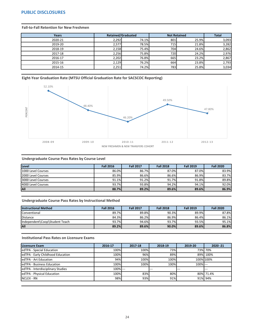## <span id="page-28-0"></span>**PUBLIC DISCLOSURES**

#### **Fall-to-Fall Retention for New Freshmen**

| <b>Years</b> | <b>Retained/Graduated</b> |       | <b>Not Retained</b> | <b>Total</b> |       |
|--------------|---------------------------|-------|---------------------|--------------|-------|
| 2020-21      | 2,292                     | 74.1% | 801                 | 25.9%        | 3,093 |
| 2019-20      | 2,577                     | 78.5% | 715                 | 21.8%        | 3,282 |
| 2018-19      | 2,158                     | 75.4% | 704                 | 24.6%        | 2,862 |
| 2017-18      | 2,256                     | 75.8% | 720l                | 24.2%        | 2,976 |
| 2016-17      | 2,202                     | 76.8% | 665                 | 23.2%        | 2,867 |
| 2015-16      | 2,129                     | 76.2% | 664                 | 23.8%        | 2,793 |
| 2014-15      | 2,251                     | 74.2% | 783                 | 25.8%        | 3,034 |

#### **Eight-Year Graduation Rate (MTSU Official Graduation Rate for SACSCOC Reporting)**



#### **Undergraduate Course Pass Rates by Course Level**

| Level               | <b>Fall 2016</b> | <b>Fall 2017</b> | <b>Fall 2018</b> | <b>Fall 2019</b> | <b>Fall 2020</b> |
|---------------------|------------------|------------------|------------------|------------------|------------------|
| 1000 Level Courses  | 86.0%            | 86.7%            | 87.0%            | 87.0%            | 83.9%            |
| 12000 Level Courses | 85.9%            | 86.6%            | 86.6%            | 86.9%            | 83.7%            |
| 3000 Level Courses  | 91.1%            | 91.2%            | 91.7%            | 91.8%            | 89.8%            |
| 4000 Level Courses  | 93.7%            | 93.8%            | 94.2%            | 94.1%            | 92.0%            |
| All                 | 88.7%            | 89.2%            | 89.6%            | 89.6%            | 86.9%            |

#### **Undergraduate Course Pass Rates by Instructional Method**

| <b>Instructional Method</b>    | <b>Fall 2016</b> | <b>Fall 2017</b> | <b>Fall 2018</b> | <b>Fall 2019</b> | <b>Fall 2020</b> |
|--------------------------------|------------------|------------------|------------------|------------------|------------------|
| Conventional                   | 89.7%            | 89.8%            | 90.3%            | 89.9%            | 87.8%            |
| Distance                       | 84.3%            | 86.2%            | 86.9%            | 86.4%            | 86.1%            |
| Independent\Coop\Student Teach | 93.7%            | 94.6%            | 93.7%            | 93.5%            | 95.1%            |
| <b>All</b>                     | 89.2%            | 89.6%            | $90.0\%$         | 89.6%            | 86.8%            |

#### **Institutional Pass Rates on Licensure Exams**

| Licensure Exam                    | 2016-17 | 2017-18 | 2018-19 | 2019-20     | $2020 - 21$ |
|-----------------------------------|---------|---------|---------|-------------|-------------|
| edTPA - Special Education         | 100%    | 100%    | 73%     |             | 73% 70%     |
| edTPA - Early Childhood Education | 100%    | 96%     | 89%     |             | 89% 100%    |
| ledTPA - Art Education            | 94%     | 100%    | 100%    |             | 100% 100%   |
| edTPA - Business Education        | 100%    | 100%    | 100%    | $100\%$ --- |             |
| edTPA - Interdisciplinary Studies | 100%--- |         | $---$   |             | $---$       |
| edTPA - Physical Education        | 100%    | 83%     | 80%     |             | 80% 71.4%   |
| <b>NCLEX - RN</b>                 | 98%     | 93%     | 91%     |             | 91% 94%     |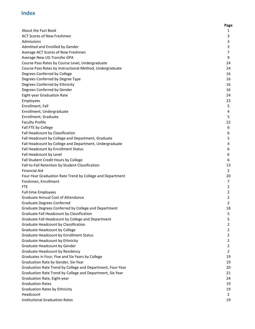# **Index**

|                                                            | Page           |
|------------------------------------------------------------|----------------|
| About the Fact Book                                        | 1              |
| <b>ACT Scores of New Freshmen</b>                          | 3              |
| Admissions                                                 | 3              |
| Admitted and Enrolled by Gender                            | 3              |
| Average ACT Scores of New Freshmen                         | 7              |
| Average New UG Transfer GPA                                | 9              |
| Course Pass Rates by Course Level, Undergraduate           | 24             |
| Course Pass Rates by Instructional Method, Undergraduate   | 24             |
| Degrees Conferred by College                               | 16             |
| Degrees Conferred by Degree Type                           | 16             |
| Degrees Conferred by Ethnicity                             | 16             |
| Degrees Conferred by Gender                                | 16             |
| <b>Eight-year Graduation Rate</b>                          | 24             |
| Employees                                                  | 23             |
| Enrollment, Fall                                           | 5.             |
| Enrollment, Undergraduate                                  | 4              |
| Enrollment, Graduate                                       | 5              |
| <b>Faculty Profile</b>                                     | 22             |
| Fall FTE by College                                        | 6              |
| Fall Headcount by Classification                           | 6              |
| Fall Headcount by College and Department, Graduate         | 5              |
| Fall Headcount by College and Department, Undergraduate    | 4              |
| Fall Headcount by Enrollment Status                        | 6              |
| Fall Headcount by Level                                    | 6              |
| Fall Student Credit Hours by College                       | 6              |
| Fall-to-Fall Retention by Student Classification           | 13             |
| <b>Financial Aid</b>                                       | 2              |
| Four-Year Graduation Rate Trend by College and Department  | 20             |
| Freshmen, Enrollment                                       | 7              |
| FTE                                                        | 2              |
| <b>Full-time Employees</b>                                 | $\overline{L}$ |
| <b>Graduate Annual Cost of Attendance</b>                  | 2              |
| <b>Graduate Degrees Conferred</b>                          | 2              |
| Graduate Degrees Conferred by College and Department       | 18             |
| Graduate Fall Headcount by Classification                  | 5              |
| Graduate Fall Headcount by College and Department          | 5              |
| <b>Graduate Headcount by Classification</b>                | 2              |
| <b>Graduate Headcount by College</b>                       | $\overline{2}$ |
| Graduate Headcount by Enrollment Status                    | 2              |
| Graduate Headcount by Ethnicity                            | 2              |
| Graduate Headcount by Gender                               | $\overline{2}$ |
| Graduate Headcount by Residency                            | 2              |
| Graduates in Four, Five and Six Years by College           | 19             |
| Graduation Rate by Gender, Six-Year                        | 19             |
| Graduation Rate Trend by College and Department, Four-Year | 20             |
| Graduation Rate Trend by College and Department, Six-Year  | 21             |
| Graduation Rate, Eight-year                                | 24             |
| <b>Graduation Rates</b>                                    | 19             |
| <b>Graduation Rates by Ethnicity</b>                       | 19             |
| Headcount                                                  | 2              |
| <b>Institutional Graduation Rates</b>                      | 19             |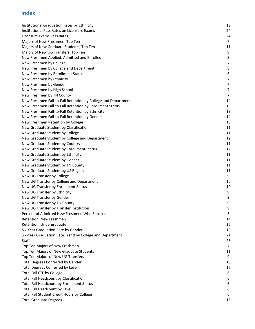# **Index**

| Institutional Graduation Rates by Ethnicity                   | 19             |
|---------------------------------------------------------------|----------------|
| Institutional Pass Rates on Licensure Exams                   | 24             |
| Licensure Exams Pass Rates                                    | 24             |
| Majors of New Freshmen, Top Ten                               | $\overline{7}$ |
| Majors of New Graduate Students, Top Ten                      | 11             |
| Majors of New UG Transfers, Top Ten                           | 9              |
| New Freshmen Applied, Admitted and Enrolled                   | 3              |
| New Freshmen by College                                       | $\overline{7}$ |
| New Freshmen by College and Department                        | 8              |
| New Freshmen by Enrollment Status                             | 8              |
| New Freshmen by Ethnicity                                     | 7              |
| New Freshmen by Gender                                        | $\overline{7}$ |
| New Freshmen by High School                                   | $\overline{7}$ |
| New Freshmen by TN County                                     | 7              |
| New Freshmen Fall-to-Fall Retention by College and Department | 14             |
| New Freshmen Fall-to-Fall Retention by Enrollment Status      | 13             |
| New Freshmen Fall-to-Fall Retention by Ethnicity              | 13             |
| New Freshmen Fall-to-Fall Retention by Gender                 | 14             |
| New Freshmen Retention by College                             | 13             |
| New Graduate Student by Classification                        | 11             |
| New Graduate Student by College                               | 11             |
| New Graduate Student by College and Department                | 12             |
| New Graduate Student by Country                               | 11             |
| New Graduate Student by Enrollment Status                     | 12             |
| New Graduate Student by Ethnicity                             | 11             |
| New Graduate Student by Gender                                | 11             |
| New Graduate Student by TN County                             | 11             |
| New Graduate Student by US Region                             | 11             |
| New UG Transfer by College                                    | 9              |
| New UG Transfer by College and Department                     | 10             |
| New UG Transfer by Enrollment Status                          | 10             |
| New UG Transfer by Ethnicity                                  | q              |
| New UG Transfer by Gender                                     | 9              |
| New UG Transfer by TN County                                  | 9              |
| New UG Transfer by Transfer Institution                       | 9              |
| Percent of Admitted New Freshmen Who Enrolled                 | 3              |
| Retention, New Freshmen                                       | 14             |
| Retention, Undergraduate                                      | 15             |
| Six-Year Graduation Rate by Gender                            | 19             |
| Six-Year Graduation Rate Trend by College and Department      | 21             |
| Staff                                                         | 23             |
| Top Ten Majors of New Freshmen                                | $\overline{7}$ |
| Top Ten Majors of New Graduate Students                       | 11             |
| Top Ten Majors of New UG Transfers                            | 9              |
| <b>Total Degrees Conferred by Gender</b>                      | 18             |
| <b>Total Degrees Conferred by Level</b>                       | 17             |
| <b>Total Fall FTE by College</b>                              | 6              |
| Total Fall Headcount by Classification                        | 6              |
| Total Fall Headcount by Enrollment Status                     | 6              |
| Total Fall Headcount by Level                                 | 6              |
| Total Fall Student Credit Hours by College                    | 6              |
| <b>Total Graduate Degrees</b>                                 | 16             |
|                                                               |                |